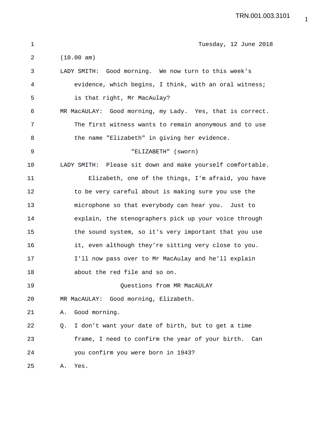| 1  | Tuesday, 12 June 2018                                      |
|----|------------------------------------------------------------|
| 2  | (10.00 am)                                                 |
| 3  | LADY SMITH: Good morning. We now turn to this week's       |
| 4  | evidence, which begins, I think, with an oral witness;     |
| 5  | is that right, Mr MacAulay?                                |
| 6  | MR MacAULAY: Good morning, my Lady. Yes, that is correct.  |
| 7  | The first witness wants to remain anonymous and to use     |
| 8  | the name "Elizabeth" in giving her evidence.               |
| 9  | "ELIZABETH" (sworn)                                        |
| 10 | LADY SMITH: Please sit down and make yourself comfortable. |
| 11 | Elizabeth, one of the things, I'm afraid, you have         |
| 12 | to be very careful about is making sure you use the        |
| 13 | microphone so that everybody can hear you. Just to         |
| 14 | explain, the stenographers pick up your voice through      |
| 15 | the sound system, so it's very important that you use      |
| 16 | it, even although they're sitting very close to you.       |
| 17 | I'll now pass over to Mr MacAulay and he'll explain        |
| 18 | about the red file and so on.                              |
| 19 | Questions from MR MacAULAY                                 |
| 20 | MR MacAULAY: Good morning, Elizabeth.                      |
| 21 | Good morning.<br>Α.                                        |
| 22 | I don't want your date of birth, but to get a time<br>Q.   |
| 23 | frame, I need to confirm the year of your birth.<br>Can    |
| 24 | you confirm you were born in 1943?                         |
| 25 | Yes.<br>Α.                                                 |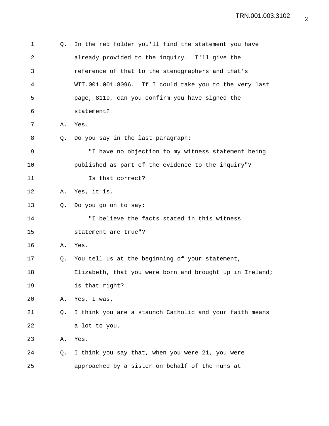| 1  | Q. | In the red folder you'll find the statement you have     |
|----|----|----------------------------------------------------------|
| 2  |    | already provided to the inquiry. I'll give the           |
| 3  |    | reference of that to the stenographers and that's        |
| 4  |    | WIT.001.001.8096. If I could take you to the very last   |
| 5  |    | page, 8119, can you confirm you have signed the          |
| 6  |    | statement?                                               |
| 7  | Α. | Yes.                                                     |
| 8  | Q. | Do you say in the last paragraph:                        |
| 9  |    | "I have no objection to my witness statement being       |
| 10 |    | published as part of the evidence to the inquiry"?       |
| 11 |    | Is that correct?                                         |
| 12 | Α. | Yes, it is.                                              |
| 13 | О. | Do you go on to say:                                     |
| 14 |    | "I believe the facts stated in this witness              |
| 15 |    | statement are true"?                                     |
| 16 | Α. | Yes.                                                     |
| 17 | Q. | You tell us at the beginning of your statement,          |
| 18 |    | Elizabeth, that you were born and brought up in Ireland; |
| 19 |    | is that right?                                           |
| 20 | Α. | Yes, I was.                                              |
| 21 | Q. | I think you are a staunch Catholic and your faith means  |
| 22 |    | a lot to you.                                            |
| 23 | Α. | Yes.                                                     |
| 24 | Q. | I think you say that, when you were 21, you were         |
| 25 |    | approached by a sister on behalf of the nuns at          |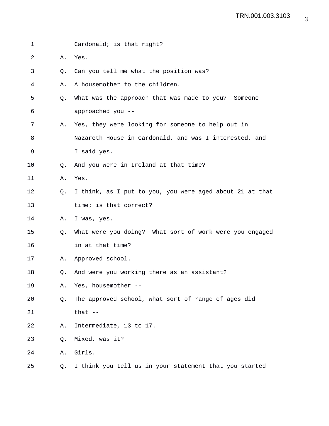| 1              |                | Cardonald; is that right?                                |
|----------------|----------------|----------------------------------------------------------|
| $\overline{2}$ | Α.             | Yes.                                                     |
| 3              | Q <sub>z</sub> | Can you tell me what the position was?                   |
| 4              | Α.             | A housemother to the children.                           |
| 5              | Q.             | What was the approach that was made to you? Someone      |
| 6              |                | approached you --                                        |
| 7              | Α.             | Yes, they were looking for someone to help out in        |
| 8              |                | Nazareth House in Cardonald, and was I interested, and   |
| 9              |                | I said yes.                                              |
| 10             | 0.             | And you were in Ireland at that time?                    |
| 11             | Α.             | Yes.                                                     |
| 12             | Q.             | I think, as I put to you, you were aged about 21 at that |
| 13             |                | time; is that correct?                                   |
| 14             | Α.             | I was, yes.                                              |
| 15             | Q.             | What were you doing? What sort of work were you engaged  |
| 16             |                | in at that time?                                         |
| 17             | Α.             | Approved school.                                         |
| 18             | 0.             | And were you working there as an assistant?              |
| 19             | Α.             | Yes, housemother --                                      |
| 20             | Q.             | The approved school, what sort of range of ages did      |
| 21             |                | that $--$                                                |
| 22             | Α.             | Intermediate, 13 to 17.                                  |
| 23             | Q.             | Mixed, was it?                                           |
| 24             | Α.             | Girls.                                                   |
| 25             | Q.             | I think you tell us in your statement that you started   |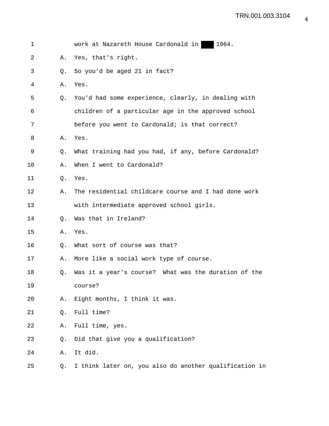| 1  |    | work at Nazareth House Cardonald in 1964.              |
|----|----|--------------------------------------------------------|
| 2  | Α. | Yes, that's right.                                     |
| 3  | Q. | So you'd be aged 21 in fact?                           |
| 4  | Α. | Yes.                                                   |
| 5  | Q. | You'd had some experience, clearly, in dealing with    |
| 6  |    | children of a particular age in the approved school    |
| 7  |    | before you went to Cardonald; is that correct?         |
| 8  | Α. | Yes.                                                   |
| 9  | Q. | What training had you had, if any, before Cardonald?   |
| 10 | Α. | When I went to Cardonald?                              |
| 11 | Q. | Yes.                                                   |
| 12 | Α. | The residential childcare course and I had done work   |
| 13 |    | with intermediate approved school girls.               |
| 14 | Q. | Was that in Ireland?                                   |
| 15 | Α. | Yes.                                                   |
| 16 | Q. | What sort of course was that?                          |
| 17 | Α. | More like a social work type of course.                |
| 18 | Q. | Was it a year's course? What was the duration of the   |
| 19 |    | course?                                                |
| 20 | Α. | Eight months, I think it was.                          |
| 21 | Q. | Full time?                                             |
| 22 | Α. | Full time, yes.                                        |
| 23 | Q. | Did that give you a qualification?                     |
| 24 | Α. | It did.                                                |
| 25 | Q. | I think later on, you also do another qualification in |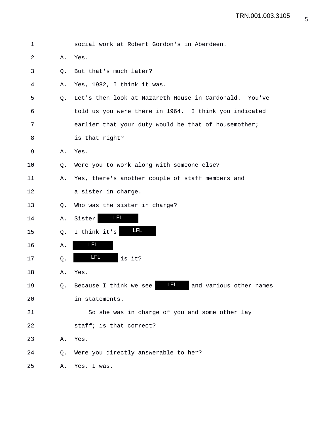| $\mathbf 1$ |    | social work at Robert Gordon's in Aberdeen.               |
|-------------|----|-----------------------------------------------------------|
| 2           | Α. | Yes.                                                      |
| 3           | Q. | But that's much later?                                    |
| 4           | Α. | Yes, 1982, I think it was.                                |
| 5           | Q. | Let's then look at Nazareth House in Cardonald. You've    |
| 6           |    | told us you were there in 1964. I think you indicated     |
| 7           |    | earlier that your duty would be that of housemother;      |
| 8           |    | is that right?                                            |
| $\mathsf 9$ | Α. | Yes.                                                      |
| 10          | Q. | Were you to work along with someone else?                 |
| 11          | Α. | Yes, there's another couple of staff members and          |
| 12          |    | a sister in charge.                                       |
| 13          | Q. | Who was the sister in charge?                             |
| 14          | Α. | <b>LFL</b><br>Sister                                      |
| 15          | Q. | <b>LFL</b><br>I think it's                                |
| 16          | Α. | <u>LFL</u>                                                |
| 17          | Q. | <u>LFL</u><br>is it?                                      |
| 18          | Α. | Yes.                                                      |
| 19          | 0. | LFL.<br>Because I think we see<br>and various other names |
| 20          |    | in statements.                                            |
| 21          |    | So she was in charge of you and some other lay            |
| 22          |    | staff; is that correct?                                   |
| 23          | Α. | Yes.                                                      |
| 24          | Q. | Were you directly answerable to her?                      |
| 25          | Α. | Yes, I was.                                               |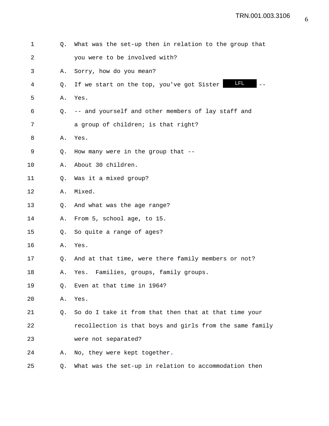| 1  | О. | What was the set-up then in relation to the group that   |
|----|----|----------------------------------------------------------|
| 2  |    | you were to be involved with?                            |
| 3  | Α. | Sorry, how do you mean?                                  |
| 4  | O. | <b>LFL</b><br>If we start on the top, you've got Sister  |
| 5  | Α. | Yes.                                                     |
| 6  | О. | -- and yourself and other members of lay staff and       |
| 7  |    | a group of children; is that right?                      |
| 8  | Α. | Yes.                                                     |
| 9  | Q. | How many were in the group that --                       |
| 10 | Α. | About 30 children.                                       |
| 11 | Q. | Was it a mixed group?                                    |
| 12 | Α. | Mixed.                                                   |
| 13 | Q. | And what was the age range?                              |
| 14 | Α. | From 5, school age, to 15.                               |
| 15 | Q. | So quite a range of ages?                                |
| 16 | Α. | Yes.                                                     |
| 17 | 0. | And at that time, were there family members or not?      |
| 18 | Α. | Families, groups, family groups.<br>Yes.                 |
| 19 | Q. | Even at that time in 1964?                               |
| 20 | Α. | Yes.                                                     |
| 21 | Q. | So do I take it from that then that at that time your    |
| 22 |    | recollection is that boys and girls from the same family |
| 23 |    | were not separated?                                      |
| 24 | Α. | No, they were kept together.                             |
| 25 | Q. | What was the set-up in relation to accommodation then    |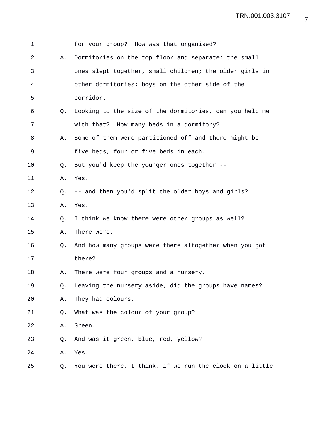| 1  |    | for your group? How was that organised?                  |
|----|----|----------------------------------------------------------|
| 2  | Α. | Dormitories on the top floor and separate: the small     |
| 3  |    | ones slept together, small children; the older girls in  |
| 4  |    | other dormitories; boys on the other side of the         |
| 5  |    | corridor.                                                |
| 6  | 0. | Looking to the size of the dormitories, can you help me  |
| 7  |    | with that? How many beds in a dormitory?                 |
| 8  | Α. | Some of them were partitioned off and there might be     |
| 9  |    | five beds, four or five beds in each.                    |
| 10 | O. | But you'd keep the younger ones together --              |
| 11 | Α. | Yes.                                                     |
| 12 | Q. | -- and then you'd split the older boys and girls?        |
| 13 | Α. | Yes.                                                     |
| 14 | Q. | I think we know there were other groups as well?         |
| 15 | Α. | There were.                                              |
| 16 | O. | And how many groups were there altogether when you got   |
| 17 |    | there?                                                   |
| 18 | Α. | There were four groups and a nursery.                    |
| 19 | Q. | Leaving the nursery aside, did the groups have names?    |
| 20 | Α. | They had colours.                                        |
| 21 | Q. | What was the colour of your group?                       |
| 22 | Α. | Green.                                                   |
| 23 | Q. | And was it green, blue, red, yellow?                     |
| 24 | Α. | Yes.                                                     |
| 25 | Q. | You were there, I think, if we run the clock on a little |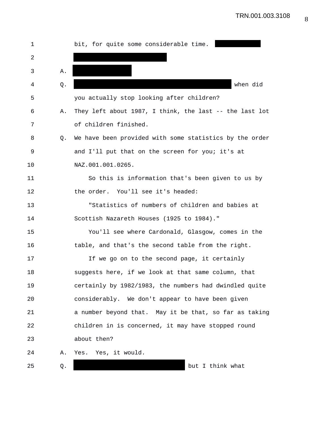| ı  |    | bit, for quite some considerable time.                  |
|----|----|---------------------------------------------------------|
| 2  |    |                                                         |
| 3  | Α. |                                                         |
| 4  | Q. | when did                                                |
| 5  |    | you actually stop looking after children?               |
| 6  | Α. | They left about 1987, I think, the last -- the last lot |
| 7  |    | of children finished.                                   |
| 8  | O. | We have been provided with some statistics by the order |
| 9  |    | and I'll put that on the screen for you; it's at        |
| 10 |    | NAZ.001.001.0265.                                       |
| 11 |    | So this is information that's been given to us by       |
| 12 |    | the order. You'll see it's headed:                      |
| 13 |    | "Statistics of numbers of children and babies at        |
| 14 |    | Scottish Nazareth Houses (1925 to 1984)."               |
| 15 |    | You'll see where Cardonald, Glasgow, comes in the       |
| 16 |    | table, and that's the second table from the right.      |
| 17 |    | If we go on to the second page, it certainly            |
| 18 |    | suggests here, if we look at that same column, that     |
| 19 |    | certainly by 1982/1983, the numbers had dwindled quite  |
| 20 |    | considerably. We don't appear to have been given        |
| 21 |    | a number beyond that. May it be that, so far as taking  |
| 22 |    | children in is concerned, it may have stopped round     |
| 23 |    | about then?                                             |
| 24 | Α. | Yes. Yes, it would.                                     |
| 25 | Q. | but I think what                                        |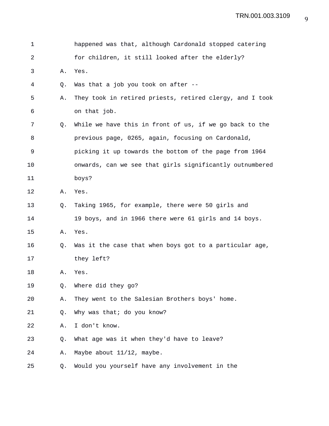| 1  |    | happened was that, although Cardonald stopped catering   |
|----|----|----------------------------------------------------------|
| 2  |    | for children, it still looked after the elderly?         |
| 3  | Α. | Yes.                                                     |
| 4  | Q. | Was that a job you took on after --                      |
| 5  | Α. | They took in retired priests, retired clergy, and I took |
| 6  |    | on that job.                                             |
| 7  | Q. | While we have this in front of us, if we go back to the  |
| 8  |    | previous page, 0265, again, focusing on Cardonald,       |
| 9  |    | picking it up towards the bottom of the page from 1964   |
| 10 |    | onwards, can we see that girls significantly outnumbered |
| 11 |    | boys?                                                    |
| 12 | Α. | Yes.                                                     |
| 13 | Q. | Taking 1965, for example, there were 50 girls and        |
| 14 |    | 19 boys, and in 1966 there were 61 girls and 14 boys.    |
| 15 | Α. | Yes.                                                     |
| 16 | Q. | Was it the case that when boys got to a particular age,  |
| 17 |    | they left?                                               |
| 18 | Α. | Yes.                                                     |
| 19 | Q. | Where did they go?                                       |
| 20 | Α. | They went to the Salesian Brothers boys' home.           |
| 21 | Q. | Why was that; do you know?                               |
| 22 | Α. | I don't know.                                            |
| 23 | Q. | What age was it when they'd have to leave?               |
| 24 | Α. | Maybe about 11/12, maybe.                                |
| 25 | Q. | Would you yourself have any involvement in the           |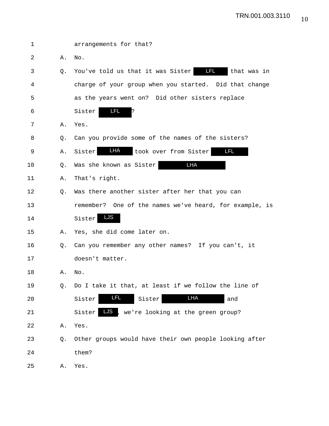| 1  |    | arrangements for that?                                  |
|----|----|---------------------------------------------------------|
| 2  | Α. | No.                                                     |
| 3  | О. | You've told us that it was Sister<br>that was in        |
| 4  |    | charge of your group when you started. Did that change  |
| 5  |    | as the years went on? Did other sisters replace         |
| 6  |    | LFL.<br>Sister<br>?                                     |
| 7  | Α. | Yes.                                                    |
| 8  | Q. | Can you provide some of the names of the sisters?       |
| 9  | Α. | LHA<br><b>LFL</b><br>Sister<br>took over from Sister    |
| 10 | O. | LHA<br>Was she known as Sister                          |
| 11 | Α. | That's right.                                           |
| 12 | O. | Was there another sister after her that you can         |
| 13 |    | remember? One of the names we've heard, for example, is |
| 14 |    | LJS<br>Sister                                           |
| 15 | Α. | Yes, she did come later on.                             |
| 16 | O. | Can you remember any other names? If you can't, it      |
| 17 |    | doesn't matter.                                         |
| 18 | Α. | No.                                                     |
| 19 | Q. | Do I take it that, at least if we follow the line of    |
| 20 |    | <u>LFL</u><br>LHA<br>Sister<br>Sister<br>and            |
| 21 |    | LJS<br>Sister<br>we're looking at the green group?      |
| 22 | Α. | Yes.                                                    |
| 23 | Q. | Other groups would have their own people looking after  |
| 24 |    | them?                                                   |
| 25 | Α. | Yes.                                                    |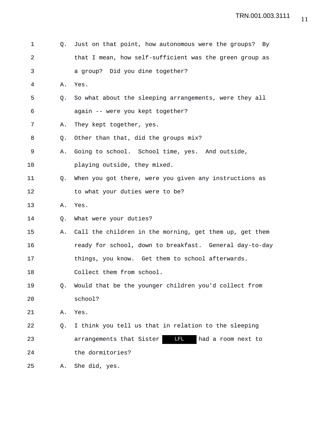| 1  | Q.             | Just on that point, how autonomous were the groups? By  |
|----|----------------|---------------------------------------------------------|
| 2  |                | that I mean, how self-sufficient was the green group as |
| 3  |                | a group? Did you dine together?                         |
| 4  | Α.             | Yes.                                                    |
| 5  | Q.             | So what about the sleeping arrangements, were they all  |
| 6  |                | again -- were you kept together?                        |
| 7  | Α.             | They kept together, yes.                                |
| 8  | Q <sub>z</sub> | Other than that, did the groups mix?                    |
| 9  | Α.             | Going to school. School time, yes. And outside,         |
| 10 |                | playing outside, they mixed.                            |
| 11 | Q.             | When you got there, were you given any instructions as  |
| 12 |                | to what your duties were to be?                         |
| 13 | Α.             | Yes.                                                    |
| 14 | Q.             | What were your duties?                                  |
| 15 | Α.             | Call the children in the morning, get them up, get them |
| 16 |                | ready for school, down to breakfast. General day-to-day |
| 17 |                | things, you know. Get them to school afterwards.        |
| 18 |                | Collect them from school.                               |
| 19 | Q.             | Would that be the younger children you'd collect from   |
| 20 |                | school?                                                 |
| 21 | Α.             | Yes.                                                    |
| 22 | Q.             | I think you tell us that in relation to the sleeping    |
| 23 |                | LFL.<br>arrangements that Sister<br>had a room next to  |
| 24 |                | the dormitories?                                        |
| 25 | Α.             | She did, yes.                                           |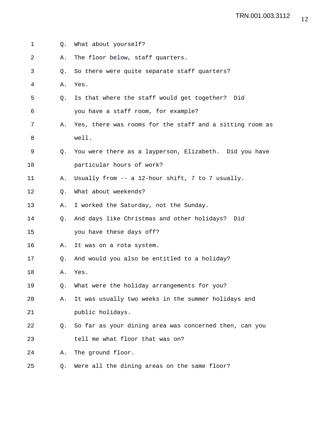| 1  | Q. | What about yourself?                                     |
|----|----|----------------------------------------------------------|
| 2  | Α. | The floor below, staff quarters.                         |
| 3  | Q. | So there were quite separate staff quarters?             |
| 4  | Α. | Yes.                                                     |
| 5  | Q. | Is that where the staff would get together? Did          |
| 6  |    | you have a staff room, for example?                      |
| 7  | Α. | Yes, there was rooms for the staff and a sitting room as |
| 8  |    | well.                                                    |
| 9  | O. | You were there as a layperson, Elizabeth. Did you have   |
| 10 |    | particular hours of work?                                |
| 11 | Α. | Usually from -- a 12-hour shift, 7 to 7 usually.         |
| 12 | Q. | What about weekends?                                     |
| 13 | Α. | I worked the Saturday, not the Sunday.                   |
| 14 | О. | And days like Christmas and other holidays? Did          |
| 15 |    | you have these days off?                                 |
| 16 | Α. | It was on a rota system.                                 |
| 17 | О. | And would you also be entitled to a holiday?             |
| 18 | Α. | Yes.                                                     |
| 19 | Q. | What were the holiday arrangements for you?              |
| 20 | Α. | It was usually two weeks in the summer holidays and      |
| 21 |    | public holidays.                                         |
| 22 | O. | So far as your dining area was concerned then, can you   |
| 23 |    | tell me what floor that was on?                          |
| 24 | Α. | The ground floor.                                        |
| 25 | Q. | Were all the dining areas on the same floor?             |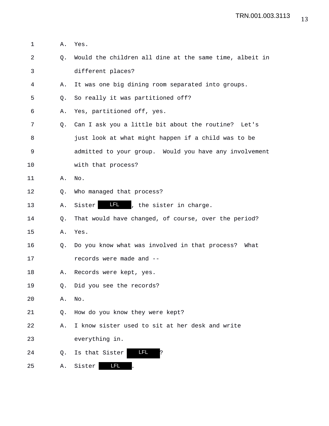| 1  | Α.             | Yes.                                                    |
|----|----------------|---------------------------------------------------------|
| 2  | Q.             | Would the children all dine at the same time, albeit in |
| 3  |                | different places?                                       |
| 4  | Α.             | It was one big dining room separated into groups.       |
| 5  | Q.             | So really it was partitioned off?                       |
| 6  | Α.             | Yes, partitioned off, yes.                              |
| 7  | Q <sub>z</sub> | Can I ask you a little bit about the routine? Let's     |
| 8  |                | just look at what might happen if a child was to be     |
| 9  |                | admitted to your group. Would you have any involvement  |
| 10 |                | with that process?                                      |
| 11 | Α.             | No.                                                     |
| 12 | Q.             | Who managed that process?                               |
| 13 | Α.             | II , the sister in charge.<br>Sister                    |
| 14 | Q.             | That would have changed, of course, over the period?    |
| 15 | Α.             | Yes.                                                    |
| 16 | Q.             | Do you know what was involved in that process? What     |
| 17 |                | records were made and --                                |
| 18 | Α.             | Records were kept, yes.                                 |
| 19 | Q.             | Did you see the records?                                |
| 20 | Α.             | No.                                                     |
| 21 | Q.             | How do you know they were kept?                         |
| 22 | Α.             | I know sister used to sit at her desk and write         |
| 23 |                | everything in.                                          |
| 24 | Q.             | LFL<br>Is that Sister<br>?                              |
| 25 | Α.             | LFL<br>Sister                                           |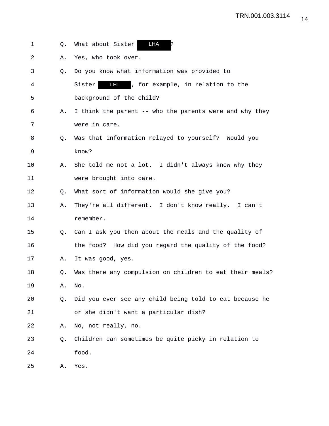| 1  | Q.             | LHA<br>What about Sister                                 |
|----|----------------|----------------------------------------------------------|
| 2  | Α.             | Yes, who took over.                                      |
| 3  | Q.             | Do you know what information was provided to             |
| 4  |                | <b>LFL</b> , for example, in relation to the<br>Sister   |
| 5  |                | background of the child?                                 |
| 6  | Α.             | I think the parent -- who the parents were and why they  |
| 7  |                | were in care.                                            |
| 8  | Q <sub>z</sub> | Was that information relayed to yourself? Would you      |
| 9  |                | know?                                                    |
| 10 | Α.             | She told me not a lot. I didn't always know why they     |
| 11 |                | were brought into care.                                  |
| 12 | O.             | What sort of information would she give you?             |
| 13 | Α.             | They're all different. I don't know really. I can't      |
| 14 |                | remember.                                                |
| 15 | Q.             | Can I ask you then about the meals and the quality of    |
| 16 |                | the food? How did you regard the quality of the food?    |
| 17 | Α.             | It was good, yes.                                        |
| 18 | Q.             | Was there any compulsion on children to eat their meals? |
| 19 | Α.             | No.                                                      |
| 20 | Q.             | Did you ever see any child being told to eat because he  |
| 21 |                | or she didn't want a particular dish?                    |
| 22 | Α.             | No, not really, no.                                      |
| 23 | Q.             | Children can sometimes be quite picky in relation to     |
| 24 |                | food.                                                    |
| 25 | Α.             | Yes.                                                     |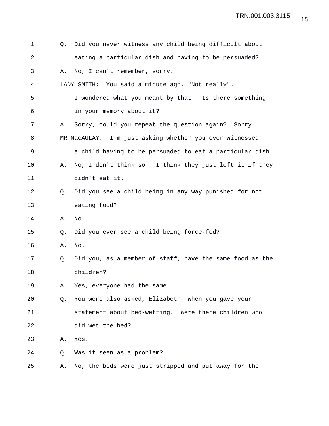| 1  | Q. | Did you never witness any child being difficult about    |
|----|----|----------------------------------------------------------|
| 2  |    | eating a particular dish and having to be persuaded?     |
| 3  | Α. | No, I can't remember, sorry.                             |
| 4  |    | LADY SMITH: You said a minute ago, "Not really".         |
| 5  |    | I wondered what you meant by that. Is there something    |
| 6  |    | in your memory about it?                                 |
| 7  | Α. | Sorry, could you repeat the question again? Sorry.       |
| 8  |    | MR MacAULAY: I'm just asking whether you ever witnessed  |
| 9  |    | a child having to be persuaded to eat a particular dish. |
| 10 | Α. | No, I don't think so. I think they just left it if they  |
| 11 |    | didn't eat it.                                           |
| 12 | O. | Did you see a child being in any way punished for not    |
| 13 |    | eating food?                                             |
| 14 | Α. | No.                                                      |
| 15 | Q. | Did you ever see a child being force-fed?                |
| 16 | Α. | No.                                                      |
| 17 | Q. | Did you, as a member of staff, have the same food as the |
| 18 |    | children?                                                |
| 19 | Α. | Yes, everyone had the same.                              |
| 20 | O. | You were also asked, Elizabeth, when you gave your       |
| 21 |    | statement about bed-wetting. Were there children who     |
| 22 |    | did wet the bed?                                         |
| 23 | Α. | Yes.                                                     |
| 24 | Q. | Was it seen as a problem?                                |
|    |    |                                                          |

25 A. No, the beds were just stripped and put away for the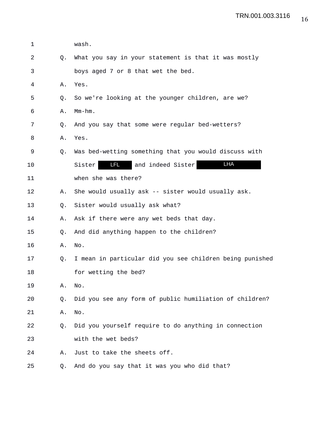| 1  |    | wash.                                                    |
|----|----|----------------------------------------------------------|
| 2  | Q. | What you say in your statement is that it was mostly     |
| 3  |    | boys aged 7 or 8 that wet the bed.                       |
| 4  | Α. | Yes.                                                     |
| 5  | Q. | So we're looking at the younger children, are we?        |
| 6  | Α. | $Mm-hm$ .                                                |
| 7  | Q. | And you say that some were regular bed-wetters?          |
| 8  | Α. | Yes.                                                     |
| 9  | Q. | Was bed-wetting something that you would discuss with    |
| 10 |    | LHA<br>Sister<br>and indeed Sister                       |
| 11 |    | when she was there?                                      |
| 12 | Α. | She would usually ask -- sister would usually ask.       |
| 13 | Q. | Sister would usually ask what?                           |
| 14 | Α. | Ask if there were any wet beds that day.                 |
| 15 | Q. | And did anything happen to the children?                 |
| 16 | Α. | No.                                                      |
| 17 | Q. | I mean in particular did you see children being punished |
| 18 |    | for wetting the bed?                                     |
| 19 | Α. | No.                                                      |
| 20 | Q. | Did you see any form of public humiliation of children?  |
| 21 | Α. | No.                                                      |
| 22 | O. | Did you yourself require to do anything in connection    |
| 23 |    | with the wet beds?                                       |
| 24 | Α. | Just to take the sheets off.                             |
| 25 | Q. | And do you say that it was you who did that?             |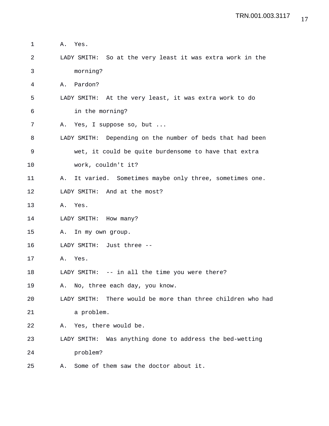1 A. Yes. 2 LADY SMITH: So at the very least it was extra work in the 3 morning? 4 A. Pardon? 5 LADY SMITH: At the very least, it was extra work to do 6 in the morning? 7 A. Yes, I suppose so, but ... 8 LADY SMITH: Depending on the number of beds that had been 9 wet, it could be quite burdensome to have that extra 10 work, couldn't it? 11 A. It varied. Sometimes maybe only three, sometimes one. 12 LADY SMITH: And at the most? 13 A. Yes. 14 LADY SMITH: How many? 15 A. In my own group. 16 LADY SMITH: Just three -- 17 A. Yes. 18 LADY SMITH: -- in all the time you were there? 19 A. No, three each day, you know. 20 LADY SMITH: There would be more than three children who had 21 a problem. 22 A. Yes, there would be. 23 LADY SMITH: Was anything done to address the bed-wetting 24 problem? 25 A. Some of them saw the doctor about it.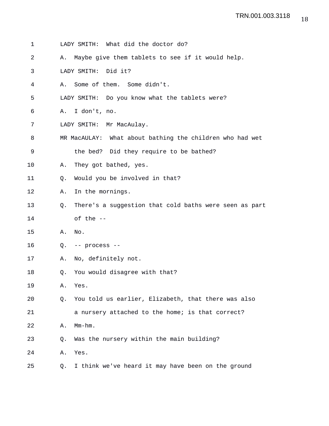| 1  |    | LADY SMITH: What did the doctor do?                      |
|----|----|----------------------------------------------------------|
| 2  | Α. | Maybe give them tablets to see if it would help.         |
| 3  |    | LADY SMITH:<br>Did it?                                   |
| 4  | Α. | Some of them. Some didn't.                               |
| 5  |    | LADY SMITH: Do you know what the tablets were?           |
| 6  | Α. | I don't, no.                                             |
| 7  |    | LADY SMITH: Mr MacAulay.                                 |
| 8  |    | MR MacAULAY: What about bathing the children who had wet |
| 9  |    | the bed? Did they require to be bathed?                  |
| 10 | Α. | They got bathed, yes.                                    |
| 11 | Q. | Would you be involved in that?                           |
| 12 | Α. | In the mornings.                                         |
| 13 | Q. | There's a suggestion that cold baths were seen as part   |
| 14 |    | of the --                                                |
| 15 | Α. | No.                                                      |
| 16 | Q. | -- process --                                            |
| 17 | Α. | No, definitely not.                                      |
| 18 | Q. | You would disagree with that?                            |
| 19 | Α. | Yes.                                                     |
| 20 | Q. | You told us earlier, Elizabeth, that there was also      |
| 21 |    | a nursery attached to the home; is that correct?         |
| 22 | Α. | $Mm-hm$ .                                                |
| 23 | Q. | Was the nursery within the main building?                |
| 24 | Α. | Yes.                                                     |
|    |    |                                                          |

25 Q. I think we've heard it may have been on the ground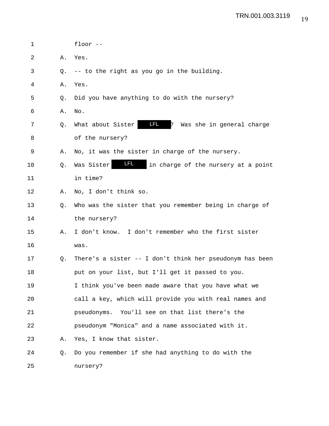| 1  |    | floor $--$                                                         |
|----|----|--------------------------------------------------------------------|
| 2  | Α. | Yes.                                                               |
| 3  | O. | -- to the right as you go in the building.                         |
| 4  | Α. | Yes.                                                               |
| 5  | O. | Did you have anything to do with the nursery?                      |
| 6  | Α. | No.                                                                |
| 7  | O. | <b>LFL</b><br>What about Sister<br>?<br>Was she in general charge  |
| 8  |    | of the nursery?                                                    |
| 9  | Α. | No, it was the sister in charge of the nursery.                    |
| 10 | Q. | <u>in Let</u><br>Was Sister<br>in charge of the nursery at a point |
| 11 |    | in time?                                                           |
| 12 | Α. | No, I don't think so.                                              |
| 13 | O. | Who was the sister that you remember being in charge of            |
| 14 |    | the nursery?                                                       |
| 15 | Α. | I don't know. I don't remember who the first sister                |
| 16 |    | was.                                                               |
| 17 | Q. | There's a sister -- I don't think her pseudonym has been           |
| 18 |    | put on your list, but I'll get it passed to you.                   |
| 19 |    | I think you've been made aware that you have what we               |
| 20 |    | call a key, which will provide you with real names and             |
| 21 |    | pseudonyms. You'll see on that list there's the                    |
| 22 |    | pseudonym "Monica" and a name associated with it.                  |
| 23 | Α. | Yes, I know that sister.                                           |
| 24 | Q. | Do you remember if she had anything to do with the                 |
| 25 |    | nursery?                                                           |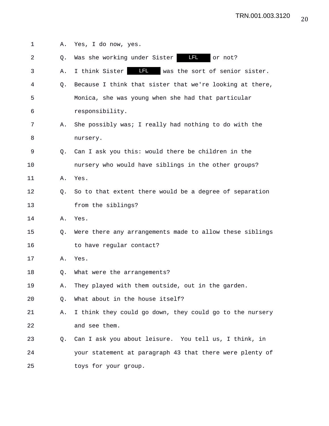| 1  | Α. | Yes, I do now, yes.                                      |
|----|----|----------------------------------------------------------|
| 2  | Q. | <b>LFL</b><br>Was she working under Sister<br>or not?    |
| 3  | Α. | I think Sister <b>IFL</b> was the sort of senior sister. |
| 4  | Q. | Because I think that sister that we're looking at there, |
| 5  |    | Monica, she was young when she had that particular       |
| 6  |    | responsibility.                                          |
| 7  | Α. | She possibly was; I really had nothing to do with the    |
| 8  |    | nursery.                                                 |
| 9  | Q. | Can I ask you this: would there be children in the       |
| 10 |    | nursery who would have siblings in the other groups?     |
| 11 | Α. | Yes.                                                     |
| 12 | O. | So to that extent there would be a degree of separation  |
| 13 |    | from the siblings?                                       |
| 14 | Α. | Yes.                                                     |
| 15 | Q. | Were there any arrangements made to allow these siblings |
| 16 |    | to have regular contact?                                 |
| 17 | Α. | Yes.                                                     |
| 18 | Q. | What were the arrangements?                              |
| 19 | Α. | They played with them outside, out in the garden.        |
| 20 | Q. | What about in the house itself?                          |
| 21 | Α. | I think they could go down, they could go to the nursery |
| 22 |    | and see them.                                            |
| 23 | Q. | Can I ask you about leisure. You tell us, I think, in    |
| 24 |    | your statement at paragraph 43 that there were plenty of |
| 25 |    | toys for your group.                                     |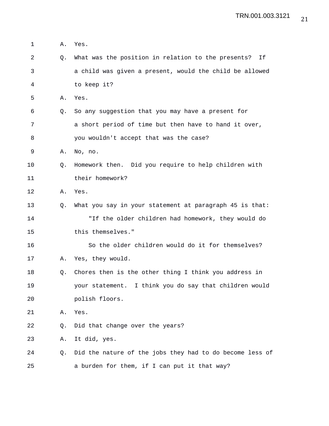1 A. Yes. 2 Q. What was the position in relation to the presents? If 3 a child was given a present, would the child be allowed 4 to keep it? 5 A. Yes. 6 Q. So any suggestion that you may have a present for 7 a short period of time but then have to hand it over, 8 you wouldn't accept that was the case? 9 A. No, no. 10 Q. Homework then. Did you require to help children with 11 their homework? 12 A. Yes. 13 Q. What you say in your statement at paragraph 45 is that: 14 "If the older children had homework, they would do 15 this themselves." 16 So the older children would do it for themselves? 17 A. Yes, they would. 18 Q. Chores then is the other thing I think you address in 19 your statement. I think you do say that children would 20 polish floors. 21 A. Yes. 22 Q. Did that change over the years? 23 A. It did, yes. 24 Q. Did the nature of the jobs they had to do become less of 25 a burden for them, if I can put it that way?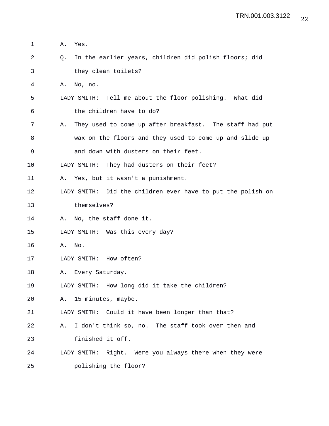1 A. Yes. 2 Q. In the earlier years, children did polish floors; did 3 they clean toilets? 4 A. No, no. 5 LADY SMITH: Tell me about the floor polishing. What did 6 the children have to do? 7 A. They used to come up after breakfast. The staff had put 8 wax on the floors and they used to come up and slide up 9 and down with dusters on their feet. 10 LADY SMITH: They had dusters on their feet? 11 A. Yes, but it wasn't a punishment. 12 LADY SMITH: Did the children ever have to put the polish on 13 themselves? 14 A. No, the staff done it. 15 LADY SMITH: Was this every day? 16 A. No. 17 LADY SMITH: How often? 18 A. Every Saturday. 19 LADY SMITH: How long did it take the children? 20 A. 15 minutes, maybe. 21 LADY SMITH: Could it have been longer than that? 22 A. I don't think so, no. The staff took over then and 23 finished it off. 24 LADY SMITH: Right. Were you always there when they were 25 polishing the floor?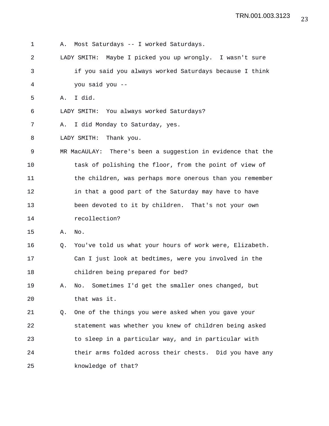1 A. Most Saturdays -- I worked Saturdays. 2 LADY SMITH: Maybe I picked you up wrongly. I wasn't sure 3 if you said you always worked Saturdays because I think 4 you said you -- 5 A. I did. 6 LADY SMITH: You always worked Saturdays? 7 A. I did Monday to Saturday, yes. 8 LADY SMITH: Thank you. 9 MR MacAULAY: There's been a suggestion in evidence that the 10 task of polishing the floor, from the point of view of 11 the children, was perhaps more onerous than you remember 12 in that a good part of the Saturday may have to have 13 been devoted to it by children. That's not your own 14 recollection? 15 A. No. 16 Q. You've told us what your hours of work were, Elizabeth. 17 Can I just look at bedtimes, were you involved in the 18 children being prepared for bed? 19 A. No. Sometimes I'd get the smaller ones changed, but 20 that was it. 21 Q. One of the things you were asked when you gave your 22 statement was whether you knew of children being asked 23 to sleep in a particular way, and in particular with 24 their arms folded across their chests. Did you have any 25 knowledge of that?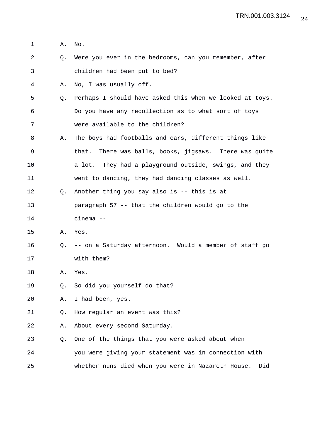- 1 A. No.
- 2 Q. Were you ever in the bedrooms, can you remember, after 3 children had been put to bed?
- 4 A. No, I was usually off.
- 5 Q. Perhaps I should have asked this when we looked at toys. 6 Do you have any recollection as to what sort of toys 7 were available to the children?
- 8 A. The boys had footballs and cars, different things like 9 that. There was balls, books, jigsaws. There was quite 10 a lot. They had a playground outside, swings, and they
- 11 went to dancing, they had dancing classes as well.
- 12 Q. Another thing you say also is -- this is at
- 13 paragraph 57 -- that the children would go to the 14 cinema --
- 15 A. Yes.
- 16 Q. -- on a Saturday afternoon. Would a member of staff go 17 with them?
- 18 A. Yes.
- 19 Q. So did you yourself do that?
- 20 A. I had been, yes.
- 21 Q. How regular an event was this?
- 22 A. About every second Saturday.
- 23 Q. One of the things that you were asked about when 24 you were giving your statement was in connection with 25 whether nuns died when you were in Nazareth House. Did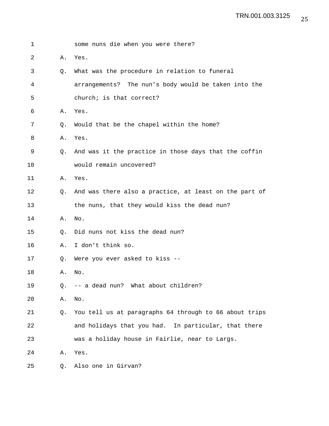| 1  |    | some nuns die when you were there?                     |
|----|----|--------------------------------------------------------|
| 2  | Α. | Yes.                                                   |
| 3  | O. | What was the procedure in relation to funeral          |
| 4  |    | arrangements? The nun's body would be taken into the   |
| 5  |    | church; is that correct?                               |
| 6  | Α. | Yes.                                                   |
| 7  | Q. | Would that be the chapel within the home?              |
| 8  | Α. | Yes.                                                   |
| 9  | О. | And was it the practice in those days that the coffin  |
| 10 |    | would remain uncovered?                                |
| 11 | Α. | Yes.                                                   |
| 12 | O. | And was there also a practice, at least on the part of |
| 13 |    | the nuns, that they would kiss the dead nun?           |
| 14 | Α. | No.                                                    |
| 15 | O. | Did nuns not kiss the dead nun?                        |
| 16 | Α. | I don't think so.                                      |
| 17 | Q. | Were you ever asked to kiss --                         |
| 18 | Α. | No.                                                    |
| 19 | Q. | -- a dead nun? What about children?                    |
| 20 | Α. | No.                                                    |
| 21 | Q. | You tell us at paragraphs 64 through to 66 about trips |
| 22 |    | and holidays that you had. In particular, that there   |
| 23 |    | was a holiday house in Fairlie, near to Largs.         |
| 24 | Α. | Yes.                                                   |
| 25 | Q. | Also one in Girvan?                                    |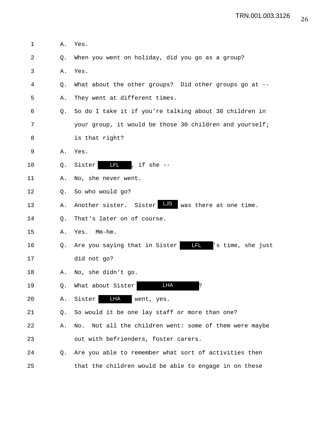1 A. Yes. 2 Q. When you went on holiday, did you go as a group? 3 A. Yes. 4 Q. What about the other groups? Did other groups go at -- 5 A. They went at different times. 6 Q. So do I take it if you're talking about 30 children in 7 your group, it would be those 30 children and yourself; 8 is that right? 9 A. Yes. 10  $Q.$  Sister  $\begin{array}{|c|c|c|c|c|}\n\hline\nI & , & \hline\nI & \hline\nI & , & \hline\nI & \hline\nI & \hline\nI & \hline\nI & \hline\nI & \hline\nI & \hline\nI & \hline\nI & \hline\nI & \hline\nI & \hline\nI & \hline\nI & \hline\nI & \hline\nI & \hline\nI & \hline\nI & \hline\nI & \hline\nI & \hline\nI & \hline\nI & \hline\nI & \hline\nI & \hline\nI & \hline\nI & \hline\nI & \hline\nI & \hline\nI & \hline$ 11 A. No, she never went. 12 Q. So who would go? 13 A. Another sister. Sister LUS was there at one time. 14 0. That's later on of course. 15 A. Yes. Mm-hm. 16 Q. Are you saying that in Sister 17 did not go? 18 A. No, she didn't go. 19 Q. What about Sister **IFA** ? 20 A. Sister LHA went, yes. 21 Q. So would it be one lay staff or more than one? 22 A. No. Not all the children went: some of them were maybe 23 out with befrienders, foster carers. 24 Q. Are you able to remember what sort of activities then 25 that the children would be able to engage in on these LFL 's time, she just LFL LHA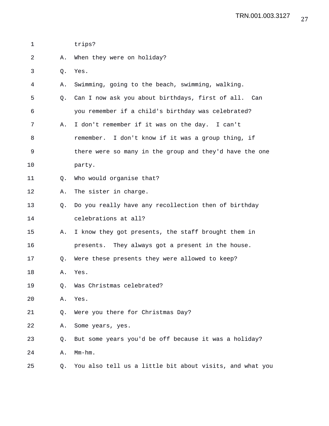| 1           |    | trips?                                                   |
|-------------|----|----------------------------------------------------------|
| 2           | Α. | When they were on holiday?                               |
| 3           | Q. | Yes.                                                     |
| 4           | Α. | Swimming, going to the beach, swimming, walking.         |
| 5           | Q. | Can I now ask you about birthdays, first of all. Can     |
| 6           |    | you remember if a child's birthday was celebrated?       |
| 7           | Α. | I don't remember if it was on the day. I can't           |
| 8           |    | remember. I don't know if it was a group thing, if       |
| $\mathsf 9$ |    | there were so many in the group and they'd have the one  |
| 10          |    | party.                                                   |
| 11          | Q. | Who would organise that?                                 |
| 12          | Α. | The sister in charge.                                    |
| 13          | Q. | Do you really have any recollection then of birthday     |
| 14          |    | celebrations at all?                                     |
| 15          | Α. | I know they got presents, the staff brought them in      |
| 16          |    | presents. They always got a present in the house.        |
| 17          | Q. | Were these presents they were allowed to keep?           |
| 18          | Α. | Yes.                                                     |
| 19          | Q. | Was Christmas celebrated?                                |
| 20          | Α. | Yes.                                                     |
| 21          | Q. | Were you there for Christmas Day?                        |
| 22          | Α. | Some years, yes.                                         |
| 23          | Q. | But some years you'd be off because it was a holiday?    |
| 24          | Α. | Mm-hm.                                                   |
| 25          | Q. | You also tell us a little bit about visits, and what you |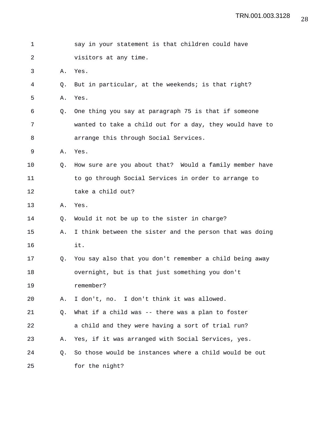| 1  |    | say in your statement is that children could have        |
|----|----|----------------------------------------------------------|
| 2  |    | visitors at any time.                                    |
| 3  | Α. | Yes.                                                     |
| 4  | Q. | But in particular, at the weekends; is that right?       |
| 5  | Α. | Yes.                                                     |
| 6  | O. | One thing you say at paragraph 75 is that if someone     |
| 7  |    | wanted to take a child out for a day, they would have to |
| 8  |    | arrange this through Social Services.                    |
| 9  | Α. | Yes.                                                     |
| 10 | 0. | How sure are you about that? Would a family member have  |
| 11 |    | to go through Social Services in order to arrange to     |
| 12 |    | take a child out?                                        |
| 13 | Α. | Yes.                                                     |
| 14 | Q. | Would it not be up to the sister in charge?              |
| 15 | Α. | I think between the sister and the person that was doing |
| 16 |    | it.                                                      |
| 17 | Q. | You say also that you don't remember a child being away  |
| 18 |    | overnight, but is that just something you don't          |
| 19 |    | remember?                                                |
| 20 | Α. | I don't, no. I don't think it was allowed.               |
| 21 | Q. | What if a child was -- there was a plan to foster        |
| 22 |    | a child and they were having a sort of trial run?        |
| 23 | Α. | Yes, if it was arranged with Social Services, yes.       |
| 24 | O. | So those would be instances where a child would be out   |
| 25 |    | for the night?                                           |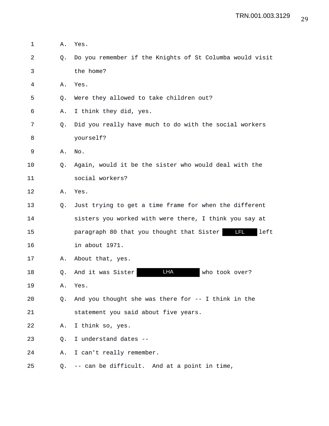1 A. Yes. 2 Q. Do you remember if the Knights of St Columba would visit 3 the home? 4 A. Yes. 5 Q. Were they allowed to take children out? 6 A. I think they did, yes. 7 Q. Did you really have much to do with the social workers 8 yourself? 9 A. No. 10 Q. Again, would it be the sister who would deal with the 11 social workers? 12 A. Yes. 13 Q. Just trying to get a time frame for when the different 14 sisters you worked with were there, I think you say at 15 paragraph 80 that you thought that Sister left LFL16 in about 1971. 17 A. About that, yes. 18 Q. And it was Sister **LHA** who took over? 19 A. Yes. 20 Q. And you thought she was there for -- I think in the 21 statement you said about five years. 22 A. I think so, yes. 23 Q. I understand dates -- 24 A. I can't really remember. 25 Q. -- can be difficult. And at a point in time,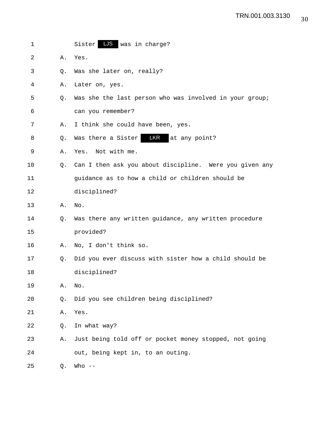| 1  |    | Sister LJS was in charge?                               |
|----|----|---------------------------------------------------------|
| 2  | Α. | Yes.                                                    |
| 3  | Q. | Was she later on, really?                               |
| 4  | Α. | Later on, yes.                                          |
| 5  | O. | Was she the last person who was involved in your group; |
| 6  |    | can you remember?                                       |
| 7  | Α. | I think she could have been, yes.                       |
| 8  | Q. | LKR<br>Was there a Sister<br>at any point?              |
| 9  | Α. | Not with me.<br>Yes.                                    |
| 10 | O. | Can I then ask you about discipline. Were you given any |
| 11 |    | guidance as to how a child or children should be        |
| 12 |    | disciplined?                                            |
| 13 | Α. | No.                                                     |
| 14 | Q. | Was there any written guidance, any written procedure   |
| 15 |    | provided?                                               |
| 16 | Α. | No, I don't think so.                                   |
| 17 | O. | Did you ever discuss with sister how a child should be  |
| 18 |    | disciplined?                                            |
| 19 | Α. | No.                                                     |
| 20 | Q. | Did you see children being disciplined?                 |
| 21 | Α. | Yes.                                                    |
| 22 | Q. | In what way?                                            |
| 23 | Α. | Just being told off or pocket money stopped, not going  |
| 24 |    | out, being kept in, to an outing.                       |
| 25 | Q. | Who $--$                                                |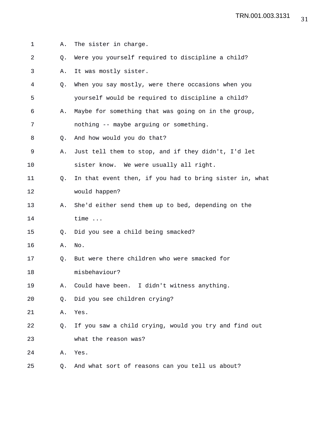| 1  | Α.        | The sister in charge.                                   |
|----|-----------|---------------------------------------------------------|
| 2  | Q.        | Were you yourself required to discipline a child?       |
| 3  | Α.        | It was mostly sister.                                   |
| 4  | Q.        | When you say mostly, were there occasions when you      |
| 5  |           | yourself would be required to discipline a child?       |
| 6  | Α.        | Maybe for something that was going on in the group,     |
| 7  |           | nothing -- maybe arguing or something.                  |
| 8  | O.        | And how would you do that?                              |
| 9  | Α.        | Just tell them to stop, and if they didn't, I'd let     |
| 10 |           | sister know. We were usually all right.                 |
| 11 | Q.        | In that event then, if you had to bring sister in, what |
| 12 |           | would happen?                                           |
| 13 | Α.        | She'd either send them up to bed, depending on the      |
| 14 |           | time                                                    |
| 15 | $\circ$ . | Did you see a child being smacked?                      |
| 16 | Α.        | No.                                                     |
| 17 | O.        | But were there children who were smacked for            |
| 18 |           | misbehaviour?                                           |
| 19 | Α.        | Could have been. I didn't witness anything.             |
| 20 | Q.        | Did you see children crying?                            |
| 21 | Α.        | Yes.                                                    |
| 22 | Q.        | If you saw a child crying, would you try and find out   |
| 23 |           | what the reason was?                                    |
| 24 | Α.        | Yes.                                                    |
| 25 | O.        | And what sort of reasons can you tell us about?         |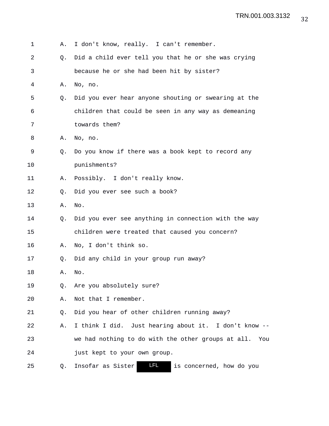| 1  | Α. | I don't know, really. I can't remember.                     |
|----|----|-------------------------------------------------------------|
| 2  | O. | Did a child ever tell you that he or she was crying         |
| 3  |    | because he or she had been hit by sister?                   |
| 4  | Α. | No, no.                                                     |
| 5  | O. | Did you ever hear anyone shouting or swearing at the        |
| 6  |    | children that could be seen in any way as demeaning         |
| 7  |    | towards them?                                               |
| 8  | Α. | No, no.                                                     |
| 9  | Q. | Do you know if there was a book kept to record any          |
| 10 |    | punishments?                                                |
| 11 | Α. | Possibly. I don't really know.                              |
| 12 | Q. | Did you ever see such a book?                               |
| 13 | Α. | No.                                                         |
| 14 | Q. | Did you ever see anything in connection with the way        |
| 15 |    | children were treated that caused you concern?              |
| 16 | Α. | No, I don't think so.                                       |
| 17 | Q. | Did any child in your group run away?                       |
| 18 | Α. | No.                                                         |
| 19 | Q. | Are you absolutely sure?                                    |
| 20 | Α. | Not that I remember.                                        |
| 21 | Q. | Did you hear of other children running away?                |
| 22 | Α. | I think I did. Just hearing about it. I don't know --       |
| 23 |    | we had nothing to do with the other groups at all. You      |
| 24 |    | just kept to your own group.                                |
| 25 | Q. | <u>LFL</u><br>Insofar as Sister<br>is concerned, how do you |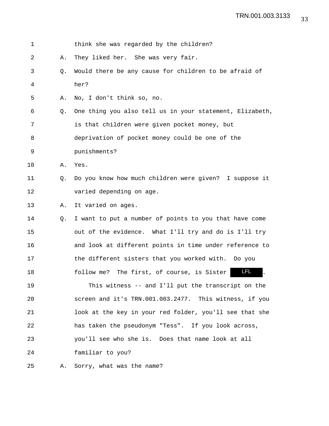| 1  |    | think she was regarded by the children?                  |
|----|----|----------------------------------------------------------|
| 2  | Α. | They liked her. She was very fair.                       |
| 3  | O. | Would there be any cause for children to be afraid of    |
| 4  |    | her?                                                     |
| 5  | Α. | No, I don't think so, no.                                |
| 6  | Q. | One thing you also tell us in your statement, Elizabeth, |
| 7  |    | is that children were given pocket money, but            |
| 8  |    | deprivation of pocket money could be one of the          |
| 9  |    | punishments?                                             |
| 10 | Α. | Yes.                                                     |
| 11 | Q. | Do you know how much children were given? I suppose it   |
| 12 |    | varied depending on age.                                 |
| 13 | Α. | It varied on ages.                                       |
| 14 | Q. | I want to put a number of points to you that have come   |
| 15 |    | out of the evidence. What I'll try and do is I'll try    |
| 16 |    | and look at different points in time under reference to  |
| 17 |    | the different sisters that you worked with. Do you       |
| 18 |    | LFL<br>follow me? The first, of course, is Sister        |
| 19 |    | This witness -- and I'll put the transcript on the       |
| 20 |    | screen and it's TRN.001.003.2477. This witness, if you   |
| 21 |    | look at the key in your red folder, you'll see that she  |
| 22 |    | has taken the pseudonym "Tess". If you look across,      |
| 23 |    | you'll see who she is. Does that name look at all        |
| 24 |    | familiar to you?                                         |
|    |    |                                                          |

25 A. Sorry, what was the name?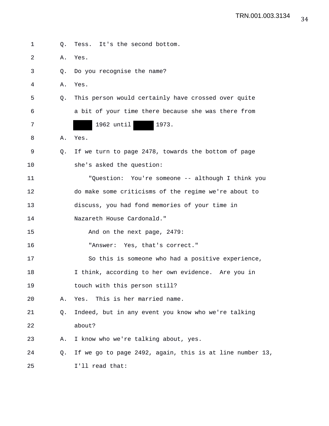| 1  | О. | Tess. It's the second bottom.                            |
|----|----|----------------------------------------------------------|
| 2  | Α. | Yes.                                                     |
| 3  | O. | Do you recognise the name?                               |
| 4  | Α. | Yes.                                                     |
| 5  | 0. | This person would certainly have crossed over quite      |
| 6  |    | a bit of your time there because she was there from      |
| 7  |    | 1962 until<br>1973.                                      |
| 8  | Α. | Yes.                                                     |
| 9  | Q. | If we turn to page 2478, towards the bottom of page      |
| 10 |    | she's asked the question:                                |
| 11 |    | "Question: You're someone -- although I think you        |
| 12 |    | do make some criticisms of the regime we're about to     |
| 13 |    | discuss, you had fond memories of your time in           |
| 14 |    | Nazareth House Cardonald."                               |
| 15 |    | And on the next page, 2479:                              |
| 16 |    | "Answer: Yes, that's correct."                           |
| 17 |    | So this is someone who had a positive experience,        |
| 18 |    | I think, according to her own evidence. Are you in       |
| 19 |    | touch with this person still?                            |
| 20 | Α. | This is her married name.<br>Yes.                        |
| 21 | Q. | Indeed, but in any event you know who we're talking      |
| 22 |    | about?                                                   |
| 23 | Α. | I know who we're talking about, yes.                     |
| 24 | Q. | If we go to page 2492, again, this is at line number 13, |
| 25 |    | I'll read that:                                          |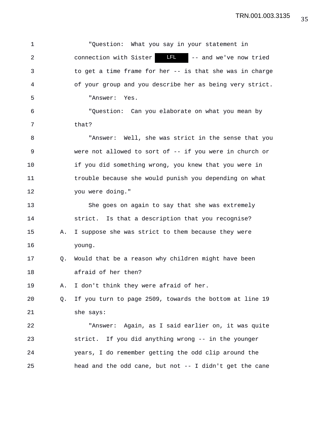1 "Question: What you say in your statement in 2 connection with Sister **LEL** -- and we've now tried 3 to get a time frame for her -- is that she was in charge 4 of your group and you describe her as being very strict. 5 "Answer: Yes. 6 "Question: Can you elaborate on what you mean by 7 that? 8 "Answer: Well, she was strict in the sense that you 9 were not allowed to sort of -- if you were in church or 10 if you did something wrong, you knew that you were in 11 trouble because she would punish you depending on what 12 you were doing." 13 She goes on again to say that she was extremely 14 strict. Is that a description that you recognise? 15 A. I suppose she was strict to them because they were 16 young. 17 Q. Would that be a reason why children might have been 18 afraid of her then? 19 A. I don't think they were afraid of her. 20 Q. If you turn to page 2509, towards the bottom at line 19 21 she says: 22 "Answer: Again, as I said earlier on, it was quite 23 strict. If you did anything wrong -- in the younger 24 years, I do remember getting the odd clip around the 25 head and the odd cane, but not -- I didn't get the cane LFL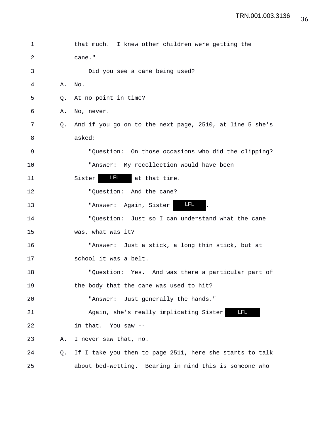| 1  |    | that much. I knew other children were getting the        |
|----|----|----------------------------------------------------------|
| 2  |    | cane."                                                   |
| 3  |    | Did you see a cane being used?                           |
| 4  | Α. | No.                                                      |
| 5  |    | Q. At no point in time?                                  |
| 6  | Α. | No, never.                                               |
| 7  | 0. | And if you go on to the next page, 2510, at line 5 she's |
| 8  |    | asked:                                                   |
| 9  |    | "Question: On those occasions who did the clipping?      |
| 10 |    | "Answer: My recollection would have been                 |
| 11 |    | LFL 1<br>Sister<br>at that time.                         |
| 12 |    | "Question: And the cane?                                 |
| 13 |    | <u>LFL </u><br>"Answer: Again, Sister                    |
| 14 |    | "Question: Just so I can understand what the cane        |
| 15 |    | was, what was it?                                        |
| 16 |    | "Answer: Just a stick, a long thin stick, but at         |
| 17 |    | school it was a belt.                                    |
| 18 |    | "Question: Yes. And was there a particular part of       |
| 19 |    | the body that the cane was used to hit?                  |
| 20 |    | "Answer: Just generally the hands."                      |
| 21 |    | و ہیں ہے<br>Again, she's really implicating Sister       |
| 22 |    | in that. You saw --                                      |
| 23 | Α. | I never saw that, no.                                    |
| 24 | Q. | If I take you then to page 2511, here she starts to talk |
| 25 |    | about bed-wetting. Bearing in mind this is someone who   |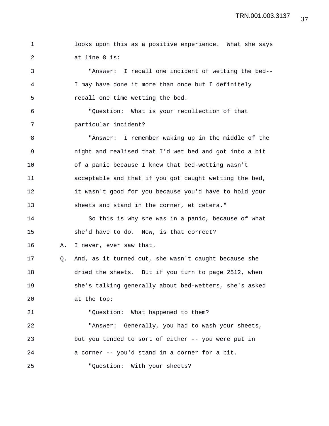1 looks upon this as a positive experience. What she says 2 at line 8 is: 3 "Answer: I recall one incident of wetting the bed--

4 I may have done it more than once but I definitely 5 recall one time wetting the bed.

6 "Question: What is your recollection of that 7 particular incident?

8 "Answer: I remember waking up in the middle of the 9 night and realised that I'd wet bed and got into a bit 10 of a panic because I knew that bed-wetting wasn't 11 acceptable and that if you got caught wetting the bed, 12 it wasn't good for you because you'd have to hold your 13 sheets and stand in the corner, et cetera."

14 So this is why she was in a panic, because of what 15 she'd have to do. Now, is that correct?

16 A. I never, ever saw that.

17 Q. And, as it turned out, she wasn't caught because she 18 dried the sheets. But if you turn to page 2512, when 19 she's talking generally about bed-wetters, she's asked 20 at the top:

21 "Question: What happened to them?

22 "Answer: Generally, you had to wash your sheets, 23 but you tended to sort of either -- you were put in 24 a corner -- you'd stand in a corner for a bit.

25 "Question: With your sheets?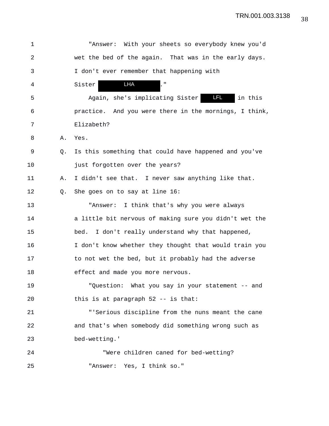| 1  |    | "Answer: With your sheets so everybody knew you'd         |
|----|----|-----------------------------------------------------------|
| 2  |    | wet the bed of the again. That was in the early days.     |
| 3  |    | I don't ever remember that happening with                 |
| 4  |    | LHA<br>Ç.<br>Sister                                       |
| 5  |    | <b>ELEL</b><br>Again, she's implicating Sister<br>in this |
| 6  |    | practice. And you were there in the mornings, I think,    |
| 7  |    | Elizabeth?                                                |
| 8  | Α. | Yes.                                                      |
| 9  | O. | Is this something that could have happened and you've     |
| 10 |    | just forgotten over the years?                            |
| 11 | Α. | I didn't see that. I never saw anything like that.        |
| 12 | Q. | She goes on to say at line 16:                            |
| 13 |    | "Answer: I think that's why you were always               |
| 14 |    | a little bit nervous of making sure you didn't wet the    |
| 15 |    | I don't really understand why that happened,<br>bed.      |
| 16 |    | I don't know whether they thought that would train you    |
| 17 |    | to not wet the bed, but it probably had the adverse       |
| 18 |    | effect and made you more nervous.                         |
| 19 |    | "Question: What you say in your statement -- and          |
| 20 |    | this is at paragraph $52$ -- is that:                     |
| 21 |    | "'Serious discipline from the nuns meant the cane         |
| 22 |    | and that's when somebody did something wrong such as      |
| 23 |    | bed-wetting.'                                             |
| 24 |    | "Were children caned for bed-wetting?                     |
| 25 |    | Yes, I think so."<br>"Answer:                             |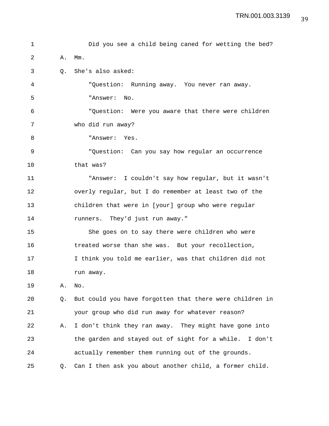```
1 Did you see a child being caned for wetting the bed?
2 A. Mm.
3 Q. She's also asked:
4 "Question: Running away. You never ran away.
5 "Answer: No.
6 "Question: Were you aware that there were children
7 who did run away?
8 "Answer: Yes.
9 "Question: Can you say how regular an occurrence
10 that was?
11 "Answer: I couldn't say how regular, but it wasn't
12 overly regular, but I do remember at least two of the
13 children that were in [your] group who were regular
14 runners. They'd just run away."
15 She goes on to say there were children who were
16 treated worse than she was. But your recollection,
17 I think you told me earlier, was that children did not
18 run away.
19 A. No.
20 Q. But could you have forgotten that there were children in
21 your group who did run away for whatever reason?
22 A. I don't think they ran away. They might have gone into
23 the garden and stayed out of sight for a while. I don't
24 actually remember them running out of the grounds.
25 Q. Can I then ask you about another child, a former child.
```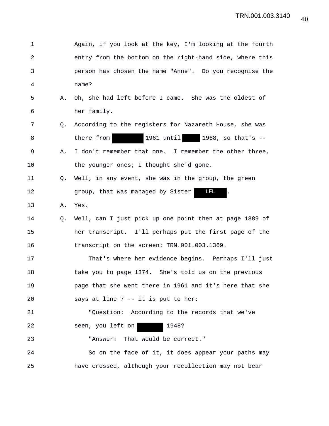| $\mathbf 1$    |    | Again, if you look at the key, I'm looking at the fourth |
|----------------|----|----------------------------------------------------------|
| $\overline{2}$ |    | entry from the bottom on the right-hand side, where this |
| 3              |    | person has chosen the name "Anne". Do you recognise the  |
| 4              |    | name?                                                    |
| 5              | Α. | Oh, she had left before I came. She was the oldest of    |
| 6              |    | her family.                                              |
| 7              | Q. | According to the registers for Nazareth House, she was   |
| 8              |    | 1961 until<br>1968, so that's --<br>there from           |
| 9              | Α. | I don't remember that one. I remember the other three,   |
| 10             |    | the younger ones; I thought she'd gone.                  |
| 11             | Q. | Well, in any event, she was in the group, the green      |
| 12             |    | <b>LFL</b><br>group, that was managed by Sister          |
| 13             | Α. | Yes.                                                     |
| 14             | Q. | Well, can I just pick up one point then at page 1389 of  |
| 15             |    | her transcript. I'll perhaps put the first page of the   |
| 16             |    | transcript on the screen: TRN.001.003.1369.              |
| 17             |    | That's where her evidence begins. Perhaps I'll just      |
| 18             |    | take you to page 1374. She's told us on the previous     |
| 19             |    | page that she went there in 1961 and it's here that she  |
| 20             |    | says at line 7 -- it is put to her:                      |
| 21             |    | "Question: According to the records that we've           |
| 22             |    | seen, you left on<br>1948?                               |
| 23             |    | "Answer: That would be correct."                         |
| 24             |    | So on the face of it, it does appear your paths may      |
| 25             |    | have crossed, although your recollection may not bear    |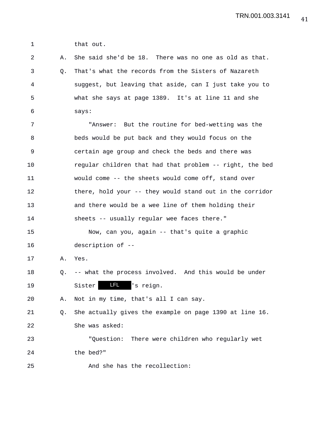1 that out.

2 A. She said she'd be 18. There was no one as old as that. 3 Q. That's what the records from the Sisters of Nazareth 4 suggest, but leaving that aside, can I just take you to 5 what she says at page 1389. It's at line 11 and she 6 says: 7 "Answer: But the routine for bed-wetting was the 8 beds would be put back and they would focus on the 9 certain age group and check the beds and there was 10 regular children that had that problem -- right, the bed 11 would come -- the sheets would come off, stand over 12 there, hold your -- they would stand out in the corridor 13 and there would be a wee line of them holding their 14 sheets -- usually regular wee faces there." 15 Now, can you, again -- that's quite a graphic 16 description of -- 17 A. Yes. 18 Q. -- what the process involved. And this would be under 19 Sister LEL 's reign. 20 A. Not in my time, that's all I can say. 21 Q. She actually gives the example on page 1390 at line 16. 22 She was asked: 23 "Question: There were children who regularly wet 24 the bed?" 25 And she has the recollection: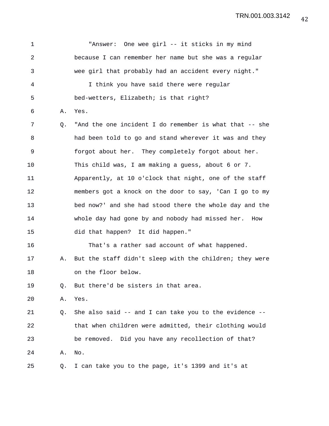| 1              |    | "Answer: One wee girl -- it sticks in my mind                |
|----------------|----|--------------------------------------------------------------|
| $\overline{a}$ |    | because I can remember her name but she was a regular        |
| 3              |    | wee girl that probably had an accident every night."         |
| 4              |    | I think you have said there were regular                     |
| 5              |    | bed-wetters, Elizabeth; is that right?                       |
| 6              | Α. | Yes.                                                         |
| 7              | Q. | "And the one incident I do remember is what that -- she      |
| 8              |    | had been told to go and stand wherever it was and they       |
| 9              |    | forgot about her. They completely forgot about her.          |
| 10             |    | This child was, I am making a guess, about 6 or 7.           |
| 11             |    | Apparently, at 10 o'clock that night, one of the staff       |
| 12             |    | members got a knock on the door to say, 'Can I go to my      |
| 13             |    | bed now?' and she had stood there the whole day and the      |
| 14             |    | whole day had gone by and nobody had missed her. How         |
| 15             |    | did that happen? It did happen."                             |
| 16             |    | That's a rather sad account of what happened.                |
| 17             | Α. | But the staff didn't sleep with the children; they were      |
| 18             |    | on the floor below.                                          |
| 19             | Q. | But there'd be sisters in that area.                         |
| 20             | Α. | Yes.                                                         |
| 21             | Q. | She also said $-$ - and I can take you to the evidence $-$ - |
| 22             |    | that when children were admitted, their clothing would       |
| 23             |    | be removed. Did you have any recollection of that?           |
| 24             | Α. | No.                                                          |
| 25             | Q. | I can take you to the page, it's 1399 and it's at            |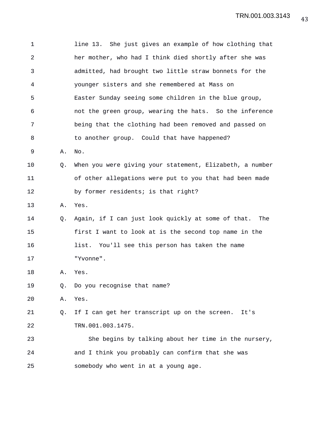| 1              |    | line 13. She just gives an example of how clothing that   |  |  |  |  |  |  |  |  |  |
|----------------|----|-----------------------------------------------------------|--|--|--|--|--|--|--|--|--|
| $\overline{a}$ |    | her mother, who had I think died shortly after she was    |  |  |  |  |  |  |  |  |  |
| 3              |    | admitted, had brought two little straw bonnets for the    |  |  |  |  |  |  |  |  |  |
| 4              |    | younger sisters and she remembered at Mass on             |  |  |  |  |  |  |  |  |  |
| 5              |    | Easter Sunday seeing some children in the blue group,     |  |  |  |  |  |  |  |  |  |
| 6              |    | not the green group, wearing the hats. So the inference   |  |  |  |  |  |  |  |  |  |
| 7              |    | being that the clothing had been removed and passed on    |  |  |  |  |  |  |  |  |  |
| 8              |    | to another group. Could that have happened?               |  |  |  |  |  |  |  |  |  |
| 9              | Α. | No.                                                       |  |  |  |  |  |  |  |  |  |
| 10             | Q. | When you were giving your statement, Elizabeth, a number  |  |  |  |  |  |  |  |  |  |
| 11             |    | of other allegations were put to you that had been made   |  |  |  |  |  |  |  |  |  |
| 12             |    | by former residents; is that right?                       |  |  |  |  |  |  |  |  |  |
| 13             | Α. | Yes.                                                      |  |  |  |  |  |  |  |  |  |
| 14             | Q. | Again, if I can just look quickly at some of that.<br>The |  |  |  |  |  |  |  |  |  |
| 15             |    | first I want to look at is the second top name in the     |  |  |  |  |  |  |  |  |  |
| 16             |    | list. You'll see this person has taken the name           |  |  |  |  |  |  |  |  |  |
| 17             |    | "Yvonne".                                                 |  |  |  |  |  |  |  |  |  |
| 18             | Α. | Yes.                                                      |  |  |  |  |  |  |  |  |  |
| 19             | Q. | Do you recognise that name?                               |  |  |  |  |  |  |  |  |  |
| 20             | Α. | Yes.                                                      |  |  |  |  |  |  |  |  |  |
| 21             | Q. | If I can get her transcript up on the screen.<br>It's     |  |  |  |  |  |  |  |  |  |
| 22             |    | TRN.001.003.1475.                                         |  |  |  |  |  |  |  |  |  |
| 23             |    | She begins by talking about her time in the nursery,      |  |  |  |  |  |  |  |  |  |
| 24             |    | and I think you probably can confirm that she was         |  |  |  |  |  |  |  |  |  |
| 25             |    | somebody who went in at a young age.                      |  |  |  |  |  |  |  |  |  |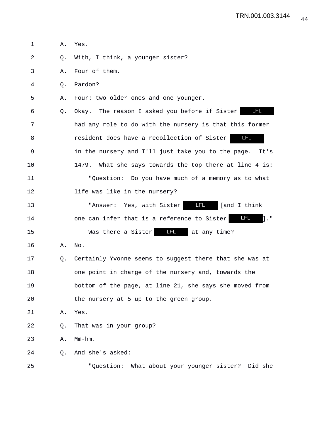| 1  | Α. | Yes.                                                                        |
|----|----|-----------------------------------------------------------------------------|
| 2  | Q. | With, I think, a younger sister?                                            |
| 3  | Α. | Four of them.                                                               |
| 4  | Q. | Pardon?                                                                     |
| 5  | Α. | Four: two older ones and one younger.                                       |
| 6  | Q. | $\blacksquare$<br>Okay. The reason I asked you before if Sister             |
| 7  |    | had any role to do with the nursery is that this former                     |
| 8  |    | LFL.<br>resident does have a recollection of Sister                         |
| 9  |    | in the nursery and I'll just take you to the page.<br>It's                  |
| 10 |    | 1479. What she says towards the top there at line 4 is:                     |
| 11 |    | "Question: Do you have much of a memory as to what                          |
| 12 |    | life was like in the nursery?                                               |
| 13 |    | <u>an dalam sa</u><br>"Answer: Yes, with Sister<br>[and I think             |
| 14 |    | LFL.<br>$\mathbf{1} \cdot$ "<br>one can infer that is a reference to Sister |
| 15 |    | <b>LFL</b><br>Was there a Sister<br>at any time?                            |
| 16 | Α. | No.                                                                         |
| 17 | Q. | Certainly Yvonne seems to suggest there that she was at                     |
| 18 |    | one point in charge of the nursery and, towards the                         |
| 19 |    | bottom of the page, at line 21, she says she moved from                     |
| 20 |    | the nursery at 5 up to the green group.                                     |
| 21 | Α. | Yes.                                                                        |
| 22 | Q. | That was in your group?                                                     |
| 23 | Α. | $Mm-hm$ .                                                                   |
| 24 | О. | And she's asked:                                                            |
| 25 |    | "Question: What about your younger sister? Did she                          |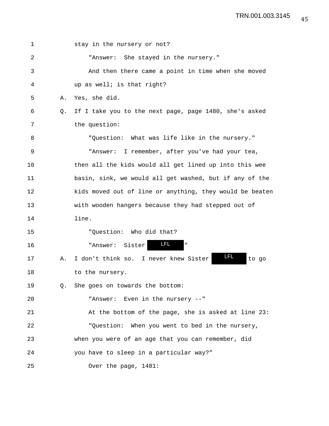| 1  |           | stay in the nursery or not?                              |
|----|-----------|----------------------------------------------------------|
| 2  |           | "Answer: She stayed in the nursery."                     |
| 3  |           | And then there came a point in time when she moved       |
| 4  |           | up as well; is that right?                               |
| 5  | Α.        | Yes, she did.                                            |
| 6  | O.        | If I take you to the next page, page 1480, she's asked   |
| 7  |           | the question:                                            |
| 8  |           | "Question: What was life like in the nursery."           |
| 9  |           | "Answer: I remember, after you've had your tea,          |
| 10 |           | then all the kids would all get lined up into this wee   |
| 11 |           | basin, sink, we would all get washed, but if any of the  |
| 12 |           | kids moved out of line or anything, they would be beaten |
| 13 |           | with wooden hangers because they had stepped out of      |
| 14 |           | line.                                                    |
| 15 |           | "Question: Who did that?                                 |
| 16 |           | LFL.<br>$\mathbf{H}$<br>"Answer: Sister                  |
| 17 | Α.        | LFL<br>I don't think so. I never knew Sister<br>to go    |
| 18 |           | to the nursery.                                          |
| 19 | $\circ$ . | She goes on towards the bottom:                          |
| 20 |           | "Answer: Even in the nursery --"                         |
| 21 |           | At the bottom of the page, she is asked at line 23:      |
| 22 |           | "Question: When you went to bed in the nursery,          |
| 23 |           | when you were of an age that you can remember, did       |
| 24 |           | you have to sleep in a particular way?"                  |
| 25 |           | Over the page, 1481:                                     |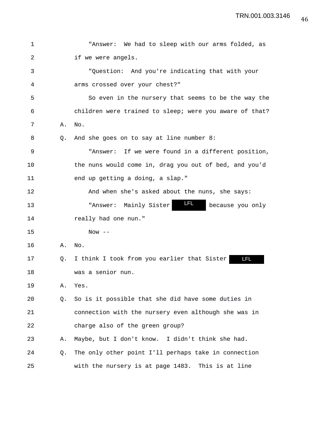| 1  |    | "Answer: We had to sleep with our arms folded, as         |
|----|----|-----------------------------------------------------------|
| 2  |    | if we were angels.                                        |
| 3  |    | "Question: And you're indicating that with your           |
| 4  |    | arms crossed over your chest?"                            |
| 5  |    | So even in the nursery that seems to be the way the       |
| 6  |    | children were trained to sleep; were you aware of that?   |
| 7  | Α. | No.                                                       |
| 8  | Q. | And she goes on to say at line number 8:                  |
| 9  |    | "Answer: If we were found in a different position,        |
| 10 |    | the nuns would come in, drag you out of bed, and you'd    |
| 11 |    | end up getting a doing, a slap."                          |
| 12 |    | And when she's asked about the nuns, she says:            |
| 13 |    | LFL.<br>"Answer: Mainly Sister<br>because you only        |
| 14 |    | really had one nun."                                      |
| 15 |    | Now $--$                                                  |
| 16 | Α. | No.                                                       |
| 17 | Q. | I think I took from you earlier that Sister<br><b>LFL</b> |
| 18 |    | was a senior nun.                                         |
| 19 | Α. | Yes.                                                      |
| 20 | Q. | So is it possible that she did have some duties in        |
| 21 |    | connection with the nursery even although she was in      |
| 22 |    | charge also of the green group?                           |
| 23 | Α. | Maybe, but I don't know. I didn't think she had.          |
| 24 | Q. | The only other point I'll perhaps take in connection      |
| 25 |    | with the nursery is at page 1483. This is at line         |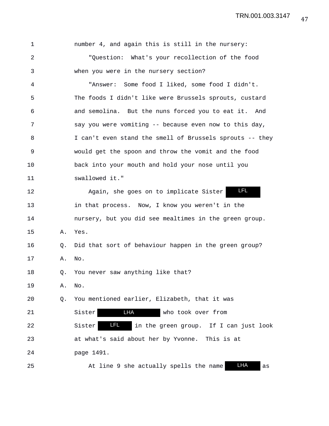| $\mathbf 1$    |    | number 4, and again this is still in the nursery:          |
|----------------|----|------------------------------------------------------------|
| $\overline{a}$ |    | "Question: What's your recollection of the food            |
| 3              |    | when you were in the nursery section?                      |
| 4              |    | "Answer: Some food I liked, some food I didn't.            |
| 5              |    | The foods I didn't like were Brussels sprouts, custard     |
| 6              |    | and semolina. But the nuns forced you to eat it. And       |
| 7              |    | say you were vomiting -- because even now to this day,     |
| 8              |    | I can't even stand the smell of Brussels sprouts -- they   |
| $\mathsf 9$    |    | would get the spoon and throw the vomit and the food       |
| 10             |    | back into your mouth and hold your nose until you          |
| 11             |    | swallowed it."                                             |
| 12             |    | LFL<br>Again, she goes on to implicate Sister              |
| 13             |    | in that process. Now, I know you weren't in the            |
| 14             |    | nursery, but you did see mealtimes in the green group.     |
| 15             | Α. | Yes.                                                       |
| 16             | Q. | Did that sort of behaviour happen in the green group?      |
| 17             | Α. | No.                                                        |
| 18             | Q. | You never saw anything like that?                          |
| 19             | Α. | No.                                                        |
| 20             | Q. | You mentioned earlier, Elizabeth, that it was              |
| 21             |    | LHA<br>Sister<br>who took over from                        |
| 22             |    | LFL.<br>in the green group. If I can just look<br>Sister   |
| 23             |    | at what's said about her by Yvonne.<br>This is at          |
| 24             |    | page 1491.                                                 |
| 25             |    | <b>LHA</b><br>At line 9 she actually spells the name<br>as |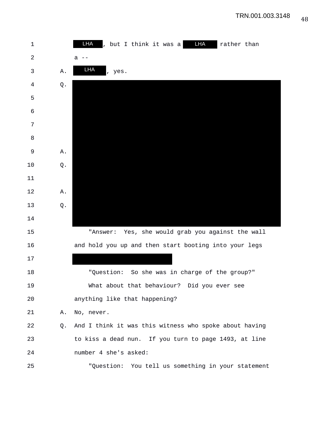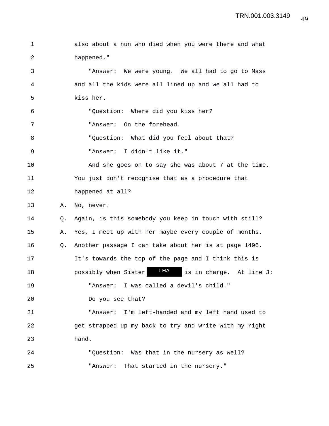```
1 also about a nun who died when you were there and what
2 happened."
3 "Answer: We were young. We all had to go to Mass
4 and all the kids were all lined up and we all had to
5 kiss her.
6 "Question: Where did you kiss her?
7 "Answer: On the forehead.
8 "Question: What did you feel about that?
9 "Answer: I didn't like it."
10 And she goes on to say she was about 7 at the time.
11 You just don't recognise that as a procedure that
12 happened at all?
13 A. No, never.
14 Q. Again, is this somebody you keep in touch with still?
15 A. Yes, I meet up with her maybe every couple of months.
16 Q. Another passage I can take about her is at page 1496.
17 It's towards the top of the page and I think this is
18 bossibly when Sister LHA is in charge. At line 3:
19 "Answer: I was called a devil's child."
20 Do you see that?
21 "Answer: I'm left-handed and my left hand used to
22 get strapped up my back to try and write with my right
23 hand.
24 "Question: Was that in the nursery as well?
25 "Answer: That started in the nursery."
```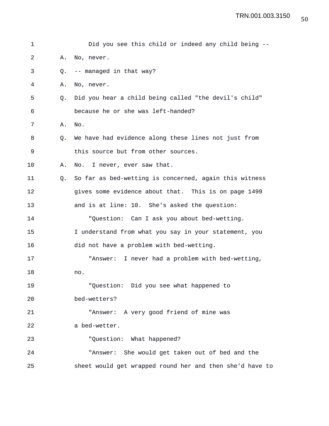| 1  |    | Did you see this child or indeed any child being --      |
|----|----|----------------------------------------------------------|
| 2  | Α. | No, never.                                               |
| 3  | Q. | -- managed in that way?                                  |
| 4  | Α. | No, never.                                               |
| 5  | Q. | Did you hear a child being called "the devil's child"    |
| 6  |    | because he or she was left-handed?                       |
| 7  | Α. | No.                                                      |
| 8  | Q. | We have had evidence along these lines not just from     |
| 9  |    | this source but from other sources.                      |
| 10 | Α. | I never, ever saw that.<br>No.                           |
| 11 | O. | So far as bed-wetting is concerned, again this witness   |
| 12 |    | gives some evidence about that. This is on page 1499     |
| 13 |    | and is at line: 10. She's asked the question:            |
| 14 |    | "Question: Can I ask you about bed-wetting.              |
| 15 |    | I understand from what you say in your statement, you    |
| 16 |    | did not have a problem with bed-wetting.                 |
| 17 |    | "Answer: I never had a problem with bed-wetting,         |
| 18 |    | no.                                                      |
| 19 |    | "Question: Did you see what happened to                  |
| 20 |    | bed-wetters?                                             |
| 21 |    | "Answer: A very good friend of mine was                  |
| 22 |    | a bed-wetter.                                            |
| 23 |    | "Question: What happened?                                |
| 24 |    | "Answer: She would get taken out of bed and the          |
| 25 |    | sheet would get wrapped round her and then she'd have to |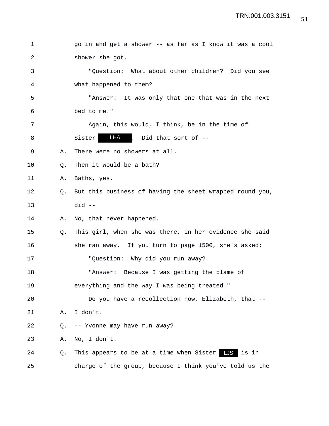| 1  |    | go in and get a shower -- as far as I know it was a cool |  |  |  |  |  |  |  |
|----|----|----------------------------------------------------------|--|--|--|--|--|--|--|
| 2  |    | shower she got.                                          |  |  |  |  |  |  |  |
| 3  |    | "Question: What about other children? Did you see        |  |  |  |  |  |  |  |
| 4  |    | what happened to them?                                   |  |  |  |  |  |  |  |
| 5  |    | "Answer: It was only that one that was in the next       |  |  |  |  |  |  |  |
| 6  |    | bed to me."                                              |  |  |  |  |  |  |  |
| 7  |    | Again, this would, I think, be in the time of            |  |  |  |  |  |  |  |
| 8  |    | LHA . Did that sort of --<br>Sister                      |  |  |  |  |  |  |  |
| 9  | Α. | There were no showers at all.                            |  |  |  |  |  |  |  |
| 10 | О. | Then it would be a bath?                                 |  |  |  |  |  |  |  |
| 11 | Α. | Baths, yes.                                              |  |  |  |  |  |  |  |
| 12 | O. | But this business of having the sheet wrapped round you, |  |  |  |  |  |  |  |
| 13 |    | $did --$                                                 |  |  |  |  |  |  |  |
| 14 | Α. | No, that never happened.                                 |  |  |  |  |  |  |  |
| 15 | Q. | This girl, when she was there, in her evidence she said  |  |  |  |  |  |  |  |
| 16 |    | she ran away. If you turn to page 1500, she's asked:     |  |  |  |  |  |  |  |
| 17 |    | "Question: Why did you run away?                         |  |  |  |  |  |  |  |
| 18 |    | "Answer: Because I was getting the blame of              |  |  |  |  |  |  |  |
| 19 |    | everything and the way I was being treated."             |  |  |  |  |  |  |  |
| 20 |    | Do you have a recollection now, Elizabeth, that --       |  |  |  |  |  |  |  |
| 21 | Α. | I don't.                                                 |  |  |  |  |  |  |  |
| 22 | Q. | -- Yvonne may have run away?                             |  |  |  |  |  |  |  |
| 23 | Α. | No, I don't.                                             |  |  |  |  |  |  |  |
| 24 | Q. | This appears to be at a time when Sister LJS<br>is in    |  |  |  |  |  |  |  |
| 25 |    | charge of the group, because I think you've told us the  |  |  |  |  |  |  |  |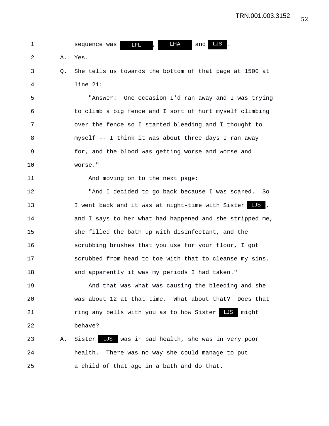| 1  |    | LHA<br>LJS<br><b>LFL</b><br>and<br>sequence was          |
|----|----|----------------------------------------------------------|
| 2  | Α. | Yes.                                                     |
| 3  | Q. | She tells us towards the bottom of that page at 1500 at  |
| 4  |    | $line 21$ :                                              |
| 5  |    | "Answer: One occasion I'd ran away and I was trying      |
| 6  |    | to climb a big fence and I sort of hurt myself climbing  |
| 7  |    | over the fence so I started bleeding and I thought to    |
| 8  |    | myself -- I think it was about three days I ran away     |
| 9  |    | for, and the blood was getting worse and worse and       |
| 10 |    | worse."                                                  |
| 11 |    | And moving on to the next page:                          |
| 12 |    | "And I decided to go back because I was scared. So       |
| 13 |    | I went back and it was at night-time with Sister LJS     |
| 14 |    | and I says to her what had happened and she stripped me, |
| 15 |    | she filled the bath up with disinfectant, and the        |
| 16 |    | scrubbing brushes that you use for your floor, I got     |
| 17 |    | scrubbed from head to toe with that to cleanse my sins,  |
| 18 |    | and apparently it was my periods I had taken."           |
| 19 |    | And that was what was causing the bleeding and she       |
| 20 |    | was about 12 at that time. What about that? Does that    |
| 21 |    | ring any bells with you as to how Sister LS<br>might     |
| 22 |    | behave?                                                  |
| 23 | Α. | LJS was in bad health, she was in very poor<br>Sister    |
| 24 |    | health. There was no way she could manage to put         |
| 25 |    | a child of that age in a bath and do that.               |
|    |    |                                                          |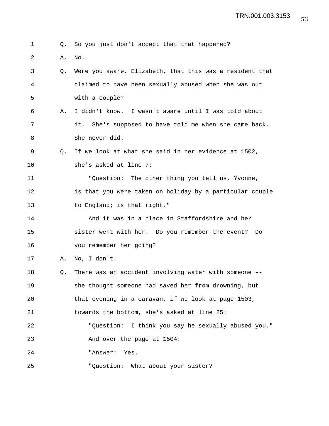|  |  |  |  |  |  |  |  |  | Q. So you just don't accept that that happened? |  |
|--|--|--|--|--|--|--|--|--|-------------------------------------------------|--|
|--|--|--|--|--|--|--|--|--|-------------------------------------------------|--|

- 2 A. No.
- 3 Q. Were you aware, Elizabeth, that this was a resident that 4 claimed to have been sexually abused when she was out 5 with a couple?
- 6 A. I didn't know. I wasn't aware until I was told about 7 it. She's supposed to have told me when she came back. 8 She never did.
- 9 Q. If we look at what she said in her evidence at 1502, 10 she's asked at line 7:

11 "Question: The other thing you tell us, Yvonne, 12 is that you were taken on holiday by a particular couple 13 to England; is that right."

14 And it was in a place in Staffordshire and her 15 sister went with her. Do you remember the event? Do 16 you remember her going?

17 A. No, I don't.

18 Q. There was an accident involving water with someone -- 19 she thought someone had saved her from drowning, but 20 that evening in a caravan, if we look at page 1503, 21 towards the bottom, she's asked at line 25: 22 "Question: I think you say he sexually abused you." 23 And over the page at 1504: 24 "Answer: Yes.

25 "Question: What about your sister?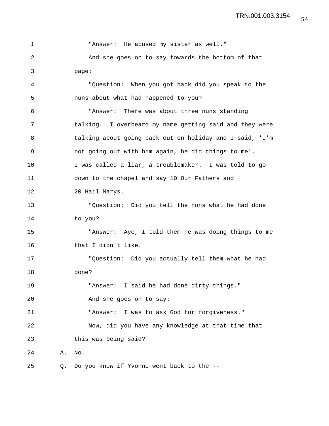| $\mathbf 1$ |    | "Answer: He abused my sister as well."                   |
|-------------|----|----------------------------------------------------------|
| 2           |    | And she goes on to say towards the bottom of that        |
| 3           |    | page:                                                    |
| 4           |    | "Question: When you got back did you speak to the        |
| 5           |    | nuns about what had happened to you?                     |
| 6           |    | "Answer: There was about three nuns standing             |
| 7           |    | talking. I overheard my name getting said and they were  |
| 8           |    | talking about going back out on holiday and I said, 'I'm |
| $\mathsf 9$ |    | not going out with him again, he did things to me'.      |
| 10          |    | I was called a liar, a troublemaker. I was told to go    |
| 11          |    | down to the chapel and say 10 Our Fathers and            |
| 12          |    | 20 Hail Marys.                                           |
| 13          |    | "Question: Did you tell the nuns what he had done        |
| 14          |    | to you?                                                  |
| 15          |    | "Answer: Aye, I told them he was doing things to me      |
| 16          |    | that I didn't like.                                      |
| 17          |    | "Question: Did you actually tell them what he had        |
| 18          |    | done?                                                    |
| 19          |    | "Answer: I said he had done dirty things."               |
| 20          |    | And she goes on to say:                                  |
| 21          |    | "Answer: I was to ask God for forgiveness."              |
| 22          |    | Now, did you have any knowledge at that time that        |
| 23          |    | this was being said?                                     |
| 24          | Α. | No.                                                      |
| 25          | Q. | Do you know if Yvonne went back to the --                |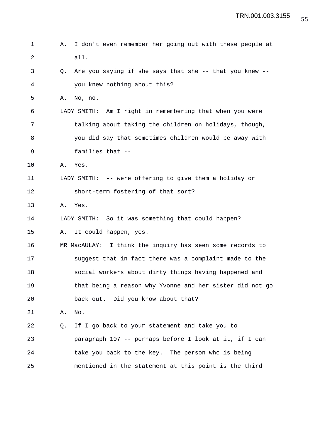1 A. I don't even remember her going out with these people at 2 all. 3 Q. Are you saying if she says that she -- that you knew -- 4 you knew nothing about this? 5 A. No, no. 6 LADY SMITH: Am I right in remembering that when you were 7 talking about taking the children on holidays, though, 8 you did say that sometimes children would be away with 9 families that -- 10 A. Yes. 11 LADY SMITH: -- were offering to give them a holiday or 12 short-term fostering of that sort? 13 A. Yes. 14 LADY SMITH: So it was something that could happen? 15 A. It could happen, yes. 16 MR MacAULAY: I think the inquiry has seen some records to 17 suggest that in fact there was a complaint made to the 18 social workers about dirty things having happened and 19 that being a reason why Yvonne and her sister did not go 20 back out. Did you know about that? 21 A. No. 22 Q. If I go back to your statement and take you to 23 paragraph 107 -- perhaps before I look at it, if I can 24 take you back to the key. The person who is being 25 mentioned in the statement at this point is the third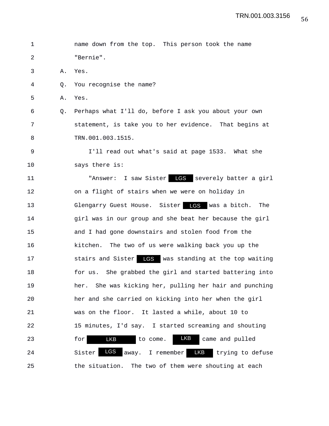1 name down from the top. This person took the name 2 "Bernie". 3 A. Yes. 4 Q. You recognise the name? 5 A. Yes. 6 Q. Perhaps what I'll do, before I ask you about your own 7 statement, is take you to her evidence. That begins at 8 TRN.001.003.1515. 9 I'll read out what's said at page 1533. What she 10 says there is: 11 "Answer: I saw Sister LGS severely batter a girl 12 on a flight of stairs when we were on holiday in 13 Glengarry Guest House. Sister was a bitch. The LGS 14 girl was in our group and she beat her because the girl 15 and I had gone downstairs and stolen food from the 16 kitchen. The two of us were walking back you up the 17 Stairs and Sister LGS was standing at the top waiting 18 for us. She grabbed the girl and started battering into 19 her. She was kicking her, pulling her hair and punching 20 her and she carried on kicking into her when the girl 21 was on the floor. It lasted a while, about 10 to 22 15 minutes, I'd say. I started screaming and shouting 23 for LKB to come. LKB came and pulled 24 Sister LGS away. I remember LKB trying to defuse 25 the situation. The two of them were shouting at each LKB LKB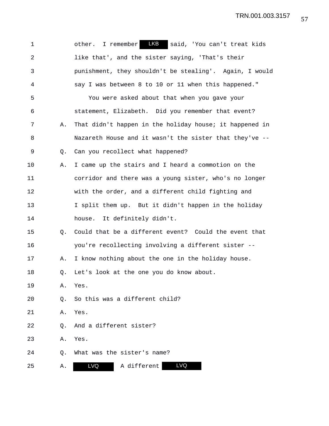| $\mathbf 1$    |    | other. I remember LKB<br>said, 'You can't treat kids    |
|----------------|----|---------------------------------------------------------|
| $\overline{2}$ |    | like that', and the sister saying, 'That's their        |
| 3              |    | punishment, they shouldn't be stealing'. Again, I would |
| 4              |    | say I was between 8 to 10 or 11 when this happened."    |
| 5              |    | You were asked about that when you gave your            |
| 6              |    | statement, Elizabeth. Did you remember that event?      |
| 7              | Α. | That didn't happen in the holiday house; it happened in |
| 8              |    | Nazareth House and it wasn't the sister that they've -- |
| 9              | Q. | Can you recollect what happened?                        |
| 10             | Α. | I came up the stairs and I heard a commotion on the     |
| 11             |    | corridor and there was a young sister, who's no longer  |
| 12             |    | with the order, and a different child fighting and      |
| 13             |    | I split them up. But it didn't happen in the holiday    |
| 14             |    | house. It definitely didn't.                            |
| 15             | O. | Could that be a different event? Could the event that   |
| 16             |    | you're recollecting involving a different sister --     |
| 17             | Α. | I know nothing about the one in the holiday house.      |
| 18             | O. | Let's look at the one you do know about.                |
| 19             | Α. | Yes.                                                    |
| 20             | О. | So this was a different child?                          |
| 21             | Α. | Yes.                                                    |
| 22             | Q. | And a different sister?                                 |
| 23             | Α. | Yes.                                                    |
| 24             | Q. | What was the sister's name?                             |
| 25             | Α. | LVQ<br><b>LVQ</b><br>A different                        |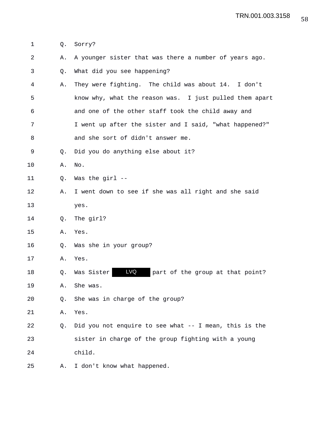1 Q. Sorry?

| 2            | Α. | A younger sister that was there a number of years ago.  |
|--------------|----|---------------------------------------------------------|
| $\mathsf{3}$ | Q. | What did you see happening?                             |
| 4            | Α. | They were fighting. The child was about 14. I don't     |
| 5            |    | know why, what the reason was. I just pulled them apart |
| 6            |    | and one of the other staff took the child away and      |
| 7            |    | I went up after the sister and I said, "what happened?" |
| 8            |    | and she sort of didn't answer me.                       |
| 9            | O. | Did you do anything else about it?                      |
| 10           | Α. | No.                                                     |
| 11           | Q. | Was the girl --                                         |
| 12           | Α. | I went down to see if she was all right and she said    |
| 13           |    | yes.                                                    |
| 14           | O. | The girl?                                               |
| 15           | Α. | Yes.                                                    |
| 16           | Q. | Was she in your group?                                  |
| 17           | Α. | Yes.                                                    |
| 18           | Q. | LVQ<br>Was Sister<br>part of the group at that point?   |
| 19           | Α. | She was.                                                |
| 20           | Q. | She was in charge of the group?                         |
| 21           | Α. | Yes.                                                    |
| 22           | Q. | Did you not enquire to see what -- I mean, this is the  |
| 23           |    | sister in charge of the group fighting with a young     |
| 24           |    | child.                                                  |
| 25           | Α. | I don't know what happened.                             |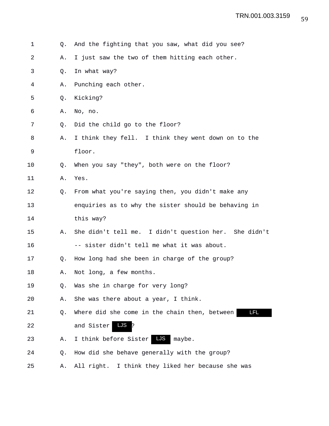| $\mathbf 1$ | Q. | And the fighting that you saw, what did you see?      |
|-------------|----|-------------------------------------------------------|
| 2           | Α. | I just saw the two of them hitting each other.        |
| 3           | Q. | In what way?                                          |
| 4           | Α. | Punching each other.                                  |
| 5           | Q. | Kicking?                                              |
| 6           | Α. | No, no.                                               |
| 7           | Q. | Did the child go to the floor?                        |
| 8           | Α. | I think they fell. I think they went down on to the   |
| 9           |    | floor.                                                |
| 10          | Q. | When you say "they", both were on the floor?          |
| 11          | Α. | Yes.                                                  |
| 12          | Q. | From what you're saying then, you didn't make any     |
| 13          |    | enquiries as to why the sister should be behaving in  |
| 14          |    | this way?                                             |
| 15          | Α. | She didn't tell me. I didn't question her. She didn't |
| 16          |    | -- sister didn't tell me what it was about.           |
| 17          | Q. | How long had she been in charge of the group?         |
| 18          | Α. | Not long, a few months.                               |
| 19          | Q. | Was she in charge for very long?                      |
| 20          | Α. | She was there about a year, I think.                  |
| 21          | Q. | LFL.<br>Where did she come in the chain then, between |
| 22          |    | <b>LJS</b><br>and Sister                              |
| 23          | Α. | LJS<br>I think before Sister<br>maybe.                |
| 24          | Q. | How did she behave generally with the group?          |
| 25          | Α. | All right. I think they liked her because she was     |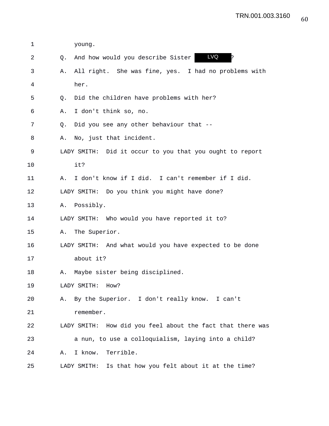| 1  | young.                                                     |
|----|------------------------------------------------------------|
| 2  | <b>LVQ</b><br>And how would you describe Sister<br>O.      |
| 3  | All right. She was fine, yes. I had no problems with<br>Α. |
| 4  | her.                                                       |
| 5  | Did the children have problems with her?<br>Q.             |
| 6  | I don't think so, no.<br>Α.                                |
| 7  | Did you see any other behaviour that --<br>Q.              |
| 8  | No, just that incident.<br>Α.                              |
| 9  | LADY SMITH: Did it occur to you that you ought to report   |
| 10 | it?                                                        |
| 11 | I don't know if I did. I can't remember if I did.<br>Α.    |
| 12 | LADY SMITH: Do you think you might have done?              |
| 13 | Possibly.<br>Α.                                            |
| 14 | LADY SMITH: Who would you have reported it to?             |
| 15 | The Superior.<br>Α.                                        |
| 16 | LADY SMITH: And what would you have expected to be done    |
| 17 | about it?                                                  |
| 18 | Maybe sister being disciplined.<br>Α.                      |
| 19 | LADY SMITH: How?                                           |
| 20 | By the Superior. I don't really know. I can't<br>Α.        |
| 21 | remember.                                                  |
| 22 | LADY SMITH: How did you feel about the fact that there was |
| 23 | a nun, to use a colloquialism, laying into a child?        |
| 24 | Terrible.<br>I know.<br>Α.                                 |
| 25 | LADY SMITH: Is that how you felt about it at the time?     |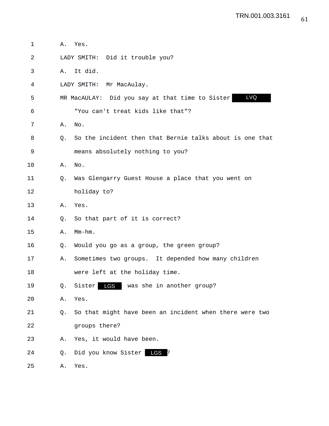| 1  | Α. | Yes.                                                     |
|----|----|----------------------------------------------------------|
| 2  |    | LADY SMITH: Did it trouble you?                          |
| 3  | Α. | It did.                                                  |
| 4  |    | LADY SMITH: Mr MacAulay.                                 |
| 5  |    | LVQ<br>MR MacAULAY: Did you say at that time to Sister   |
| 6  |    | "You can't treat kids like that"?                        |
| 7  | Α. | No.                                                      |
| 8  | Q. | So the incident then that Bernie talks about is one that |
| 9  |    | means absolutely nothing to you?                         |
| 10 | Α. | No.                                                      |
| 11 | O. | Was Glengarry Guest House a place that you went on       |
| 12 |    | holiday to?                                              |
| 13 | Α. | Yes.                                                     |
| 14 | O. | So that part of it is correct?                           |
| 15 | Α. | $Mm-hm$ .                                                |
| 16 | Q. | Would you go as a group, the green group?                |
| 17 | Α. | Sometimes two groups. It depended how many children      |
| 18 |    | were left at the holiday time.                           |
| 19 | Q. | <b>LGS</b><br>Sister<br>was she in another group?        |
| 20 | Α. | Yes.                                                     |
| 21 | Q. | So that might have been an incident when there were two  |
| 22 |    | groups there?                                            |
| 23 | Α. | Yes, it would have been.                                 |
| 24 | Q. | Did you know Sister<br>LGS                               |
| 25 | Α. | Yes.                                                     |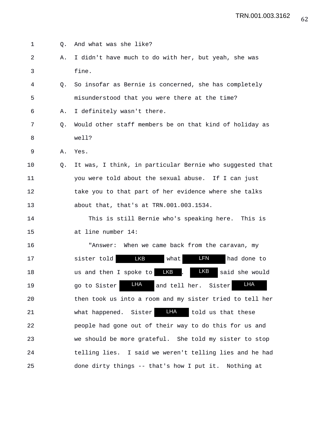| 1  | Q. | And what was she like?                                               |
|----|----|----------------------------------------------------------------------|
| 2  | Α. | I didn't have much to do with her, but yeah, she was                 |
| 3  |    | fine.                                                                |
| 4  | O. | So insofar as Bernie is concerned, she has completely                |
| 5  |    | misunderstood that you were there at the time?                       |
| 6  | Α. | I definitely wasn't there.                                           |
| 7  | Q. | Would other staff members be on that kind of holiday as              |
| 8  |    | well?                                                                |
| 9  | Α. | Yes.                                                                 |
| 10 | Q. | It was, I think, in particular Bernie who suggested that             |
| 11 |    | you were told about the sexual abuse. If I can just                  |
| 12 |    | take you to that part of her evidence where she talks                |
| 13 |    | about that, that's at TRN.001.003.1534.                              |
| 14 |    | This is still Bernie who's speaking here. This is                    |
| 15 |    | at line number 14:                                                   |
| 16 |    | "Answer: When we came back from the caravan, my                      |
| 17 |    | <b>LKB</b><br>LFN<br>sister told<br>what<br>had done to              |
| 18 |    | <b>LKB</b><br><b>LKB</b><br>said she would<br>us and then I spoke to |
| 19 |    | <b>LHA</b><br><b>LHA</b><br>and tell her. Sister<br>go to Sister     |
| 20 |    | then took us into a room and my sister tried to tell her             |
| 21 |    | LHA<br>what happened. Sister<br>told us that these                   |
| 22 |    | people had gone out of their way to do this for us and               |
| 23 |    | we should be more grateful. She told my sister to stop               |
| 24 |    | telling lies. I said we weren't telling lies and he had              |
| 25 |    | done dirty things -- that's how I put it.<br>Nothing at              |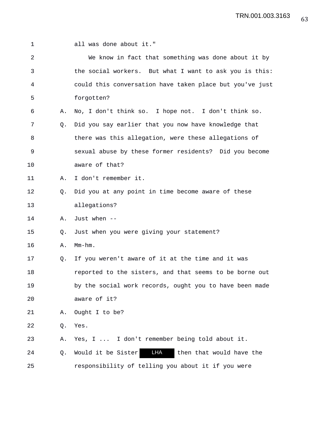| 1              |    | all was done about it."                                  |
|----------------|----|----------------------------------------------------------|
| $\overline{2}$ |    | We know in fact that something was done about it by      |
| 3              |    | the social workers. But what I want to ask you is this:  |
| 4              |    | could this conversation have taken place but you've just |
| 5              |    | forgotten?                                               |
| 6              | Α. | No, I don't think so. I hope not. I don't think so.      |
| 7              | Q. | Did you say earlier that you now have knowledge that     |
| 8              |    | there was this allegation, were these allegations of     |
| 9              |    | sexual abuse by these former residents? Did you become   |
| 10             |    | aware of that?                                           |
| 11             | Α. | I don't remember it.                                     |
| 12             | Q. | Did you at any point in time become aware of these       |
| 13             |    | allegations?                                             |
| 14             | Α. | Just when --                                             |
| 15             | Q. | Just when you were giving your statement?                |
| 16             | Α. | $Mm-hm$ .                                                |
| 17             | Q. | If you weren't aware of it at the time and it was        |
| 18             |    | reported to the sisters, and that seems to be borne out  |
| 19             |    | by the social work records, ought you to have been made  |
| 20             |    | aware of it?                                             |
| 21             | Α. | Ought I to be?                                           |
| 22             | Q. | Yes.                                                     |
| 23             | Α. | Yes, I  I don't remember being told about it.            |
| 24             | Q. | LHA<br>Would it be Sister<br>then that would have the    |
| 25             |    | responsibility of telling you about it if you were       |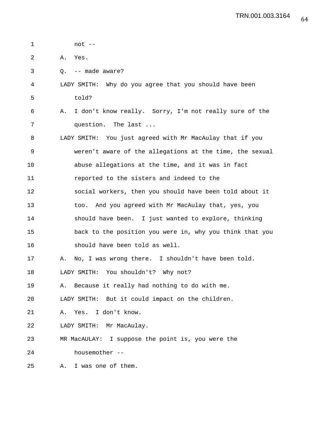| 1  | $not --$                                                     |
|----|--------------------------------------------------------------|
| 2  | Yes.<br>Α.                                                   |
| 3  | -- made aware?<br>Q.                                         |
| 4  | LADY SMITH: Why do you agree that you should have been       |
| 5  | told?                                                        |
| 6  | I don't know really. Sorry, I'm not really sure of the<br>Α. |
| 7  | question. The last                                           |
| 8  | LADY SMITH: You just agreed with Mr MacAulay that if you     |
| 9  | weren't aware of the allegations at the time, the sexual     |
| 10 | abuse allegations at the time, and it was in fact            |
| 11 | reported to the sisters and indeed to the                    |
| 12 | social workers, then you should have been told about it      |
| 13 | too. And you agreed with Mr MacAulay that, yes, you          |
| 14 | should have been. I just wanted to explore, thinking         |
| 15 | back to the position you were in, why you think that you     |
| 16 | should have been told as well.                               |
| 17 | No, I was wrong there. I shouldn't have been told.<br>Α.     |
| 18 | LADY SMITH: You shouldn't? Why not?                          |
| 19 | Because it really had nothing to do with me.<br>Α.           |
| 20 | LADY SMITH: But it could impact on the children.             |
| 21 | I don't know.<br>Yes.<br>Α.                                  |
| 22 | LADY SMITH:<br>Mr MacAulay.                                  |
| 23 | I suppose the point is, you were the<br>MR MacAULAY:         |
| 24 | housemother --                                               |
| 25 | I was one of them.<br>Α.                                     |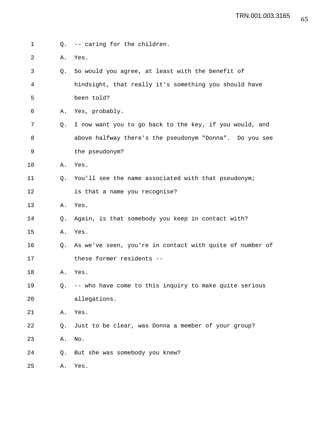- 1 Q. -- caring for the children.
- 2 A. Yes.
- 3 Q. So would you agree, at least with the benefit of 4 hindsight, that really it's something you should have 5 been told?
- 6 A. Yes, probably.
- 7 Q. I now want you to go back to the key, if you would, and 8 above halfway there's the pseudonym "Donna". Do you see 9 the pseudonym?
- 10 A. Yes.
- 11 Q. You'll see the name associated with that pseudonym; 12 is that a name you recognise?
- 13 A. Yes.
- 14 Q. Again, is that somebody you keep in contact with?
- 15 A. Yes.
- 16 Q. As we've seen, you're in contact with quite of number of 17 these former residents --
- 18 A. Yes.
- 19 Q. -- who have come to this inquiry to make quite serious 20 allegations.
- 21 A. Yes.
- 22 Q. Just to be clear, was Donna a member of your group?
- 23 A. No.
- 24 Q. But she was somebody you knew?
- 25 A. Yes.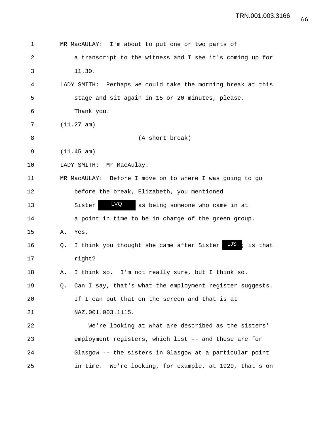| 1  |    | MR MacAULAY: I'm about to put one or two parts of             |
|----|----|---------------------------------------------------------------|
| 2  |    | a transcript to the witness and I see it's coming up for      |
| 3  |    | 11.30.                                                        |
| 4  |    | LADY SMITH: Perhaps we could take the morning break at this   |
| 5  |    | stage and sit again in 15 or 20 minutes, please.              |
| 6  |    | Thank you.                                                    |
| 7  |    | (11.27 am)                                                    |
| 8  |    | (A short break)                                               |
| 9  |    | (11.45 am)                                                    |
| 10 |    | LADY SMITH:<br>Mr MacAulay.                                   |
| 11 |    | MR MacAULAY: Before I move on to where I was going to go      |
| 12 |    | before the break, Elizabeth, you mentioned                    |
| 13 |    | LVQ<br>Sister<br>as being someone who came in at              |
| 14 |    | a point in time to be in charge of the green group.           |
| 15 | Α. | Yes.                                                          |
| 16 | Q. | LJS<br>; is that<br>I think you thought she came after Sister |
| 17 |    | right?                                                        |
| 18 | Α. | I think so. I'm not really sure, but I think so.              |
| 19 | Q. | Can I say, that's what the employment register suggests.      |
| 20 |    | If I can put that on the screen and that is at                |
| 21 |    | NAZ.001.003.1115.                                             |
| 22 |    | We're looking at what are described as the sisters'           |
| 23 |    | employment registers, which list -- and these are for         |
| 24 |    | Glasgow -- the sisters in Glasgow at a particular point       |
| 25 |    | We're looking, for example, at 1929, that's on<br>in time.    |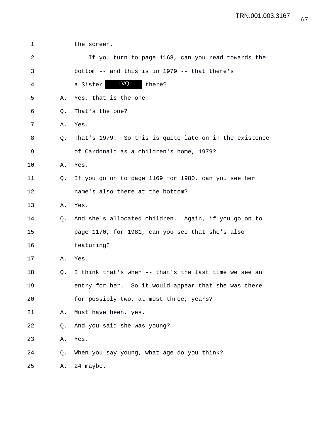| $\mathbf 1$ |    | the screen.                                            |
|-------------|----|--------------------------------------------------------|
| 2           |    | If you turn to page 1168, can you read towards the     |
| 3           |    | bottom -- and this is in 1979 -- that there's          |
| 4           |    | <b>LVQ</b><br>there?<br>a Sister                       |
| 5           | Α. | Yes, that is the one.                                  |
| 6           | Q. | That's the one?                                        |
| 7           | Α. | Yes.                                                   |
| 8           | Q. | That's 1979. So this is quite late on in the existence |
| 9           |    | of Cardonald as a children's home, 1979?               |
| $10 \,$     | Α. | Yes.                                                   |
| 11          | Q. | If you go on to page 1169 for 1980, can you see her    |
| 12          |    | name's also there at the bottom?                       |
| 13          | Α. | Yes.                                                   |
| 14          | Q. | And she's allocated children. Again, if you go on to   |
| 15          |    | page 1170, for 1981, can you see that she's also       |
| 16          |    | featuring?                                             |
| 17          | Α. | Yes.                                                   |
| 18          | Q. | I think that's when -- that's the last time we see an  |
| 19          |    | entry for her. So it would appear that she was there   |
| 20          |    | for possibly two, at most three, years?                |
| 21          | Α. | Must have been, yes.                                   |
| 22          | Q. | And you said she was young?                            |
| 23          | Α. | Yes.                                                   |
| 24          | Q. | When you say young, what age do you think?             |
| 25          | Α. | 24 maybe.                                              |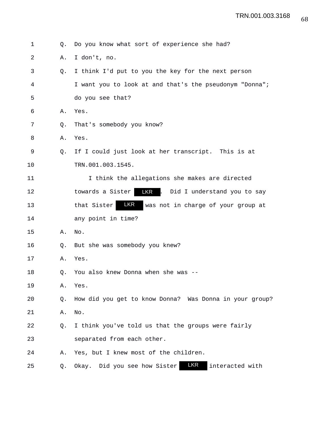| 1  | Q. | Do you know what sort of experience she had?              |
|----|----|-----------------------------------------------------------|
| 2  | Α. | I don't, no.                                              |
| 3  | Q. | I think I'd put to you the key for the next person        |
| 4  |    | I want you to look at and that's the pseudonym "Donna";   |
| 5  |    | do you see that?                                          |
| 6  | Α. | Yes.                                                      |
| 7  | Q. | That's somebody you know?                                 |
| 8  | Α. | Yes.                                                      |
| 9  | Q. | If I could just look at her transcript. This is at        |
| 10 |    | TRN.001.003.1545.                                         |
| 11 |    | I think the allegations she makes are directed            |
| 12 |    | LKR . Did I understand you to say<br>towards a Sister     |
| 13 |    | LKR<br>that Sister<br>was not in charge of your group at  |
| 14 |    | any point in time?                                        |
| 15 | Α. | No.                                                       |
| 16 | Q. | But she was somebody you knew?                            |
| 17 | Α. | Yes.                                                      |
| 18 | Q. | You also knew Donna when she was --                       |
| 19 | Α. | Yes.                                                      |
| 20 | Q. | How did you get to know Donna? Was Donna in your group?   |
| 21 | Α. | No.                                                       |
| 22 | Q. | I think you've told us that the groups were fairly        |
| 23 |    | separated from each other.                                |
| 24 | Α. | Yes, but I knew most of the children.                     |
| 25 | Q. | LKR<br>interacted with<br>Did you see how Sister<br>Okay. |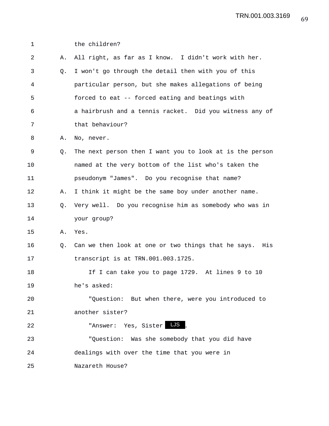| $\mathbf 1$ |    | the children?                                             |
|-------------|----|-----------------------------------------------------------|
| 2           | Α. | All right, as far as I know. I didn't work with her.      |
| 3           | Q. | I won't go through the detail then with you of this       |
| 4           |    | particular person, but she makes allegations of being     |
| 5           |    | forced to eat -- forced eating and beatings with          |
| 6           |    | a hairbrush and a tennis racket. Did you witness any of   |
| 7           |    | that behaviour?                                           |
| 8           | Α. | No, never.                                                |
| 9           | O. | The next person then I want you to look at is the person  |
| 10          |    | named at the very bottom of the list who's taken the      |
| 11          |    | pseudonym "James". Do you recognise that name?            |
| 12          | Α. | I think it might be the same boy under another name.      |
| 13          |    | Q. Very well. Do you recognise him as somebody who was in |
| 14          |    | your group?                                               |
| 15          | Α. | Yes.                                                      |
| 16          | Q. | Can we then look at one or two things that he says. His   |
| 17          |    | transcript is at TRN.001.003.1725.                        |
| 18          |    | If I can take you to page 1729. At lines 9 to 10          |
| 19          |    | he's asked:                                               |
| 20          |    | "Question: But when there, were you introduced to         |
| 21          |    | another sister?                                           |
| 22          |    | "Answer: Yes, Sister                                      |
| 23          |    | "Question: Was she somebody that you did have             |
| 24          |    | dealings with over the time that you were in              |
| 25          |    | Nazareth House?                                           |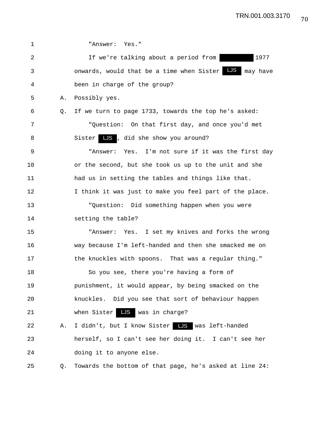| 1  |    | "Answer: Yes."                                            |
|----|----|-----------------------------------------------------------|
| 2  |    | 1977<br>If we're talking about a period from              |
| 3  |    | LJS may have<br>onwards, would that be a time when Sister |
| 4  |    | been in charge of the group?                              |
| 5  | Α. | Possibly yes.                                             |
| 6  | 0. | If we turn to page 1733, towards the top he's asked:      |
| 7  |    | "Question: On that first day, and once you'd met          |
| 8  |    | Sister LS, did she show you around?                       |
| 9  |    | "Answer: Yes. I'm not sure if it was the first day        |
| 10 |    | or the second, but she took us up to the unit and she     |
| 11 |    | had us in setting the tables and things like that.        |
| 12 |    | I think it was just to make you feel part of the place.   |
| 13 |    | "Question: Did something happen when you were             |
| 14 |    | setting the table?                                        |
| 15 |    | "Answer: Yes. I set my knives and forks the wrong         |
| 16 |    | way because I'm left-handed and then she smacked me on    |
| 17 |    | the knuckles with spoons. That was a regular thing."      |
| 18 |    | So you see, there you're having a form of                 |
| 19 |    | punishment, it would appear, by being smacked on the      |
| 20 |    | knuckles. Did you see that sort of behaviour happen       |
| 21 |    | when $Sister$ $\overline{\text{LS}}$ was in charge?       |
| 22 | Α. | I didn't, but I know Sister LJS was left-handed           |
| 23 |    | herself, so I can't see her doing it. I can't see her     |
| 24 |    | doing it to anyone else.                                  |
| 25 | Q. | Towards the bottom of that page, he's asked at line 24:   |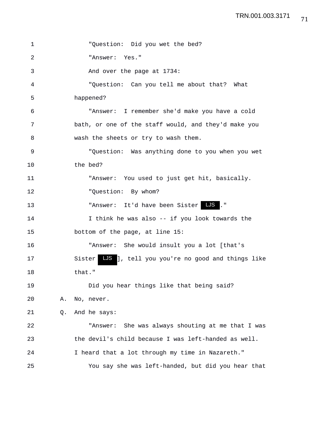| 1  |    | "Question: Did you wet the bed?                       |
|----|----|-------------------------------------------------------|
| 2  |    | "Answer: Yes."                                        |
| 3  |    | And over the page at 1734:                            |
| 4  |    | "Question: Can you tell me about that? What           |
| 5  |    | happened?                                             |
| 6  |    | "Answer: I remember she'd make you have a cold        |
| 7  |    | bath, or one of the staff would, and they'd make you  |
| 8  |    | wash the sheets or try to wash them.                  |
| 9  |    | "Question: Was anything done to you when you wet      |
| 10 |    | the bed?                                              |
| 11 |    | "Answer: You used to just get hit, basically.         |
| 12 |    | "Question: By whom?                                   |
| 13 |    | "Answer: It'd have been Sister LJS ."                 |
| 14 |    | I think he was also -- if you look towards the        |
| 15 |    | bottom of the page, at line 15:                       |
| 16 |    | "Answer: She would insult you a lot [that's           |
| 17 |    | Sister LJS ], tell you you're no good and things like |
| 18 |    | that."                                                |
| 19 |    | Did you hear things like that being said?             |
| 20 | Α. | No, never.                                            |
| 21 | Q. | And he says:                                          |
| 22 |    | She was always shouting at me that I was<br>"Answer:  |
| 23 |    | the devil's child because I was left-handed as well.  |
| 24 |    | I heard that a lot through my time in Nazareth."      |
| 25 |    | You say she was left-handed, but did you hear that    |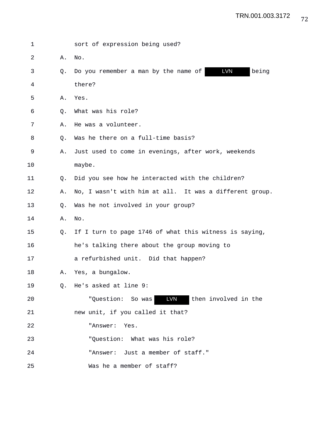| 1  |    | sort of expression being used?                              |
|----|----|-------------------------------------------------------------|
| 2  | Α. | No.                                                         |
| 3  | 0. | <b>LVN</b><br>being<br>Do you remember a man by the name of |
| 4  |    | there?                                                      |
| 5  | Α. | Yes.                                                        |
| 6  | Q. | What was his role?                                          |
| 7  | Α. | He was a volunteer.                                         |
| 8  | Q. | Was he there on a full-time basis?                          |
| 9  | Α. | Just used to come in evenings, after work, weekends         |
| 10 |    | maybe.                                                      |
| 11 | Q. | Did you see how he interacted with the children?            |
| 12 | Α. | No, I wasn't with him at all. It was a different group.     |
| 13 | O. | Was he not involved in your group?                          |
| 14 | Α. | No.                                                         |
| 15 | 0. | If I turn to page 1746 of what this witness is saying,      |
| 16 |    | he's talking there about the group moving to                |
| 17 |    | a refurbished unit. Did that happen?                        |
| 18 | Α. | Yes, a bungalow.                                            |
| 19 |    | Q. He's asked at line 9:                                    |
| 20 |    | LVN<br>then involved in the<br>"Question: So was            |
| 21 |    | new unit, if you called it that?                            |
| 22 |    | "Answer: Yes.                                               |
| 23 |    | "Ouestion: What was his role?                               |
| 24 |    | "Answer: Just a member of staff."                           |
| 25 |    | Was he a member of staff?                                   |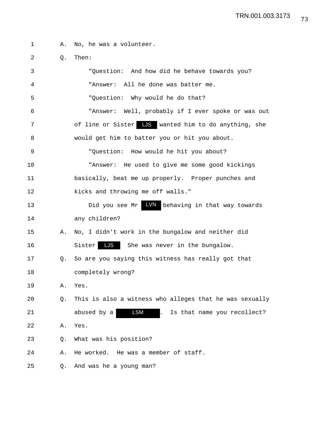| $\mathbf 1$ | Α. | No, he was a volunteer.                                  |
|-------------|----|----------------------------------------------------------|
| 2           | Q. | Then:                                                    |
| 3           |    | "Question: And how did he behave towards you?            |
| 4           |    | "Answer: All he done was batter me.                      |
| 5           |    | "Question: Why would he do that?                         |
| 6           |    | "Answer: Well, probably if I ever spoke or was out       |
| 7           |    | of line or Sister LJS wanted him to do anything, she     |
| 8           |    | would get him to batter you or hit you about.            |
| 9           |    | "Question: How would he hit you about?                   |
| 10          |    | "Answer: He used to give me some good kickings           |
| 11          |    | basically, beat me up properly. Proper punches and       |
| 12          |    | kicks and throwing me off walls."                        |
| 13          |    | LVN<br>Did you see Mr<br>behaving in that way towards    |
| 14          |    | any children?                                            |
| 15          | Α. | No, I didn't work in the bungalow and neither did        |
| 16          |    | LJS She was never in the bungalow.<br>Sister             |
| 17          | Q. | So are you saying this witness has really got that       |
| 18          |    | completely wrong?                                        |
| 19          | Α. | Yes.                                                     |
| 20          | Q. | This is also a witness who alleges that he was sexually  |
| 21          |    | <b>LSM</b><br>abused by a<br>Is that name you recollect? |
| 22          | Α. | Yes.                                                     |
| 23          | Q. | What was his position?                                   |
| 24          | Α. | He worked. He was a member of staff.                     |
| 25          | Q. | And was he a young man?                                  |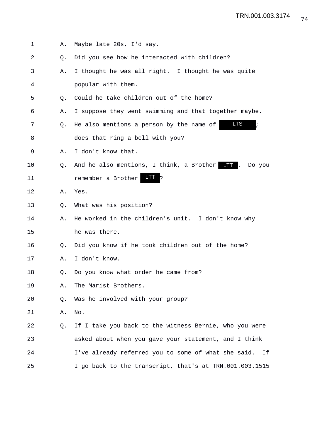1 A. Maybe late 20s, I'd say. 2 Q. Did you see how he interacted with children? 3 A. I thought he was all right. I thought he was quite 4 popular with them. 5 0. Could he take children out of the home? 6 A. I suppose they went swimming and that together maybe. 7 Q. He also mentions a person by the name of 8 does that ring a bell with you? 9 A. I don't know that. 10 Q. And he also mentions, I think, a Brother ITT . Do you 11 remember a Brother LIT ? 12 A. Yes. 13 O. What was his position? 14 A. He worked in the children's unit. I don't know why 15 he was there. 16 Q. Did you know if he took children out of the home? 17 A. I don't know. 18 Q. Do you know what order he came from? 19 A. The Marist Brothers. 20 Q. Was he involved with your group? 21 A. No. 22 Q. If I take you back to the witness Bernie, who you were 23 asked about when you gave your statement, and I think 24 I've already referred you to some of what she said. If 25 I go back to the transcript, that's at TRN.001.003.1515 LTS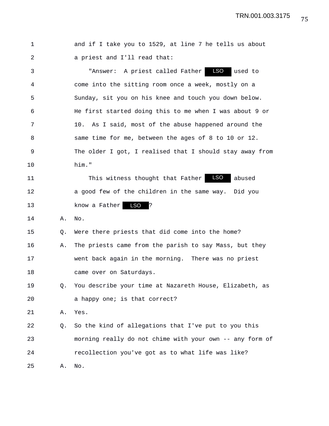TRN.001.003.3175

| 1  |    | and if I take you to 1529, at line 7 he tells us about   |
|----|----|----------------------------------------------------------|
| 2  |    | a priest and I'll read that:                             |
| 3  |    | LSO<br>"Answer: A priest called Father<br>used to        |
| 4  |    | come into the sitting room once a week, mostly on a      |
| 5  |    | Sunday, sit you on his knee and touch you down below.    |
| 6  |    | He first started doing this to me when I was about 9 or  |
| 7  |    | 10.<br>As I said, most of the abuse happened around the  |
| 8  |    | same time for me, between the ages of 8 to 10 or 12.     |
| 9  |    | The older I got, I realised that I should stay away from |
| 10 |    | him."                                                    |
| 11 |    | LSO<br>This witness thought that Father<br>abused        |
| 12 |    | a good few of the children in the same way. Did you      |
| 13 |    | LSO<br>know a Father<br>13                               |
| 14 | Α. | No.                                                      |
| 15 | Q. | Were there priests that did come into the home?          |
| 16 | Α. | The priests came from the parish to say Mass, but they   |
| 17 |    | went back again in the morning. There was no priest      |
| 18 |    | came over on Saturdays.                                  |
| 19 | Q. | You describe your time at Nazareth House, Elizabeth, as  |
| 20 |    | a happy one; is that correct?                            |
| 21 | Α. | Yes.                                                     |
| 22 | Q. | So the kind of allegations that I've put to you this     |
| 23 |    | morning really do not chime with your own -- any form of |
| 24 |    | recollection you've got as to what life was like?        |
| 25 | Α. | No.                                                      |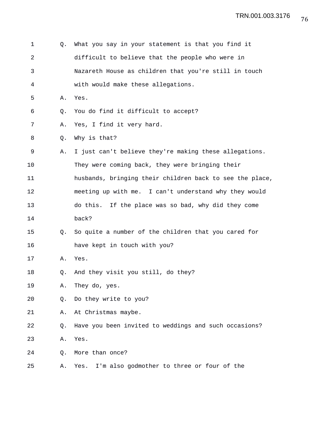| 1              | Q. | What you say in your statement is that you find it       |
|----------------|----|----------------------------------------------------------|
| $\overline{2}$ |    | difficult to believe that the people who were in         |
| 3              |    | Nazareth House as children that you're still in touch    |
| 4              |    | with would make these allegations.                       |
| 5              | Α. | Yes.                                                     |
| 6              | Q. | You do find it difficult to accept?                      |
| 7              | Α. | Yes, I find it very hard.                                |
| 8              | Q. | Why is that?                                             |
| 9              | Α. | I just can't believe they're making these allegations.   |
| 10             |    | They were coming back, they were bringing their          |
| 11             |    | husbands, bringing their children back to see the place, |
| 12             |    | meeting up with me. I can't understand why they would    |
| 13             |    | do this. If the place was so bad, why did they come      |
| 14             |    | back?                                                    |
| 15             | O. | So quite a number of the children that you cared for     |
| 16             |    | have kept in touch with you?                             |
| 17             | Α. | Yes.                                                     |
| 18             | Q. | And they visit you still, do they?                       |
| 19             | Α. | They do, yes.                                            |
| 20             | Q. | Do they write to you?                                    |
| 21             | Α. | At Christmas maybe.                                      |
| 22             | Q. | Have you been invited to weddings and such occasions?    |
| 23             | Α. | Yes.                                                     |
| 24             | Q. | More than once?                                          |
| 25             | Α. | I'm also godmother to three or four of the<br>Yes.       |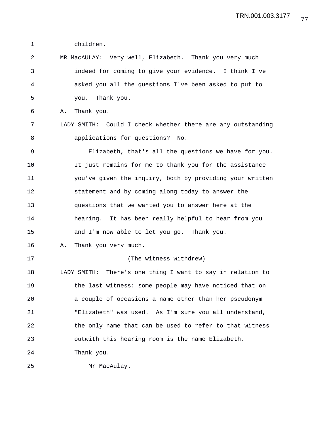1 children.

2 MR MacAULAY: Very well, Elizabeth. Thank you very much 3 indeed for coming to give your evidence. I think I've 4 asked you all the questions I've been asked to put to 5 you. Thank you. 6 A. Thank you. 7 LADY SMITH: Could I check whether there are any outstanding 8 applications for questions? No. 9 Elizabeth, that's all the questions we have for you. 10 It just remains for me to thank you for the assistance 11 you've given the inquiry, both by providing your written 12 statement and by coming along today to answer the 13 questions that we wanted you to answer here at the 14 hearing. It has been really helpful to hear from you 15 and I'm now able to let you go. Thank you. 16 A. Thank you very much. 17 (The witness withdrew) 18 LADY SMITH: There's one thing I want to say in relation to 19 the last witness: some people may have noticed that on 20 a couple of occasions a name other than her pseudonym 21 "Elizabeth" was used. As I'm sure you all understand, 22 the only name that can be used to refer to that witness 23 outwith this hearing room is the name Elizabeth. 24 Thank you. 25 Mr MacAulay.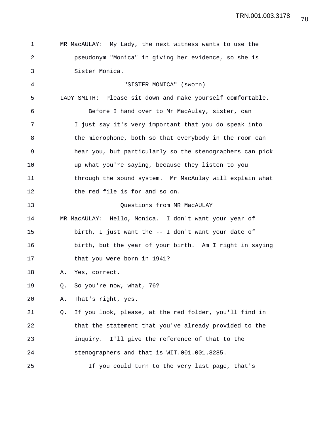| 1  |    | MR MacAULAY: My Lady, the next witness wants to use the    |
|----|----|------------------------------------------------------------|
| 2  |    | pseudonym "Monica" in giving her evidence, so she is       |
| 3  |    | Sister Monica.                                             |
| 4  |    | "SISTER MONICA" (sworn)                                    |
| 5  |    | LADY SMITH: Please sit down and make yourself comfortable. |
| 6  |    | Before I hand over to Mr MacAulay, sister, can             |
| 7  |    | I just say it's very important that you do speak into      |
| 8  |    | the microphone, both so that everybody in the room can     |
| 9  |    | hear you, but particularly so the stenographers can pick   |
| 10 |    | up what you're saying, because they listen to you          |
| 11 |    | through the sound system. Mr MacAulay will explain what    |
| 12 |    | the red file is for and so on.                             |
| 13 |    | Questions from MR MacAULAY                                 |
| 14 |    | MR MacAULAY: Hello, Monica. I don't want your year of      |
| 15 |    | birth, I just want the -- I don't want your date of        |
| 16 |    | birth, but the year of your birth. Am I right in saying    |
| 17 |    | that you were born in 1941?                                |
| 18 | Α. | Yes, correct.                                              |
| 19 | Q. | So you're now, what, 76?                                   |
| 20 | Α. | That's right, yes.                                         |
| 21 | Q. | If you look, please, at the red folder, you'll find in     |
| 22 |    | that the statement that you've already provided to the     |
| 23 |    | inquiry. I'll give the reference of that to the            |
| 24 |    | stenographers and that is WIT.001.001.8285.                |
| 25 |    | If you could turn to the very last page, that's            |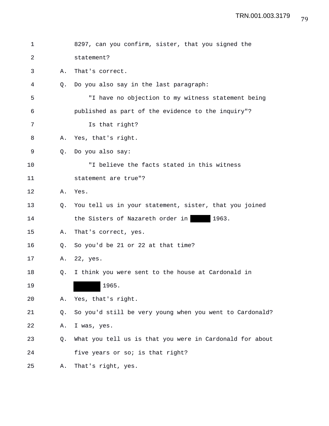| 1  |    | 8297, can you confirm, sister, that you signed the       |
|----|----|----------------------------------------------------------|
| 2  |    | statement?                                               |
| 3  | Α. | That's correct.                                          |
| 4  | O. | Do you also say in the last paragraph:                   |
| 5  |    | "I have no objection to my witness statement being       |
| 6  |    | published as part of the evidence to the inquiry"?       |
| 7  |    | Is that right?                                           |
| 8  | Α. | Yes, that's right.                                       |
| 9  | 0. | Do you also say:                                         |
| 10 |    | "I believe the facts stated in this witness              |
| 11 |    | statement are true"?                                     |
| 12 | Α. | Yes.                                                     |
| 13 | O. | You tell us in your statement, sister, that you joined   |
| 14 |    | the Sisters of Nazareth order in<br>1963.                |
| 15 | Α. | That's correct, yes.                                     |
| 16 | Q. | So you'd be 21 or 22 at that time?                       |
| 17 | Α. | 22, yes.                                                 |
| 18 | Q. | I think you were sent to the house at Cardonald in       |
| 19 |    | 1965.                                                    |
| 20 | Α. | Yes, that's right.                                       |
| 21 | Q. | So you'd still be very young when you went to Cardonald? |
| 22 | Α. | I was, yes.                                              |
| 23 | Q. | What you tell us is that you were in Cardonald for about |
| 24 |    | five years or so; is that right?                         |
| 25 | Α. | That's right, yes.                                       |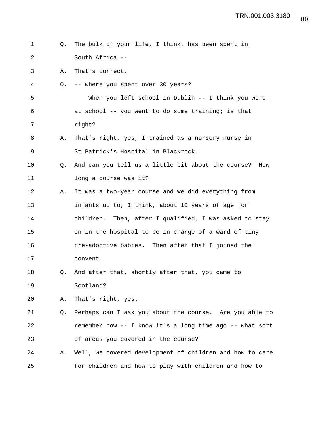| 1  | 0. | The bulk of your life, I think, has been spent in        |
|----|----|----------------------------------------------------------|
| 2  |    | South Africa --                                          |
| 3  | Α. | That's correct.                                          |
| 4  | Q. | -- where you spent over 30 years?                        |
| 5  |    | When you left school in Dublin -- I think you were       |
| 6  |    | at school -- you went to do some training; is that       |
| 7  |    | right?                                                   |
| 8  | Α. | That's right, yes, I trained as a nursery nurse in       |
| 9  |    | St Patrick's Hospital in Blackrock.                      |
| 10 | O. | And can you tell us a little bit about the course? How   |
| 11 |    | long a course was it?                                    |
| 12 | Α. | It was a two-year course and we did everything from      |
| 13 |    | infants up to, I think, about 10 years of age for        |
| 14 |    | children. Then, after I qualified, I was asked to stay   |
| 15 |    | on in the hospital to be in charge of a ward of tiny     |
| 16 |    | pre-adoptive babies. Then after that I joined the        |
| 17 |    | convent.                                                 |
| 18 | Q. | And after that, shortly after that, you came to          |
| 19 |    | Scotland?                                                |
| 20 | Α. | That's right, yes.                                       |
| 21 | Q. | Perhaps can I ask you about the course. Are you able to  |
| 22 |    | remember now -- I know it's a long time ago -- what sort |
| 23 |    | of areas you covered in the course?                      |
| 24 | Α. | Well, we covered development of children and how to care |
| 25 |    | for children and how to play with children and how to    |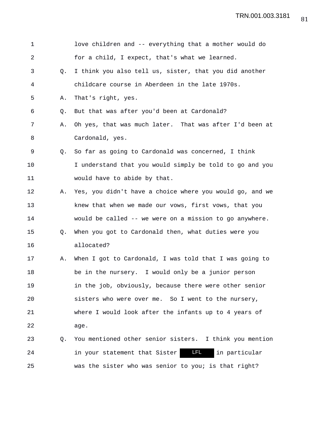| 1  |    | love children and -- everything that a mother would do   |
|----|----|----------------------------------------------------------|
| 2  |    | for a child, I expect, that's what we learned.           |
| 3  | 0. | I think you also tell us, sister, that you did another   |
| 4  |    | childcare course in Aberdeen in the late 1970s.          |
| 5  | Α. | That's right, yes.                                       |
| 6  | O. | But that was after you'd been at Cardonald?              |
| 7  | Α. | Oh yes, that was much later. That was after I'd been at  |
| 8  |    | Cardonald, yes.                                          |
| 9  | O. | So far as going to Cardonald was concerned, I think      |
| 10 |    | I understand that you would simply be told to go and you |
| 11 |    | would have to abide by that.                             |
| 12 | Α. | Yes, you didn't have a choice where you would go, and we |
| 13 |    | knew that when we made our vows, first vows, that you    |
| 14 |    | would be called -- we were on a mission to go anywhere.  |
| 15 | Q. | When you got to Cardonald then, what duties were you     |
| 16 |    | allocated?                                               |
| 17 | Α. | When I got to Cardonald, I was told that I was going to  |
| 18 |    | be in the nursery. I would only be a junior person       |
| 19 |    | in the job, obviously, because there were other senior   |
| 20 |    | sisters who were over me. So I went to the nursery,      |
| 21 |    | where I would look after the infants up to 4 years of    |
| 22 |    | age.                                                     |
| 23 | Q. | You mentioned other senior sisters. I think you mention  |
| 24 |    | LFL.<br>in your statement that Sister<br>in particular   |
| 25 |    | was the sister who was senior to you; is that right?     |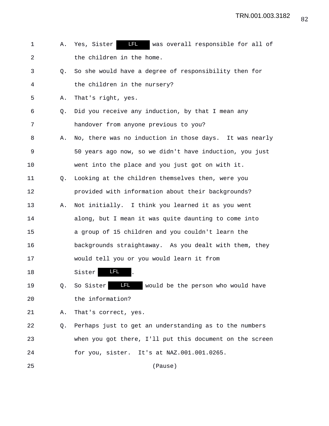1 A. Yes, Sister **IFL** was overall responsible for all of 2 the children in the home. 3 Q. So she would have a degree of responsibility then for 4 the children in the nursery? 5 A. That's right, yes. 6 Q. Did you receive any induction, by that I mean any 7 handover from anyone previous to you? 8 A. No, there was no induction in those days. It was nearly 9 50 years ago now, so we didn't have induction, you just 10 went into the place and you just got on with it. 11 Q. Looking at the children themselves then, were you 12 provided with information about their backgrounds? 13 A. Not initially. I think you learned it as you went 14 along, but I mean it was quite daunting to come into 15 a group of 15 children and you couldn't learn the 16 backgrounds straightaway. As you dealt with them, they 17 would tell you or you would learn it from 18 Sister **LFL** . 19 Q. So Sister LIL would be the person who would have 20 the information? 21 A. That's correct, yes. 22 Q. Perhaps just to get an understanding as to the numbers 23 when you got there, I'll put this document on the screen 24 for you, sister. It's at NAZ.001.001.0265. 25 (Pause)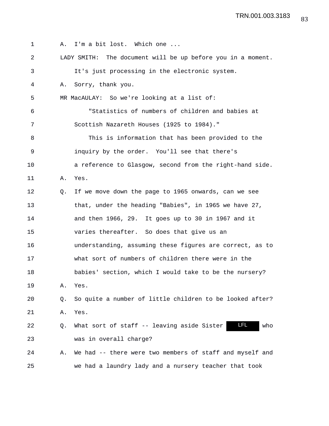| $\mathbf 1$ |    | A. I'm a bit lost. Which one                                |
|-------------|----|-------------------------------------------------------------|
| 2           |    | LADY SMITH: The document will be up before you in a moment. |
| 3           |    | It's just processing in the electronic system.              |
| 4           | Α. | Sorry, thank you.                                           |
| 5           |    | MR MacAULAY: So we're looking at a list of:                 |
| 6           |    | "Statistics of numbers of children and babies at            |
| 7           |    | Scottish Nazareth Houses (1925 to 1984)."                   |
| 8           |    | This is information that has been provided to the           |
| $\mathsf 9$ |    | inquiry by the order. You'll see that there's               |
| 10          |    | a reference to Glasgow, second from the right-hand side.    |
| 11          | Α. | Yes.                                                        |
| 12          | 0. | If we move down the page to 1965 onwards, can we see        |
| 13          |    | that, under the heading "Babies", in 1965 we have 27,       |
| 14          |    | and then 1966, 29. It goes up to 30 in 1967 and it          |
| 15          |    | varies thereafter. So does that give us an                  |
| 16          |    | understanding, assuming these figures are correct, as to    |
| 17          |    | what sort of numbers of children there were in the          |
| 18          |    | babies' section, which I would take to be the nursery?      |
| 19          | Α. | Yes.                                                        |
| 20          | Q. | So quite a number of little children to be looked after?    |
| 21          | Α. | Yes.                                                        |
| 22          | Q. | LFL.<br>What sort of staff -- leaving aside Sister<br>who   |
| 23          |    | was in overall charge?                                      |
| 24          | Α. | We had -- there were two members of staff and myself and    |
| 25          |    | we had a laundry lady and a nursery teacher that took       |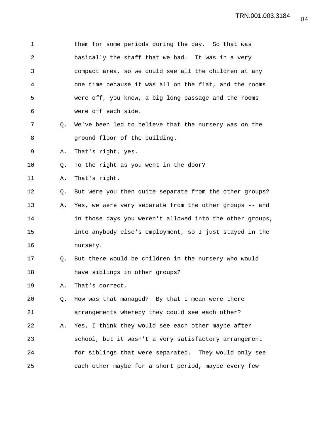1 them for some periods during the day. So that was 2 basically the staff that we had. It was in a very 3 compact area, so we could see all the children at any 4 one time because it was all on the flat, and the rooms 5 were off, you know, a big long passage and the rooms 6 were off each side. 7 Q. We've been led to believe that the nursery was on the 8 **8** ground floor of the building. 9 A. That's right, yes. 10 Q. To the right as you went in the door? 11 A. That's right. 12 Q. But were you then quite separate from the other groups? 13 A. Yes, we were very separate from the other groups -- and 14 in those days you weren't allowed into the other groups, 15 into anybody else's employment, so I just stayed in the 16 nursery. 17 Q. But there would be children in the nursery who would 18 have siblings in other groups? 19 A. That's correct. 20 Q. How was that managed? By that I mean were there 21 arrangements whereby they could see each other? 22 A. Yes, I think they would see each other maybe after 23 school, but it wasn't a very satisfactory arrangement 24 for siblings that were separated. They would only see 25 each other maybe for a short period, maybe every few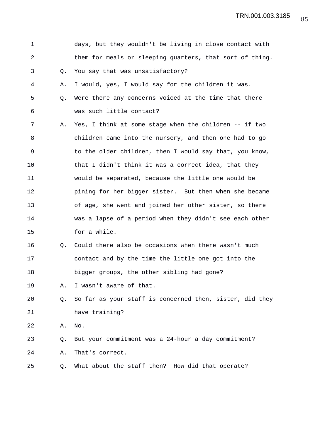| $\mathbf 1$ |    | days, but they wouldn't be living in close contact with  |
|-------------|----|----------------------------------------------------------|
| 2           |    | them for meals or sleeping quarters, that sort of thing. |
| 3           | Q. | You say that was unsatisfactory?                         |
| 4           | Α. | I would, yes, I would say for the children it was.       |
| 5           | Q. | Were there any concerns voiced at the time that there    |
| 6           |    | was such little contact?                                 |
| 7           | Α. | Yes, I think at some stage when the children -- if two   |
| 8           |    | children came into the nursery, and then one had to go   |
| 9           |    | to the older children, then I would say that, you know,  |
| 10          |    | that I didn't think it was a correct idea, that they     |
| 11          |    | would be separated, because the little one would be      |
| 12          |    | pining for her bigger sister. But then when she became   |
| 13          |    | of age, she went and joined her other sister, so there   |
| 14          |    | was a lapse of a period when they didn't see each other  |
| 15          |    | for a while.                                             |
| 16          | Q. | Could there also be occasions when there wasn't much     |
| 17          |    | contact and by the time the little one got into the      |
| 18          |    | bigger groups, the other sibling had gone?               |
| 19          | Α. | I wasn't aware of that.                                  |
| 20          | Q. | So far as your staff is concerned then, sister, did they |
| 21          |    | have training?                                           |
| 22          | Α. | No.                                                      |
| 23          | Q. | But your commitment was a 24-hour a day commitment?      |
| 24          | Α. | That's correct.                                          |
| 25          | Q. | What about the staff then? How did that operate?         |
|             |    |                                                          |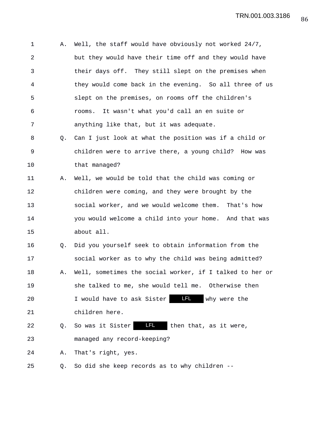1 A. Well, the staff would have obviously not worked 24/7, 2 but they would have their time off and they would have 3 their days off. They still slept on the premises when 4 they would come back in the evening. So all three of us 5 slept on the premises, on rooms off the children's 6 rooms. It wasn't what you'd call an en suite or 7 anything like that, but it was adequate. 8 Q. Can I just look at what the position was if a child or 9 children were to arrive there, a young child? How was 10 that managed? 11 A. Well, we would be told that the child was coming or 12 children were coming, and they were brought by the 13 social worker, and we would welcome them. That's how 14 you would welcome a child into your home. And that was 15 about all. 16 Q. Did you yourself seek to obtain information from the 17 social worker as to why the child was being admitted? 18 A. Well, sometimes the social worker, if I talked to her or 19 she talked to me, she would tell me. Otherwise then 20 I would have to ask Sister **LEL** why were the 21 children here. 22 Q. So was it Sister LEL then that, as it were, 23 managed any record-keeping? 24 A. That's right, yes.

25 Q. So did she keep records as to why children --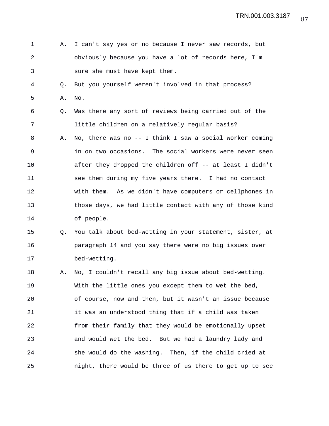- 1 A. I can't say yes or no because I never saw records, but 2 obviously because you have a lot of records here, I'm 3 sure she must have kept them.
- 4 Q. But you yourself weren't involved in that process? 5 A. No.
- 6 Q. Was there any sort of reviews being carried out of the 7 little children on a relatively regular basis?
- 8 A. No, there was no -- I think I saw a social worker coming 9 in on two occasions. The social workers were never seen 10 after they dropped the children off -- at least I didn't 11 see them during my five years there. I had no contact 12 with them. As we didn't have computers or cellphones in 13 those days, we had little contact with any of those kind 14 of people.
- 15 Q. You talk about bed-wetting in your statement, sister, at 16 paragraph 14 and you say there were no big issues over 17 bed-wetting.
- 18 A. No, I couldn't recall any big issue about bed-wetting. 19 With the little ones you except them to wet the bed, 20 of course, now and then, but it wasn't an issue because 21 it was an understood thing that if a child was taken 22 from their family that they would be emotionally upset 23 and would wet the bed. But we had a laundry lady and 24 she would do the washing. Then, if the child cried at 25 night, there would be three of us there to get up to see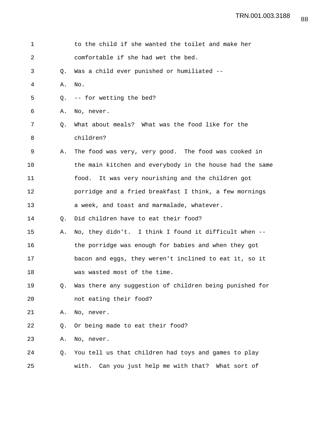| $\mathbf 1$ |    | to the child if she wanted the toilet and make her       |
|-------------|----|----------------------------------------------------------|
| 2           |    | comfortable if she had wet the bed.                      |
| 3           | Q. | Was a child ever punished or humiliated --               |
| 4           | Α. | No.                                                      |
| 5           | Q. | -- for wetting the bed?                                  |
| 6           | Α. | No, never.                                               |
| 7           | Q. | What about meals? What was the food like for the         |
| 8           |    | children?                                                |
| 9           | Α. | The food was very, very good. The food was cooked in     |
| 10          |    | the main kitchen and everybody in the house had the same |
| 11          |    | food. It was very nourishing and the children got        |
| 12          |    | porridge and a fried breakfast I think, a few mornings   |
| 13          |    | a week, and toast and marmalade, whatever.               |
| 14          | O. | Did children have to eat their food?                     |
| 15          | Α. | No, they didn't. I think I found it difficult when --    |
| 16          |    | the porridge was enough for babies and when they got     |
| 17          |    | bacon and eggs, they weren't inclined to eat it, so it   |
| 18          |    | was wasted most of the time.                             |
| 19          | Q. | Was there any suggestion of children being punished for  |
| 20          |    | not eating their food?                                   |
| 21          | Α. | No, never.                                               |
| 22          | Q. | Or being made to eat their food?                         |
| 23          | Α. | No, never.                                               |
| 24          | Q. | You tell us that children had toys and games to play     |
| 25          |    | with.<br>Can you just help me with that?<br>What sort of |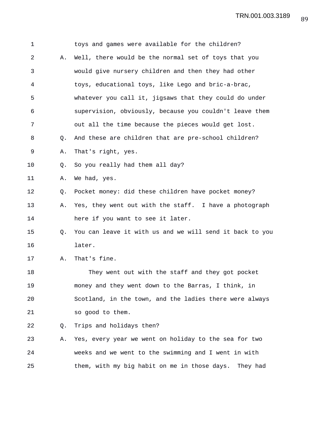| $\mathbf 1$ |    | toys and games were available for the children?          |
|-------------|----|----------------------------------------------------------|
| 2           | Α. | Well, there would be the normal set of toys that you     |
| 3           |    | would give nursery children and then they had other      |
| 4           |    | toys, educational toys, like Lego and bric-a-brac,       |
| 5           |    | whatever you call it, jigsaws that they could do under   |
| 6           |    | supervision, obviously, because you couldn't leave them  |
| 7           |    | out all the time because the pieces would get lost.      |
| 8           | Q. | And these are children that are pre-school children?     |
| 9           | Α. | That's right, yes.                                       |
| 10          | Q. | So you really had them all day?                          |
| 11          | Α. | We had, yes.                                             |
| 12          | Q. | Pocket money: did these children have pocket money?      |
| 13          | Α. | Yes, they went out with the staff. I have a photograph   |
| 14          |    | here if you want to see it later.                        |
| 15          | Q. | You can leave it with us and we will send it back to you |
| 16          |    | later.                                                   |
| 17          | Α. | That's fine.                                             |
| 18          |    | They went out with the staff and they got pocket         |
| 19          |    | money and they went down to the Barras, I think, in      |
| 20          |    | Scotland, in the town, and the ladies there were always  |
| 21          |    | so good to them.                                         |
| 22          | Q. | Trips and holidays then?                                 |
| 23          | Α. | Yes, every year we went on holiday to the sea for two    |
| 24          |    | weeks and we went to the swimming and I went in with     |
| 25          |    | them, with my big habit on me in those days.<br>They had |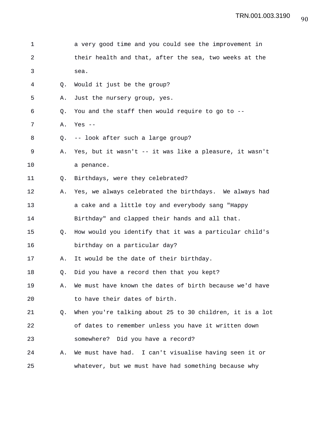| 1  |    | a very good time and you could see the improvement in    |
|----|----|----------------------------------------------------------|
| 2  |    | their health and that, after the sea, two weeks at the   |
| 3  |    | sea.                                                     |
| 4  | Q. | Would it just be the group?                              |
| 5  | Α. | Just the nursery group, yes.                             |
| 6  | Q. | You and the staff then would require to go to --         |
| 7  | Α. | Yes $--$                                                 |
| 8  | Q. | -- look after such a large group?                        |
| 9  | Α. | Yes, but it wasn't -- it was like a pleasure, it wasn't  |
| 10 |    | a penance.                                               |
| 11 | Q. | Birthdays, were they celebrated?                         |
| 12 | Α. | Yes, we always celebrated the birthdays. We always had   |
| 13 |    | a cake and a little toy and everybody sang "Happy        |
| 14 |    | Birthday" and clapped their hands and all that.          |
| 15 | Q. | How would you identify that it was a particular child's  |
| 16 |    | birthday on a particular day?                            |
| 17 | Α. | It would be the date of their birthday.                  |
| 18 | Q. | Did you have a record then that you kept?                |
| 19 | Α. | We must have known the dates of birth because we'd have  |
| 20 |    | to have their dates of birth.                            |
| 21 | Q. | When you're talking about 25 to 30 children, it is a lot |
| 22 |    | of dates to remember unless you have it written down     |
| 23 |    | somewhere? Did you have a record?                        |
| 24 | Α. | We must have had. I can't visualise having seen it or    |
| 25 |    | whatever, but we must have had something because why     |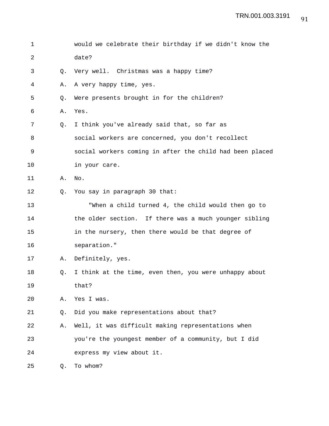| 1  |    | would we celebrate their birthday if we didn't know the  |
|----|----|----------------------------------------------------------|
| 2  |    | date?                                                    |
| 3  | Q. | Very well. Christmas was a happy time?                   |
| 4  | Α. | A very happy time, yes.                                  |
| 5  | Q. | Were presents brought in for the children?               |
| 6  | Α. | Yes.                                                     |
| 7  | Q. | I think you've already said that, so far as              |
| 8  |    | social workers are concerned, you don't recollect        |
| 9  |    | social workers coming in after the child had been placed |
| 10 |    | in your care.                                            |
| 11 | Α. | No.                                                      |
| 12 | Q. | You say in paragraph 30 that:                            |
| 13 |    | "When a child turned 4, the child would then go to       |
| 14 |    | the older section. If there was a much younger sibling   |
| 15 |    | in the nursery, then there would be that degree of       |
| 16 |    | separation."                                             |
| 17 | Α. | Definitely, yes.                                         |
| 18 | Q. | I think at the time, even then, you were unhappy about   |
| 19 |    | that?                                                    |
| 20 | Α. | Yes I was.                                               |
| 21 | Q. | Did you make representations about that?                 |
| 22 | Α. | Well, it was difficult making representations when       |
| 23 |    | you're the youngest member of a community, but I did     |
| 24 |    | express my view about it.                                |
| 25 | Q. | To whom?                                                 |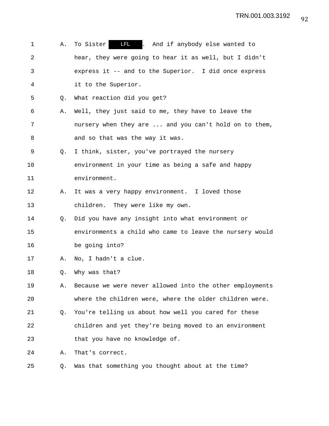1 A. To Sister **LEL** . And if anybody else wanted to 2 hear, they were going to hear it as well, but I didn't 3 express it -- and to the Superior. I did once express 4 it to the Superior. 5 Q. What reaction did you get? 6 A. Well, they just said to me, they have to leave the 7 nursery when they are ... and you can't hold on to them, 8 and so that was the way it was. 9 Q. I think, sister, you've portrayed the nursery 10 environment in your time as being a safe and happy 11 environment. 12 A. It was a very happy environment. I loved those 13 children. They were like my own. 14 Q. Did you have any insight into what environment or 15 environments a child who came to leave the nursery would 16 be going into? 17 A. No, I hadn't a clue. 18 Q. Why was that? 19 A. Because we were never allowed into the other employments 20 where the children were, where the older children were. 21 Q. You're telling us about how well you cared for these 22 children and yet they're being moved to an environment 23 that you have no knowledge of. 24 A. That's correct. 25 Q. Was that something you thought about at the time?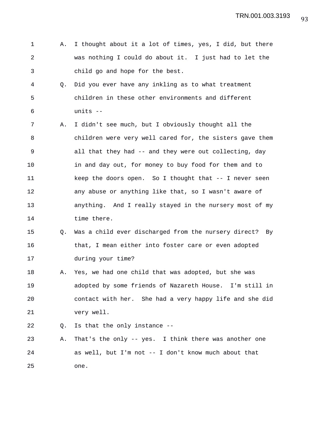- 1 A. I thought about it a lot of times, yes, I did, but there 2 was nothing I could do about it. I just had to let the 3 child go and hope for the best.
- 4 Q. Did you ever have any inkling as to what treatment 5 children in these other environments and different 6 units --
- 7 A. I didn't see much, but I obviously thought all the 8 children were very well cared for, the sisters gave them 9 all that they had -- and they were out collecting, day 10 in and day out, for money to buy food for them and to 11 keep the doors open. So I thought that -- I never seen 12 any abuse or anything like that, so I wasn't aware of 13 anything. And I really stayed in the nursery most of my 14 time there.
- 15 Q. Was a child ever discharged from the nursery direct? By 16 that, I mean either into foster care or even adopted 17 during your time?
- 18 A. Yes, we had one child that was adopted, but she was 19 adopted by some friends of Nazareth House. I'm still in 20 contact with her. She had a very happy life and she did 21 very well.
- 22 Q. Is that the only instance --
- 23 A. That's the only -- yes. I think there was another one 24 as well, but I'm not -- I don't know much about that 25 one.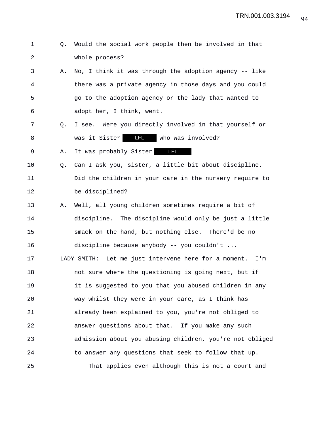- 1 Q. Would the social work people then be involved in that 2 whole process?
- 3 A. No, I think it was through the adoption agency -- like 4 there was a private agency in those days and you could 5 go to the adoption agency or the lady that wanted to 6 adopt her, I think, went.
- 7 Q. I see. Were you directly involved in that yourself or 8 was it Sister **LFL** who was involved?

9 A. It was probably Sister **LFL** 

- 10 Q. Can I ask you, sister, a little bit about discipline. 11 Did the children in your care in the nursery require to 12 be disciplined?
- 13 A. Well, all young children sometimes require a bit of 14 discipline. The discipline would only be just a little 15 smack on the hand, but nothing else. There'd be no 16 discipline because anybody -- you couldn't ...

17 LADY SMITH: Let me just intervene here for a moment. I'm 18 **not sure where the questioning is going next, but if** 19 it is suggested to you that you abused children in any 20 way whilst they were in your care, as I think has 21 already been explained to you, you're not obliged to 22 answer questions about that. If you make any such 23 admission about you abusing children, you're not obliged 24 to answer any questions that seek to follow that up. 25 That applies even although this is not a court and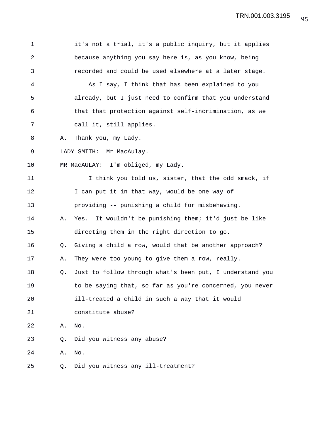| $\mathbf 1$ |    | it's not a trial, it's a public inquiry, but it applies  |
|-------------|----|----------------------------------------------------------|
| 2           |    | because anything you say here is, as you know, being     |
| 3           |    | recorded and could be used elsewhere at a later stage.   |
| 4           |    | As I say, I think that has been explained to you         |
| 5           |    | already, but I just need to confirm that you understand  |
| 6           |    | that that protection against self-incrimination, as we   |
| 7           |    | call it, still applies.                                  |
| 8           | Α. | Thank you, my Lady.                                      |
| $\mathsf 9$ |    | LADY SMITH: Mr MacAulay.                                 |
| 10          |    | MR MacAULAY: I'm obliged, my Lady.                       |
| 11          |    | I think you told us, sister, that the odd smack, if      |
| 12          |    | I can put it in that way, would be one way of            |
| 13          |    | providing -- punishing a child for misbehaving.          |
| 14          | Α. | Yes. It wouldn't be punishing them; it'd just be like    |
| 15          |    | directing them in the right direction to go.             |
| 16          | Q. | Giving a child a row, would that be another approach?    |
| 17          | Α. | They were too young to give them a row, really.          |
| 18          | Q. | Just to follow through what's been put, I understand you |
| 19          |    | to be saying that, so far as you're concerned, you never |
| 20          |    | ill-treated a child in such a way that it would          |
| 21          |    | constitute abuse?                                        |
| 22          | Α. | No.                                                      |
| 23          | Q. | Did you witness any abuse?                               |
| 24          | Α. | No.                                                      |
| 25          | Q. | Did you witness any ill-treatment?                       |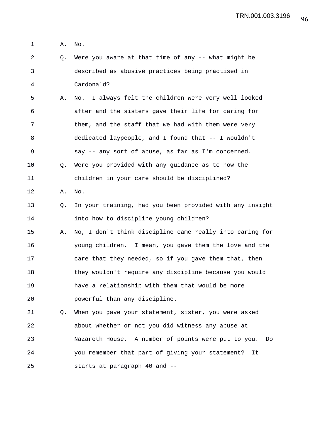1 A. No.

2 Q. Were you aware at that time of any -- what might be 3 described as abusive practices being practised in 4 Cardonald? 5 A. No. I always felt the children were very well looked 6 after and the sisters gave their life for caring for 7 them, and the staff that we had with them were very 8 dedicated laypeople, and I found that -- I wouldn't

9 say -- any sort of abuse, as far as I'm concerned.

10 Q. Were you provided with any guidance as to how the 11 children in your care should be disciplined?

12 A. No.

13 Q. In your training, had you been provided with any insight 14 into how to discipline young children?

15 A. No, I don't think discipline came really into caring for 16 young children. I mean, you gave them the love and the 17 care that they needed, so if you gave them that, then 18 they wouldn't require any discipline because you would 19 have a relationship with them that would be more 20 powerful than any discipline.

21 Q. When you gave your statement, sister, you were asked 22 about whether or not you did witness any abuse at 23 Nazareth House. A number of points were put to you. Do 24 you remember that part of giving your statement? It 25 starts at paragraph 40 and --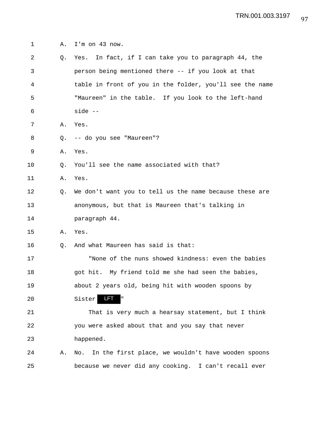1 A. I'm on 43 now.

| 2  |    | Q. Yes. In fact, if I can take you to paragraph 44, the   |
|----|----|-----------------------------------------------------------|
| 3  |    | person being mentioned there -- if you look at that       |
| 4  |    | table in front of you in the folder, you'll see the name  |
| 5  |    | "Maureen" in the table. If you look to the left-hand      |
| 6  |    | $side --$                                                 |
| 7  | Α. | Yes.                                                      |
| 8  | Q. | -- do you see "Maureen"?                                  |
| 9  | Α. | Yes.                                                      |
| 10 | Q. | You'll see the name associated with that?                 |
| 11 | Α. | Yes.                                                      |
| 12 | Q. | We don't want you to tell us the name because these are   |
| 13 |    | anonymous, but that is Maureen that's talking in          |
| 14 |    | paragraph 44.                                             |
| 15 | Α. | Yes.                                                      |
| 16 | Q. | And what Maureen has said is that:                        |
| 17 |    | "None of the nuns showed kindness: even the babies        |
| 18 |    | got hit. My friend told me she had seen the babies,       |
| 19 |    | about 2 years old, being hit with wooden spoons by        |
| 20 |    | Sister<br>LEI                                             |
| 21 |    | That is very much a hearsay statement, but I think        |
| 22 |    | you were asked about that and you say that never          |
| 23 |    | happened.                                                 |
| 24 | Α. | In the first place, we wouldn't have wooden spoons<br>No. |
| 25 |    | because we never did any cooking. I can't recall ever     |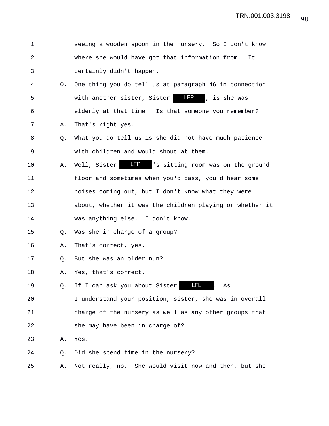| 1       |    | seeing a wooden spoon in the nursery. So I don't know       |
|---------|----|-------------------------------------------------------------|
| 2       |    | where she would have got that information from.<br>It       |
| 3       |    | certainly didn't happen.                                    |
| 4       | Q. | One thing you do tell us at paragraph 46 in connection      |
| 5       |    | <b>LFP</b><br>with another sister, Sister<br>, is she was   |
| 6       |    | elderly at that time. Is that someone you remember?         |
| 7       | Α. | That's right yes.                                           |
| 8       | Q. | What you do tell us is she did not have much patience       |
| 9       |    | with children and would shout at them.                      |
| $10 \,$ | Α. | <b>LP</b> Is sitting room was on the ground<br>Well, Sister |
| 11      |    | floor and sometimes when you'd pass, you'd hear some        |
| 12      |    | noises coming out, but I don't know what they were          |
| 13      |    | about, whether it was the children playing or whether it    |
| 14      |    | was anything else. I don't know.                            |
| 15      | Q. | Was she in charge of a group?                               |
| 16      | Α. | That's correct, yes.                                        |
| 17      | O. | But she was an older nun?                                   |
| 18      | Α. | Yes, that's correct.                                        |
| 19      | Q. | <u>LFL</u><br>If I can ask you about Sister<br>As           |
| 20      |    | I understand your position, sister, she was in overall      |
| 21      |    | charge of the nursery as well as any other groups that      |
| 22      |    | she may have been in charge of?                             |
| 23      | Α. | Yes.                                                        |
| 24      | Q. | Did she spend time in the nursery?                          |
| 25      | Α. | Not really, no. She would visit now and then, but she       |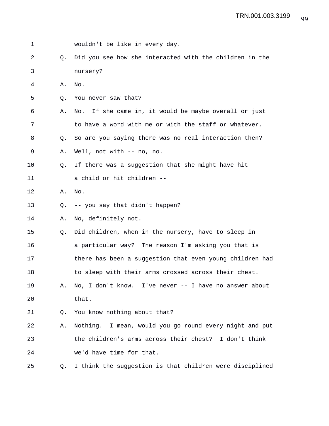1 wouldn't be like in every day. 2 Q. Did you see how she interacted with the children in the 3 nursery? 4 A. No. 5 0. You never saw that? 6 A. No. If she came in, it would be maybe overall or just 7 to have a word with me or with the staff or whatever. 8 Q. So are you saying there was no real interaction then? 9 A. Well, not with -- no, no. 10 Q. If there was a suggestion that she might have hit 11 a child or hit children -- 12 A. No. 13 Q. -- you say that didn't happen? 14 A. No, definitely not. 15 Q. Did children, when in the nursery, have to sleep in 16 a particular way? The reason I'm asking you that is 17 there has been a suggestion that even young children had 18 to sleep with their arms crossed across their chest. 19 A. No, I don't know. I've never -- I have no answer about 20 that. 21 Q. You know nothing about that? 22 A. Nothing. I mean, would you go round every night and put 23 the children's arms across their chest? I don't think 24 we'd have time for that. 25 Q. I think the suggestion is that children were disciplined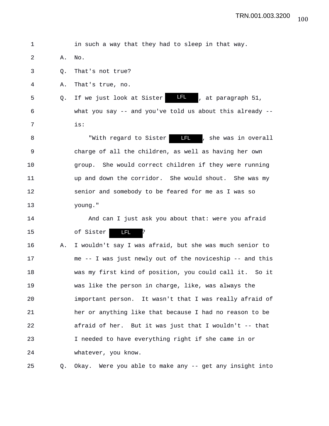1 in such a way that they had to sleep in that way. 2 A. No. 3 Q. That's not true? 4 A. That's true, no. 5 Q. If we just look at Sister  $\blacksquare$ , at paragraph 51, 6 what you say -- and you've told us about this already -- 7 is: 8 The With regard to Sister **LI**, she was in overall 9 charge of all the children, as well as having her own 10 group. She would correct children if they were running 11 up and down the corridor. She would shout. She was my 12 senior and somebody to be feared for me as I was so 13 young." 14 And can I just ask you about that: were you afraid 15 of Sister **II** ? 16 A. I wouldn't say I was afraid, but she was much senior to 17 me -- I was just newly out of the noviceship -- and this 18 was my first kind of position, you could call it. So it 19 was like the person in charge, like, was always the 20 important person. It wasn't that I was really afraid of 21 her or anything like that because I had no reason to be 22 afraid of her. But it was just that I wouldn't -- that 23 I needed to have everything right if she came in or 24 whatever, you know. 25 Q. Okay. Were you able to make any -- get any insight into LFL LFL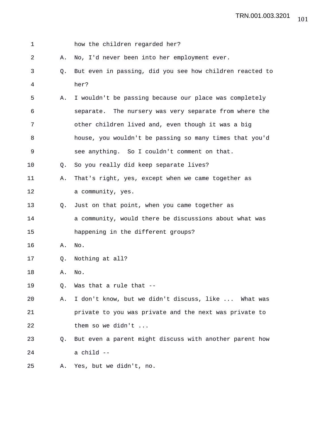| 1  |             | how the children regarded her?                           |
|----|-------------|----------------------------------------------------------|
| 2  | Α.          | No, I'd never been into her employment ever.             |
| 3  | $Q_{\star}$ | But even in passing, did you see how children reacted to |
| 4  |             | her?                                                     |
| 5  | Α.          | I wouldn't be passing because our place was completely   |
| 6  |             | separate. The nursery was very separate from where the   |
| 7  |             | other children lived and, even though it was a big       |
| 8  |             | house, you wouldn't be passing so many times that you'd  |
| 9  |             | see anything. So I couldn't comment on that.             |
| 10 | O.          | So you really did keep separate lives?                   |
| 11 | Α.          | That's right, yes, except when we came together as       |
| 12 |             | a community, yes.                                        |
| 13 | 0.          | Just on that point, when you came together as            |
| 14 |             | a community, would there be discussions about what was   |
| 15 |             | happening in the different groups?                       |
| 16 | Α.          | No.                                                      |
| 17 | Q.          | Nothing at all?                                          |
| 18 | Α.          | No.                                                      |
| 19 | Q.          | Was that a rule that --                                  |
| 20 | Α.          | I don't know, but we didn't discuss, like  What was      |
| 21 |             | private to you was private and the next was private to   |
| 22 |             | them so we didn't                                        |
| 23 | Q.          | But even a parent might discuss with another parent how  |
| 24 |             | a child --                                               |
| 25 | Α.          | Yes, but we didn't, no.                                  |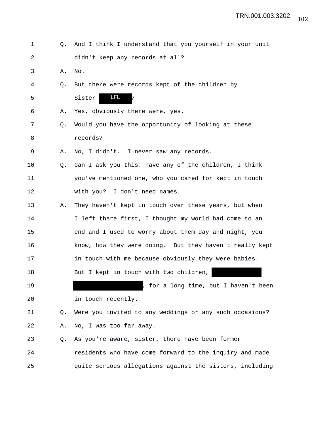| 1  | 0.             | And I think I understand that you yourself in your unit  |
|----|----------------|----------------------------------------------------------|
| 2  |                | didn't keep any records at all?                          |
| 3  | Α.             | No.                                                      |
| 4  | Q.             | But there were records kept of the children by           |
| 5  |                | LFL.<br>Sister<br>þ.                                     |
| 6  | Α.             | Yes, obviously there were, yes.                          |
| 7  | Q <sub>z</sub> | Would you have the opportunity of looking at these       |
| 8  |                | records?                                                 |
| 9  | Α.             | No, I didn't. I never saw any records.                   |
| 10 | Q.             | Can I ask you this: have any of the children, I think    |
| 11 |                | you've mentioned one, who you cared for kept in touch    |
| 12 |                | with you? I don't need names.                            |
| 13 | Α.             | They haven't kept in touch over these years, but when    |
| 14 |                | I left there first, I thought my world had come to an    |
| 15 |                | end and I used to worry about them day and night, you    |
| 16 |                | know, how they were doing. But they haven't really kept  |
| 17 |                | in touch with me because obviously they were babies.     |
| 18 |                | But I kept in touch with two children,                   |
| 19 |                | for a long time, but I haven't been                      |
| 20 |                | in touch recently.                                       |
| 21 | Q.             | Were you invited to any weddings or any such occasions?  |
| 22 | Α.             | No, I was too far away.                                  |
| 23 | Q.             | As you're aware, sister, there have been former          |
| 24 |                | residents who have come forward to the inquiry and made  |
| 25 |                | quite serious allegations against the sisters, including |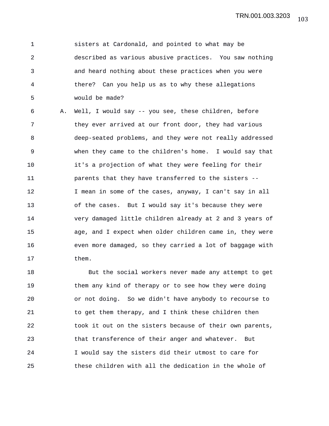1 sisters at Cardonald, and pointed to what may be 2 described as various abusive practices. You saw nothing 3 and heard nothing about these practices when you were 4 there? Can you help us as to why these allegations 5 would be made?

6 A. Well, I would say -- you see, these children, before 7 they ever arrived at our front door, they had various 8 deep-seated problems, and they were not really addressed 9 when they came to the children's home. I would say that 10 it's a projection of what they were feeling for their 11 parents that they have transferred to the sisters -- 12 I mean in some of the cases, anyway, I can't say in all 13 of the cases. But I would say it's because they were 14 very damaged little children already at 2 and 3 years of 15 age, and I expect when older children came in, they were 16 even more damaged, so they carried a lot of baggage with 17 them.

18 But the social workers never made any attempt to get 19 them any kind of therapy or to see how they were doing 20 or not doing. So we didn't have anybody to recourse to 21 to get them therapy, and I think these children then 22 took it out on the sisters because of their own parents, 23 that transference of their anger and whatever. But 24 I would say the sisters did their utmost to care for 25 these children with all the dedication in the whole of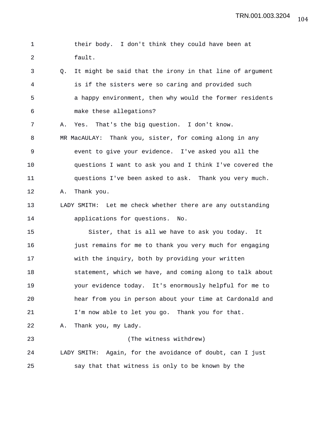TRN.001.003.3204

1 their body. I don't think they could have been at 2 fault. 3 Q. It might be said that the irony in that line of argument 4 is if the sisters were so caring and provided such 5 a happy environment, then why would the former residents 6 make these allegations? 7 A. Yes. That's the big question. I don't know. 8 MR MacAULAY: Thank you, sister, for coming along in any 9 event to give your evidence. I've asked you all the 10 questions I want to ask you and I think I've covered the 11 questions I've been asked to ask. Thank you very much. 12 A. Thank you. 13 LADY SMITH: Let me check whether there are any outstanding 14 applications for questions. No. 15 Sister, that is all we have to ask you today. It 16 **just remains for me to thank you very much for engaging** 17 with the inquiry, both by providing your written 18 statement, which we have, and coming along to talk about 19 your evidence today. It's enormously helpful for me to 20 hear from you in person about your time at Cardonald and 21 I'm now able to let you go. Thank you for that. 22 A. Thank you, my Lady. 23 (The witness withdrew) 24 LADY SMITH: Again, for the avoidance of doubt, can I just 25 say that that witness is only to be known by the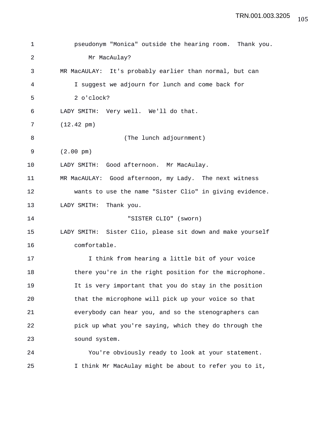| 1  | pseudonym "Monica" outside the hearing room. Thank you.    |
|----|------------------------------------------------------------|
| 2  | Mr MacAulay?                                               |
| 3  | MR MacAULAY: It's probably earlier than normal, but can    |
| 4  | I suggest we adjourn for lunch and come back for           |
| 5  | 2 o'clock?                                                 |
| 6  | LADY SMITH: Very well. We'll do that.                      |
| 7  | $(12.42 \text{ pm})$                                       |
| 8  | (The lunch adjournment)                                    |
| 9  | $(2.00 \text{ pm})$                                        |
| 10 | LADY SMITH: Good afternoon. Mr MacAulay.                   |
| 11 | MR MacAULAY: Good afternoon, my Lady. The next witness     |
| 12 | wants to use the name "Sister Clio" in giving evidence.    |
| 13 | LADY SMITH: Thank you.                                     |
| 14 | "SISTER CLIO" (sworn)                                      |
| 15 | LADY SMITH: Sister Clio, please sit down and make yourself |
| 16 | comfortable.                                               |
| 17 | I think from hearing a little bit of your voice            |
| 18 | there you're in the right position for the microphone.     |
| 19 | It is very important that you do stay in the position      |
| 20 | that the microphone will pick up your voice so that        |
| 21 | everybody can hear you, and so the stenographers can       |
| 22 | pick up what you're saying, which they do through the      |
| 23 | sound system.                                              |
| 24 | You're obviously ready to look at your statement.          |

25 I think Mr MacAulay might be about to refer you to it,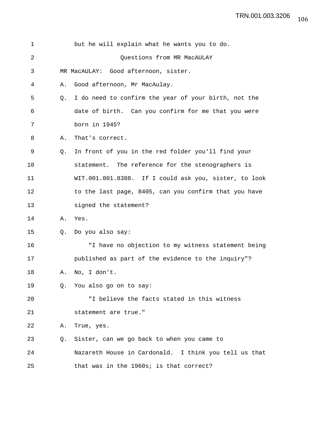| 1  |    | but he will explain what he wants you to do.          |
|----|----|-------------------------------------------------------|
| 2  |    | Questions from MR MacAULAY                            |
| 3  |    | MR MacAULAY: Good afternoon, sister.                  |
| 4  | Α. | Good afternoon, Mr MacAulay.                          |
| 5  | Q. | I do need to confirm the year of your birth, not the  |
| 6  |    | date of birth. Can you confirm for me that you were   |
| 7  |    | born in 1945?                                         |
| 8  | Α. | That's correct.                                       |
| 9  | Q. | In front of you in the red folder you'll find your    |
| 10 |    | statement. The reference for the stenographers is     |
| 11 |    | WIT.001.001.8388. If I could ask you, sister, to look |
| 12 |    | to the last page, 8405, can you confirm that you have |
| 13 |    | signed the statement?                                 |
| 14 | Α. | Yes.                                                  |
| 15 | Q. | Do you also say:                                      |
| 16 |    | "I have no objection to my witness statement being    |
| 17 |    | published as part of the evidence to the inquiry"?    |
| 18 | Α. | No, I don't.                                          |
| 19 |    | Q. You also go on to say:                             |
| 20 |    | "I believe the facts stated in this witness           |
| 21 |    | statement are true."                                  |
| 22 | Α. | True, yes.                                            |
| 23 | O. | Sister, can we go back to when you came to            |
| 24 |    | Nazareth House in Cardonald. I think you tell us that |
| 25 |    | that was in the 1960s; is that correct?               |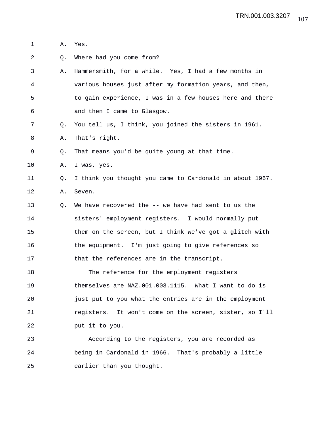- 1 A. Yes.
- 2 Q. Where had you come from?
- 3 A. Hammersmith, for a while. Yes, I had a few months in 4 various houses just after my formation years, and then, 5 to gain experience, I was in a few houses here and there 6 and then I came to Glasgow.
- 7 Q. You tell us, I think, you joined the sisters in 1961.
- 8 A. That's right.
- 9 Q. That means you'd be quite young at that time.
- 10 A. I was, yes.

## 11 Q. I think you thought you came to Cardonald in about 1967. 12 A. Seven.

13 Q. We have recovered the -- we have had sent to us the 14 sisters' employment registers. I would normally put 15 them on the screen, but I think we've got a glitch with 16 the equipment. I'm just going to give references so 17 that the references are in the transcript.

18 The reference for the employment registers 19 themselves are NAZ.001.003.1115. What I want to do is 20 just put to you what the entries are in the employment 21 registers. It won't come on the screen, sister, so I'll 22 put it to you.

23 According to the registers, you are recorded as 24 being in Cardonald in 1966. That's probably a little 25 earlier than you thought.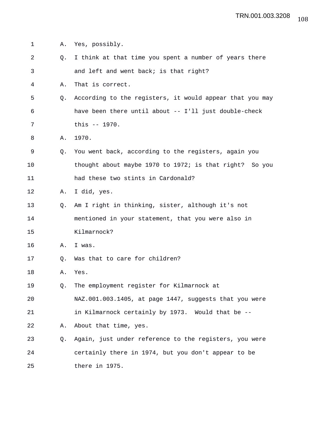1 A. Yes, possibly. 2 Q. I think at that time you spent a number of years there 3 and left and went back; is that right? 4 A. That is correct. 5 Q. According to the registers, it would appear that you may 6 have been there until about -- I'll just double-check 7 this -- 1970. 8 A. 1970. 9 Q. You went back, according to the registers, again you 10 thought about maybe 1970 to 1972; is that right? So you 11 had these two stints in Cardonald? 12 A. I did, yes. 13 Q. Am I right in thinking, sister, although it's not 14 mentioned in your statement, that you were also in 15 Kilmarnock? 16 A. I was. 17 Q. Was that to care for children? 18 A. Yes. 19 Q. The employment register for Kilmarnock at 20 NAZ.001.003.1405, at page 1447, suggests that you were 21 in Kilmarnock certainly by 1973. Would that be -- 22 A. About that time, yes. 23 Q. Again, just under reference to the registers, you were 24 certainly there in 1974, but you don't appear to be 25 there in 1975.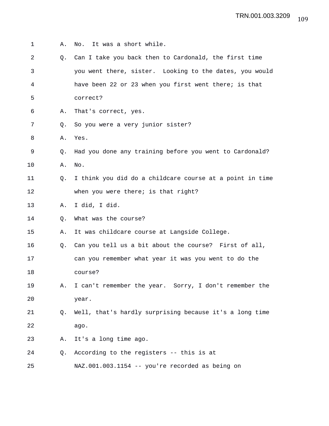| 1  | Α.        | It was a short while.<br>No.                             |
|----|-----------|----------------------------------------------------------|
| 2  | 0.        | Can I take you back then to Cardonald, the first time    |
| 3  |           | you went there, sister. Looking to the dates, you would  |
| 4  |           | have been 22 or 23 when you first went there; is that    |
| 5  |           | correct?                                                 |
| 6  | Α.        | That's correct, yes.                                     |
| 7  | $\circ$ . | So you were a very junior sister?                        |
| 8  | Α.        | Yes.                                                     |
| 9  | О.        | Had you done any training before you went to Cardonald?  |
| 10 | Α.        | No.                                                      |
| 11 | Q.        | I think you did do a childcare course at a point in time |
| 12 |           | when you were there; is that right?                      |
| 13 | Α.        | I did, I did.                                            |
| 14 | Q.        | What was the course?                                     |
| 15 | Α.        | It was childcare course at Langside College.             |
| 16 | Q.        | Can you tell us a bit about the course? First of all,    |
| 17 |           | can you remember what year it was you went to do the     |
| 18 |           | course?                                                  |
| 19 | Α.        | I can't remember the year. Sorry, I don't remember the   |
| 20 |           | year.                                                    |
| 21 | Q.        | Well, that's hardly surprising because it's a long time  |
| 22 |           | ago.                                                     |
| 23 | Α.        | It's a long time ago.                                    |
| 24 | Q.        | According to the registers -- this is at                 |
| 25 |           | NAZ.001.003.1154 -- you're recorded as being on          |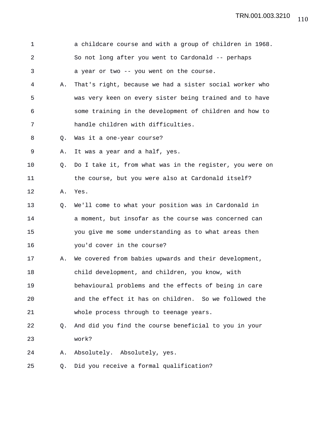| $\mathbf 1$    |    | a childcare course and with a group of children in 1968. |
|----------------|----|----------------------------------------------------------|
| $\overline{a}$ |    | So not long after you went to Cardonald -- perhaps       |
| 3              |    | a year or two -- you went on the course.                 |
| 4              | Α. | That's right, because we had a sister social worker who  |
| 5              |    | was very keen on every sister being trained and to have  |
| 6              |    | some training in the development of children and how to  |
| 7              |    | handle children with difficulties.                       |
| 8              | Q. | Was it a one-year course?                                |
| 9              | Α. | It was a year and a half, yes.                           |
| 10             | Q. | Do I take it, from what was in the register, you were on |
| 11             |    | the course, but you were also at Cardonald itself?       |
| 12             | Α. | Yes.                                                     |
| 13             | Q. | We'll come to what your position was in Cardonald in     |
| 14             |    | a moment, but insofar as the course was concerned can    |
| 15             |    | you give me some understanding as to what areas then     |
| 16             |    | you'd cover in the course?                               |
| 17             | Α. | We covered from babies upwards and their development,    |
| 18             |    | child development, and children, you know, with          |
| 19             |    | behavioural problems and the effects of being in care    |
| 20             |    | and the effect it has on children. So we followed the    |
| 21             |    | whole process through to teenage years.                  |
| 22             | Q. | And did you find the course beneficial to you in your    |
| 23             |    | work?                                                    |
| 24             | Α. | Absolutely. Absolutely, yes.                             |
| 25             | Q. | Did you receive a formal qualification?                  |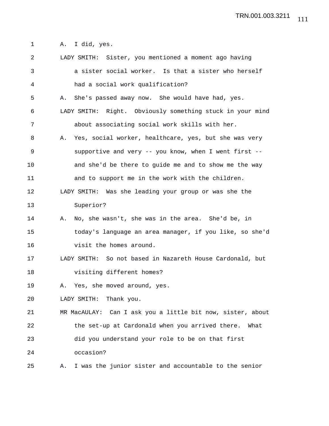1 A. I did, yes.

2 LADY SMITH: Sister, you mentioned a moment ago having 3 a sister social worker. Is that a sister who herself 4 had a social work qualification? 5 A. She's passed away now. She would have had, yes. 6 LADY SMITH: Right. Obviously something stuck in your mind 7 about associating social work skills with her. 8 A. Yes, social worker, healthcare, yes, but she was very 9 supportive and very -- you know, when I went first -- 10 and she'd be there to guide me and to show me the way 11 and to support me in the work with the children. 12 LADY SMITH: Was she leading your group or was she the 13 Superior? 14 A. No, she wasn't, she was in the area. She'd be, in 15 today's language an area manager, if you like, so she'd 16 visit the homes around. 17 LADY SMITH: So not based in Nazareth House Cardonald, but 18 visiting different homes? 19 A. Yes, she moved around, yes. 20 LADY SMITH: Thank you. 21 MR MacAULAY: Can I ask you a little bit now, sister, about 22 the set-up at Cardonald when you arrived there. What 23 did you understand your role to be on that first 24 occasion? 25 A. I was the junior sister and accountable to the senior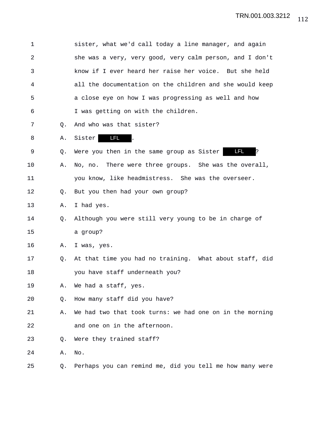| $\mathbf 1$ |    | sister, what we'd call today a line manager, and again   |
|-------------|----|----------------------------------------------------------|
| 2           |    | she was a very, very good, very calm person, and I don't |
| 3           |    | know if I ever heard her raise her voice. But she held   |
| 4           |    | all the documentation on the children and she would keep |
| 5           |    | a close eye on how I was progressing as well and how     |
| 6           |    | I was getting on with the children.                      |
| 7           | Q. | And who was that sister?                                 |
| 8           | Α. | LFL<br>Sister                                            |
| 9           | Q. | <b>LFL</b><br>Were you then in the same group as Sister  |
| 10          | Α. | No, no. There were three groups. She was the overall,    |
| 11          |    | you know, like headmistress. She was the overseer.       |
| 12          | Q. | But you then had your own group?                         |
| 13          | Α. | I had yes.                                               |
| 14          | Q. | Although you were still very young to be in charge of    |
| 15          |    | a group?                                                 |
| 16          | Α. | I was, yes.                                              |
| 17          | Q. | At that time you had no training. What about staff, did  |
| 18          |    | you have staff underneath you?                           |
| 19          | Α. | We had a staff, yes.                                     |
| 20          | Q. | How many staff did you have?                             |
| 21          | Α. | We had two that took turns: we had one on in the morning |
| 22          |    | and one on in the afternoon.                             |
| 23          | Q. | Were they trained staff?                                 |
| 24          | Α. | No.                                                      |
| 25          | Q. | Perhaps you can remind me, did you tell me how many were |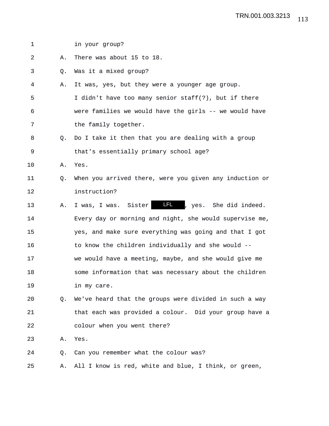| $\mathbf 1$ |    | in your group?                                               |
|-------------|----|--------------------------------------------------------------|
| 2           | Α. | There was about 15 to 18.                                    |
| 3           | Q. | Was it a mixed group?                                        |
| 4           | Α. | It was, yes, but they were a younger age group.              |
| 5           |    | I didn't have too many senior staff(?), but if there         |
| 6           |    | were families we would have the girls -- we would have       |
| 7           |    | the family together.                                         |
| 8           | О. | Do I take it then that you are dealing with a group          |
| 9           |    | that's essentially primary school age?                       |
| 10          | Α. | Yes.                                                         |
| 11          | Q. | When you arrived there, were you given any induction or      |
| 12          |    | instruction?                                                 |
| 13          | Α. | <b>LFL</b><br>, yes. She did indeed.<br>I was, I was. Sister |
| 14          |    | Every day or morning and night, she would supervise me,      |
| 15          |    | yes, and make sure everything was going and that I got       |
| 16          |    | to know the children individually and she would --           |
| 17          |    | we would have a meeting, maybe, and she would give me        |
| 18          |    | some information that was necessary about the children       |
| 19          |    | in my care.                                                  |
| 20          | 0. | We've heard that the groups were divided in such a way       |
| 21          |    | that each was provided a colour. Did your group have a       |
| 22          |    | colour when you went there?                                  |
| 23          | Α. | Yes.                                                         |
| 24          | Q. | Can you remember what the colour was?                        |
| 25          | Α. | All I know is red, white and blue, I think, or green,        |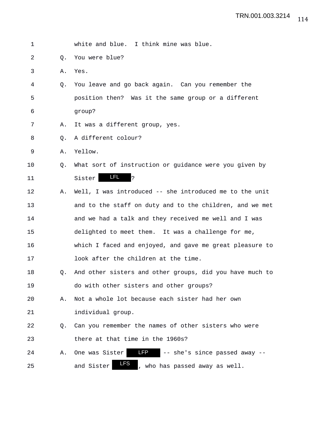| $\mathbf 1$ |    | white and blue. I think mine was blue.                        |
|-------------|----|---------------------------------------------------------------|
| 2           | Q. | You were blue?                                                |
| 3           | Α. | Yes.                                                          |
| 4           | Q. | You leave and go back again. Can you remember the             |
| 5           |    | position then? Was it the same group or a different           |
| 6           |    | group?                                                        |
| 7           | Α. | It was a different group, yes.                                |
| 8           | Q. | A different colour?                                           |
| 9           | Α. | Yellow.                                                       |
| 10          | Q. | What sort of instruction or guidance were you given by        |
| 11          |    | <b>LFL</b><br>?<br>Sister                                     |
| 12          | Α. | Well, I was introduced -- she introduced me to the unit       |
| 13          |    | and to the staff on duty and to the children, and we met      |
| 14          |    | and we had a talk and they received me well and I was         |
| 15          |    | delighted to meet them. It was a challenge for me,            |
| 16          |    | which I faced and enjoyed, and gave me great pleasure to      |
| 17          |    | look after the children at the time.                          |
| 18          | Q. | And other sisters and other groups, did you have much to      |
| 19          |    | do with other sisters and other groups?                       |
| 20          | Α. | Not a whole lot because each sister had her own               |
| 21          |    | individual group.                                             |
| 22          | О. | Can you remember the names of other sisters who were          |
| 23          |    | there at that time in the 1960s?                              |
| 24          | Α. | <b>LFP</b><br>One was Sister<br>-- she's since passed away -- |
| 25          |    | LFS<br>and Sister<br>, who has passed away as well.           |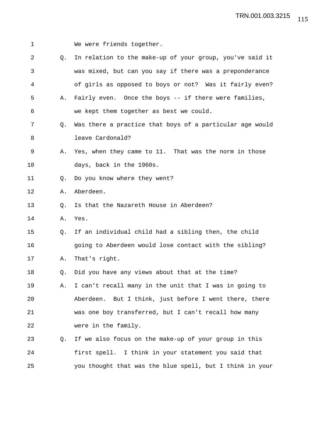1 We were friends together. 2 Q. In relation to the make-up of your group, you've said it 3 was mixed, but can you say if there was a preponderance 4 of girls as opposed to boys or not? Was it fairly even? 5 A. Fairly even. Once the boys -- if there were families, 6 we kept them together as best we could. 7 Q. Was there a practice that boys of a particular age would 8 leave Cardonald? 9 A. Yes, when they came to 11. That was the norm in those 10 days, back in the 1960s. 11 Q. Do you know where they went? 12 A. Aberdeen. 13 0. Is that the Nazareth House in Aberdeen? 14 A. Yes. 15 Q. If an individual child had a sibling then, the child 16 going to Aberdeen would lose contact with the sibling? 17 A. That's right. 18 Q. Did you have any views about that at the time? 19 A. I can't recall many in the unit that I was in going to 20 Aberdeen. But I think, just before I went there, there 21 was one boy transferred, but I can't recall how many 22 were in the family. 23 Q. If we also focus on the make-up of your group in this 24 first spell. I think in your statement you said that 25 you thought that was the blue spell, but I think in your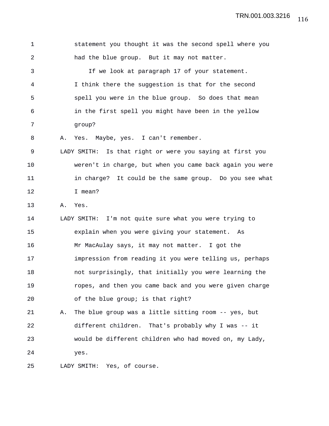1 statement you thought it was the second spell where you 2 had the blue group. But it may not matter. 3 If we look at paragraph 17 of your statement. 4 I think there the suggestion is that for the second 5 spell you were in the blue group. So does that mean 6 in the first spell you might have been in the yellow 7 group? 8 A. Yes. Maybe, yes. I can't remember. 9 LADY SMITH: Is that right or were you saying at first you 10 weren't in charge, but when you came back again you were 11 in charge? It could be the same group. Do you see what 12 I mean? 13 A. Yes. 14 LADY SMITH: I'm not quite sure what you were trying to 15 explain when you were giving your statement. As 16 Mr MacAulay says, it may not matter. I got the 17 impression from reading it you were telling us, perhaps 18 not surprisingly, that initially you were learning the 19 ropes, and then you came back and you were given charge 20 of the blue group; is that right? 21 A. The blue group was a little sitting room -- yes, but 22 different children. That's probably why I was -- it 23 would be different children who had moved on, my Lady, 24 yes. 25 LADY SMITH: Yes, of course.

116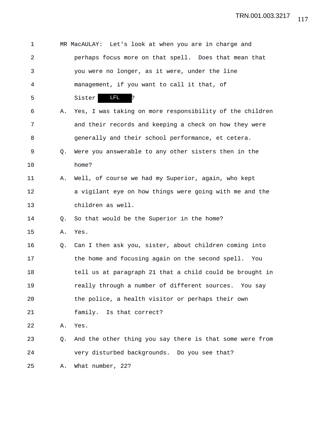| 1              |    | MR MacAULAY: Let's look at when you are in charge and    |
|----------------|----|----------------------------------------------------------|
| $\overline{a}$ |    | perhaps focus more on that spell. Does that mean that    |
| 3              |    | you were no longer, as it were, under the line           |
| 4              |    | management, if you want to call it that, of              |
| 5              |    | <b>LFL</b><br>Sister<br>P.                               |
| 6              | Α. | Yes, I was taking on more responsibility of the children |
| 7              |    | and their records and keeping a check on how they were   |
| 8              |    | generally and their school performance, et cetera.       |
| 9              | O. | Were you answerable to any other sisters then in the     |
| 10             |    | home?                                                    |
| 11             | Α. | Well, of course we had my Superior, again, who kept      |
| 12             |    | a vigilant eye on how things were going with me and the  |
| 13             |    | children as well.                                        |
| 14             | O. | So that would be the Superior in the home?               |
| 15             | Α. | Yes.                                                     |
| 16             | Q. | Can I then ask you, sister, about children coming into   |
| 17             |    | the home and focusing again on the second spell. You     |
| 18             |    | tell us at paragraph 21 that a child could be brought in |
| 19             |    | really through a number of different sources. You say    |
| 20             |    | the police, a health visitor or perhaps their own        |
| 21             |    | family. Is that correct?                                 |
| 22             | Α. | Yes.                                                     |
| 23             | Q. | And the other thing you say there is that some were from |
| 24             |    | very disturbed backgrounds. Do you see that?             |
| 25             | Α. | What number, 22?                                         |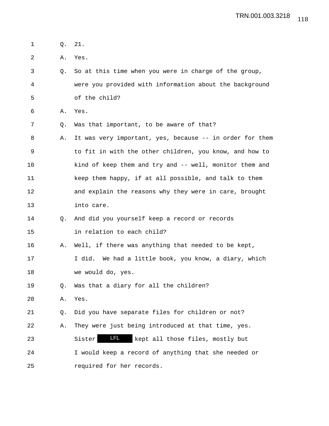| 1  | Q. | 21.                                                      |
|----|----|----------------------------------------------------------|
| 2  | Α. | Yes.                                                     |
| 3  | Q. | So at this time when you were in charge of the group,    |
| 4  |    | were you provided with information about the background  |
| 5  |    | of the child?                                            |
| 6  | Α. | Yes.                                                     |
| 7  | Q. | Was that important, to be aware of that?                 |
| 8  | Α. | It was very important, yes, because -- in order for them |
| 9  |    | to fit in with the other children, you know, and how to  |
| 10 |    | kind of keep them and try and -- well, monitor them and  |
| 11 |    | keep them happy, if at all possible, and talk to them    |
| 12 |    | and explain the reasons why they were in care, brought   |
| 13 |    | into care.                                               |
| 14 | Q. | And did you yourself keep a record or records            |
| 15 |    | in relation to each child?                               |
| 16 | Α. | Well, if there was anything that needed to be kept,      |
| 17 |    | I did. We had a little book, you know, a diary, which    |
| 18 |    | we would do, yes.                                        |
| 19 | Q. | Was that a diary for all the children?                   |
| 20 | Α. | Yes.                                                     |
| 21 | Q. | Did you have separate files for children or not?         |
| 22 | Α. | They were just being introduced at that time, yes.       |
| 23 |    | <u>LFL</u><br>Sister<br>kept all those files, mostly but |
| 24 |    | I would keep a record of anything that she needed or     |
| 25 |    | required for her records.                                |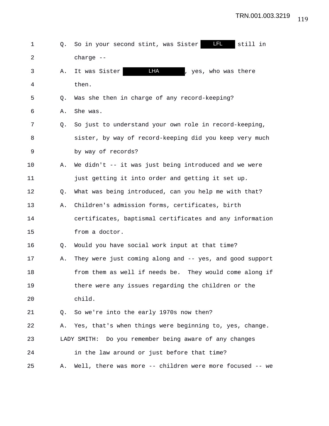| 1              | Q. | LFL _<br>still in<br>So in your second stint, was Sister |
|----------------|----|----------------------------------------------------------|
| $\overline{2}$ |    | charge --                                                |
| 3              | Α. | <b>LHA</b><br>, yes, who was there<br>It was Sister      |
| 4              |    | then.                                                    |
| 5              | Q. | Was she then in charge of any record-keeping?            |
| 6              | Α. | She was.                                                 |
| 7              | Q. | So just to understand your own role in record-keeping,   |
| 8              |    | sister, by way of record-keeping did you keep very much  |
| 9              |    | by way of records?                                       |
| 10             | Α. | We didn't -- it was just being introduced and we were    |
| 11             |    | just getting it into order and getting it set up.        |
| 12             | Q. | What was being introduced, can you help me with that?    |
| 13             | Α. | Children's admission forms, certificates, birth          |
| 14             |    | certificates, baptismal certificates and any information |
| 15             |    | from a doctor.                                           |
| 16             | Q. | Would you have social work input at that time?           |
| 17             | Α. | They were just coming along and -- yes, and good support |
| 18             |    | from them as well if needs be. They would come along if  |
| 19             |    | there were any issues regarding the children or the      |
| 20             |    | child.                                                   |
| 21             | Q. | So we're into the early 1970s now then?                  |
| 22             | Α. | Yes, that's when things were beginning to, yes, change.  |
| 23             |    | LADY SMITH: Do you remember being aware of any changes   |
| 24             |    | in the law around or just before that time?              |
| 25             | Α. | Well, there was more -- children were more focused -- we |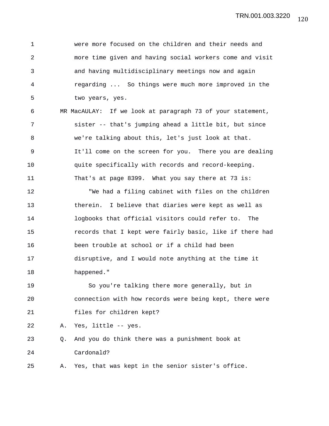1 were more focused on the children and their needs and 2 more time given and having social workers come and visit 3 and having multidisciplinary meetings now and again 4 regarding ... So things were much more improved in the 5 two years, yes.

6 MR MacAULAY: If we look at paragraph 73 of your statement, 7 sister -- that's jumping ahead a little bit, but since 8 we're talking about this, let's just look at that. 9 It'll come on the screen for you. There you are dealing 10 quite specifically with records and record-keeping. 11 That's at page 8399. What you say there at 73 is:

12 "We had a filing cabinet with files on the children 13 therein. I believe that diaries were kept as well as 14 logbooks that official visitors could refer to. The 15 records that I kept were fairly basic, like if there had 16 been trouble at school or if a child had been 17 disruptive, and I would note anything at the time it 18 happened."

19 So you're talking there more generally, but in 20 connection with how records were being kept, there were 21 files for children kept?

22 A. Yes, little -- yes.

23 Q. And you do think there was a punishment book at 24 Cardonald?

25 A. Yes, that was kept in the senior sister's office.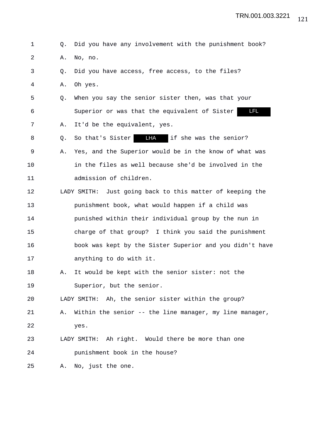1 Q. Did you have any involvement with the punishment book? 2 A. No, no. 3 Q. Did you have access, free access, to the files? 4 A. Oh yes. 5 Q. When you say the senior sister then, was that your 6 Superior or was that the equivalent of Sister LFL 7 A. It'd be the equivalent, yes. 8 Q. So that's Sister **LHA** if she was the senior? 9 A. Yes, and the Superior would be in the know of what was 10 in the files as well because she'd be involved in the 11 admission of children. 12 LADY SMITH: Just going back to this matter of keeping the 13 punishment book, what would happen if a child was 14 punished within their individual group by the nun in 15 charge of that group? I think you said the punishment 16 book was kept by the Sister Superior and you didn't have 17 anything to do with it. 18 A. It would be kept with the senior sister: not the 19 Superior, but the senior. 20 LADY SMITH: Ah, the senior sister within the group? 21 A. Within the senior -- the line manager, my line manager, 22 yes. 23 LADY SMITH: Ah right. Would there be more than one 24 punishment book in the house? 25 A. No, just the one.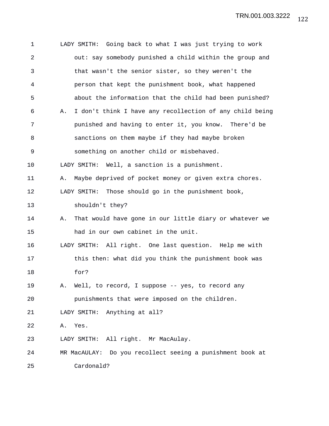1 LADY SMITH: Going back to what I was just trying to work 2 out: say somebody punished a child within the group and 3 that wasn't the senior sister, so they weren't the 4 person that kept the punishment book, what happened 5 about the information that the child had been punished? 6 A. I don't think I have any recollection of any child being 7 punished and having to enter it, you know. There'd be 8 sanctions on them maybe if they had maybe broken 9 something on another child or misbehaved. 10 LADY SMITH: Well, a sanction is a punishment. 11 A. Maybe deprived of pocket money or given extra chores. 12 LADY SMITH: Those should go in the punishment book, 13 shouldn't they? 14 A. That would have gone in our little diary or whatever we 15 had in our own cabinet in the unit. 16 LADY SMITH: All right. One last question. Help me with 17 this then: what did you think the punishment book was 18 for? 19 A. Well, to record, I suppose -- yes, to record any 20 punishments that were imposed on the children. 21 LADY SMITH: Anything at all? 22 A. Yes. 23 LADY SMITH: All right. Mr MacAulay. 24 MR MacAULAY: Do you recollect seeing a punishment book at 25 Cardonald?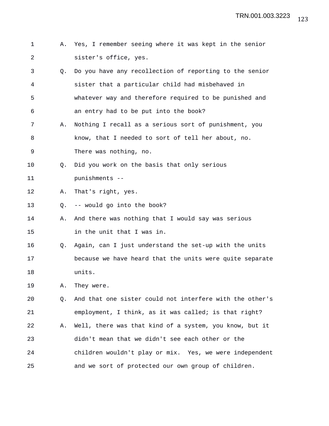- 1 A. Yes, I remember seeing where it was kept in the senior 2 sister's office, yes.
- 3 Q. Do you have any recollection of reporting to the senior 4 sister that a particular child had misbehaved in 5 whatever way and therefore required to be punished and 6 an entry had to be put into the book?
- 7 A. Nothing I recall as a serious sort of punishment, you 8 know, that I needed to sort of tell her about, no. 9 There was nothing, no.
- 10 Q. Did you work on the basis that only serious
- 11 punishments --
- 12 A. That's right, yes.
- 13 Q. -- would go into the book?
- 14 A. And there was nothing that I would say was serious 15 in the unit that I was in.
- 16 Q. Again, can I just understand the set-up with the units 17 because we have heard that the units were quite separate 18 units.
- 19 A. They were.
- 20 Q. And that one sister could not interfere with the other's 21 employment, I think, as it was called; is that right? 22 A. Well, there was that kind of a system, you know, but it 23 didn't mean that we didn't see each other or the 24 children wouldn't play or mix. Yes, we were independent 25 and we sort of protected our own group of children.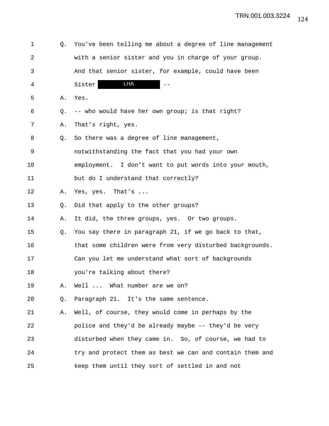| 1              | Q. | You've been telling me about a degree of line management |
|----------------|----|----------------------------------------------------------|
| $\overline{a}$ |    | with a senior sister and you in charge of your group.    |
| 3              |    | And that senior sister, for example, could have been     |
| 4              |    | LHA<br>Sister                                            |
| 5              | Α. | Yes.                                                     |
| 6              | Q. | -- who would have her own group; is that right?          |
| 7              | Α. | That's right, yes.                                       |
| 8              | Q. | So there was a degree of line management,                |
| 9              |    | notwithstanding the fact that you had your own           |
| 10             |    | employment. I don't want to put words into your mouth,   |
| 11             |    | but do I understand that correctly?                      |
| 12             | Α. | Yes, yes. That's                                         |
| 13             | Q. | Did that apply to the other groups?                      |
| 14             | Α. | It did, the three groups, yes. Or two groups.            |
| 15             | Q. | You say there in paragraph 21, if we go back to that,    |
| 16             |    | that some children were from very disturbed backgrounds. |
| 17             |    | Can you let me understand what sort of backgrounds       |
| 18             |    | you're talking about there?                              |
| 19             | Α. | Well  What number are we on?                             |
| 20             | Q. | Paragraph 21. It's the same sentence.                    |
| 21             | Α. | Well, of course, they would come in perhaps by the       |
| 22             |    | police and they'd be already maybe -- they'd be very     |
| 23             |    | disturbed when they came in. So, of course, we had to    |
| 24             |    | try and protect them as best we can and contain them and |
| 25             |    | keep them until they sort of settled in and not          |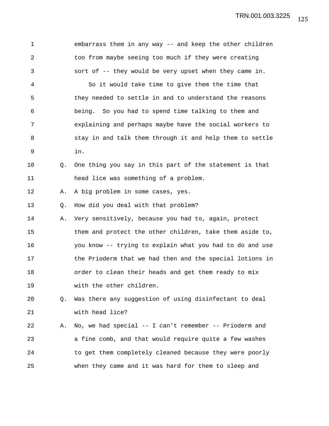TRN.001.003.3225

| $\mathbf 1$    |    | embarrass them in any way -- and keep the other children |
|----------------|----|----------------------------------------------------------|
| $\overline{a}$ |    | too from maybe seeing too much if they were creating     |
| 3              |    | sort of -- they would be very upset when they came in.   |
| 4              |    | So it would take time to give them the time that         |
| 5              |    | they needed to settle in and to understand the reasons   |
| 6              |    | being. So you had to spend time talking to them and      |
| 7              |    | explaining and perhaps maybe have the social workers to  |
| 8              |    | stay in and talk them through it and help them to settle |
| 9              |    | in.                                                      |
| 10             | Q. | One thing you say in this part of the statement is that  |
| 11             |    | head lice was something of a problem.                    |
| 12             | Α. | A big problem in some cases, yes.                        |
| 13             | Q. | How did you deal with that problem?                      |
| 14             | Α. | Very sensitively, because you had to, again, protect     |
| 15             |    | them and protect the other children, take them aside to, |
| 16             |    | you know -- trying to explain what you had to do and use |
| 17             |    | the Prioderm that we had then and the special lotions in |
| 18             |    | order to clean their heads and get them ready to mix     |
| 19             |    | with the other children.                                 |
| 20             | Q. | Was there any suggestion of using disinfectant to deal   |
| 21             |    | with head lice?                                          |
| 22             | Α. | No, we had special -- I can't remember -- Prioderm and   |
| 23             |    | a fine comb, and that would require quite a few washes   |
| 24             |    | to get them completely cleaned because they were poorly  |
| 25             |    | when they came and it was hard for them to sleep and     |
|                |    |                                                          |

125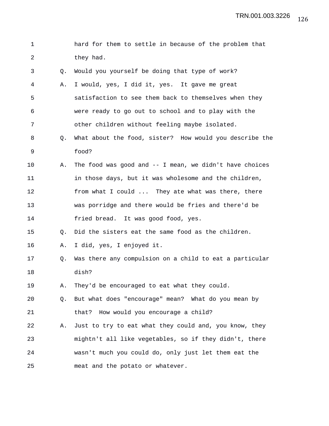| 1  |    | hard for them to settle in because of the problem that     |
|----|----|------------------------------------------------------------|
| 2  |    | they had.                                                  |
| 3  | Q. | Would you yourself be doing that type of work?             |
| 4  | Α. | I would, yes, I did it, yes. It gave me great              |
| 5  |    | satisfaction to see them back to themselves when they      |
| 6  |    | were ready to go out to school and to play with the        |
| 7  |    | other children without feeling maybe isolated.             |
| 8  | Q. | What about the food, sister? How would you describe the    |
| 9  |    | food?                                                      |
| 10 | Α. | The food was good and $-$ - I mean, we didn't have choices |
| 11 |    | in those days, but it was wholesome and the children,      |
| 12 |    | from what I could  They ate what was there, there          |
| 13 |    | was porridge and there would be fries and there'd be       |
| 14 |    | fried bread. It was good food, yes.                        |
| 15 | Q. | Did the sisters eat the same food as the children.         |
| 16 | Α. | I did, yes, I enjoyed it.                                  |
| 17 | Q. | Was there any compulsion on a child to eat a particular    |
| 18 |    | dish?                                                      |
| 19 | Α. | They'd be encouraged to eat what they could.               |
| 20 | Q. | But what does "encourage" mean? What do you mean by        |
| 21 |    | How would you encourage a child?<br>that?                  |
| 22 | Α. | Just to try to eat what they could and, you know, they     |
| 23 |    | mightn't all like vegetables, so if they didn't, there     |
| 24 |    | wasn't much you could do, only just let them eat the       |
| 25 |    | meat and the potato or whatever.                           |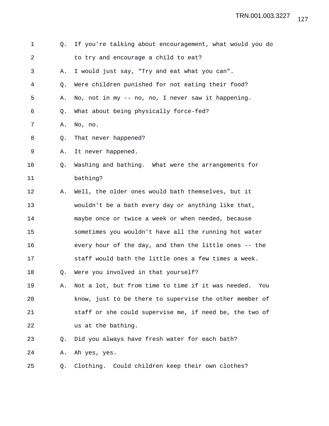| 1  | О.        | If you're talking about encouragement, what would you do  |
|----|-----------|-----------------------------------------------------------|
| 2  |           | to try and encourage a child to eat?                      |
| 3  | Α.        | I would just say, "Try and eat what you can".             |
| 4  | Q.        | Were children punished for not eating their food?         |
| 5  | Α.        | No, not in my -- no, no, I never saw it happening.        |
| 6  | Q.        | What about being physically force-fed?                    |
| 7  | Α.        | No, no.                                                   |
| 8  | Q.        | That never happened?                                      |
| 9  | Α.        | It never happened.                                        |
| 10 | $\circ$ . | Washing and bathing. What were the arrangements for       |
| 11 |           | bathing?                                                  |
| 12 | Α.        | Well, the older ones would bath themselves, but it        |
| 13 |           | wouldn't be a bath every day or anything like that,       |
| 14 |           | maybe once or twice a week or when needed, because        |
| 15 |           | sometimes you wouldn't have all the running hot water     |
| 16 |           | every hour of the day, and then the little ones -- the    |
| 17 |           | staff would bath the little ones a few times a week.      |
| 18 | Q.        | Were you involved in that yourself?                       |
| 19 | А.        | Not a lot, but from time to time if it was needed.<br>You |
| 20 |           | know, just to be there to supervise the other member of   |
| 21 |           | staff or she could supervise me, if need be, the two of   |
| 22 |           | us at the bathing.                                        |
| 23 | Q.        | Did you always have fresh water for each bath?            |
| 24 | Α.        | Ah yes, yes.                                              |
| 25 | Q.        | Clothing.<br>Could children keep their own clothes?       |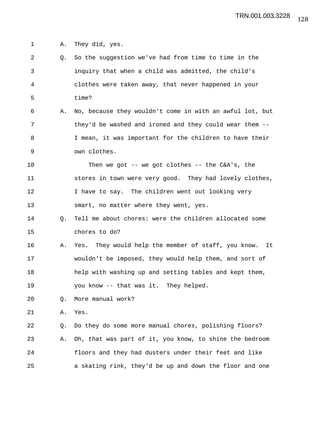1 A. They did, yes.

| $\overline{2}$ | Q. | So the suggestion we've had from time to time in the      |
|----------------|----|-----------------------------------------------------------|
| 3              |    | inquiry that when a child was admitted, the child's       |
| 4              |    | clothes were taken away, that never happened in your      |
| 5              |    | time?                                                     |
| 6              | Α. | No, because they wouldn't come in with an awful lot, but  |
| 7              |    | they'd be washed and ironed and they could wear them --   |
| 8              |    | I mean, it was important for the children to have their   |
| 9              |    | own clothes.                                              |
| 10             |    | Then we got $-$ - we got clothes $-$ - the C&A's, the     |
| 11             |    | stores in town were very good. They had lovely clothes,   |
| 12             |    | I have to say. The children went out looking very         |
| 13             |    | smart, no matter where they went, yes.                    |
| 14             | Q. | Tell me about chores: were the children allocated some    |
| 15             |    | chores to do?                                             |
| 16             | Α. | Yes. They would help the member of staff, you know.<br>It |
| 17             |    | wouldn't be imposed, they would help them, and sort of    |
| 18             |    | help with washing up and setting tables and kept them,    |
| 19             |    | you know -- that was it. They helped.                     |
| 20             | Q. | More manual work?                                         |
| 21             | Α. | Yes.                                                      |
| 22             | Q. | Do they do some more manual chores, polishing floors?     |
| 23             | Α. | Oh, that was part of it, you know, to shine the bedroom   |
| 24             |    | floors and they had dusters under their feet and like     |
| 25             |    | a skating rink, they'd be up and down the floor and one   |
|                |    |                                                           |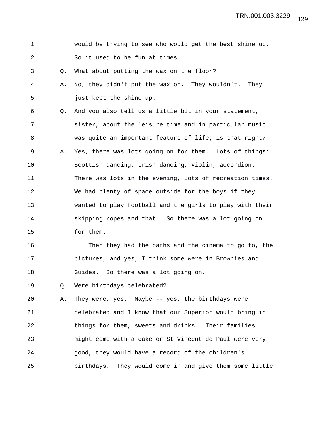| 1 |  | would be trying to see who would get the best shine up. |  |  |  |  |  |
|---|--|---------------------------------------------------------|--|--|--|--|--|
|   |  | So it used to be fun at times.                          |  |  |  |  |  |

3 Q. What about putting the wax on the floor?

4 A. No, they didn't put the wax on. They wouldn't. They 5 just kept the shine up.

6 Q. And you also tell us a little bit in your statement, 7 sister, about the leisure time and in particular music 8 was quite an important feature of life; is that right? 9 A. Yes, there was lots going on for them. Lots of things: 10 Scottish dancing, Irish dancing, violin, accordion. 11 There was lots in the evening, lots of recreation times. 12 We had plenty of space outside for the boys if they 13 wanted to play football and the girls to play with their 14 skipping ropes and that. So there was a lot going on 15 for them.

16 Then they had the baths and the cinema to go to, the 17 pictures, and yes, I think some were in Brownies and 18 Guides. So there was a lot going on.

19 Q. Were birthdays celebrated?

20 A. They were, yes. Maybe -- yes, the birthdays were 21 celebrated and I know that our Superior would bring in 22 things for them, sweets and drinks. Their families 23 might come with a cake or St Vincent de Paul were very 24 good, they would have a record of the children's 25 birthdays. They would come in and give them some little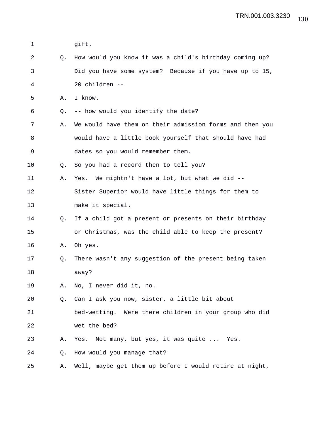| 1  |    | gift.                                                    |
|----|----|----------------------------------------------------------|
| 2  | O. | How would you know it was a child's birthday coming up?  |
| 3  |    | Did you have some system? Because if you have up to 15,  |
| 4  |    | 20 children --                                           |
| 5  | Α. | I know.                                                  |
| 6  | Q. | -- how would you identify the date?                      |
| 7  | Α. | We would have them on their admission forms and then you |
| 8  |    | would have a little book yourself that should have had   |
| 9  |    | dates so you would remember them.                        |
| 10 | Q. | So you had a record then to tell you?                    |
| 11 | Α. | Yes. We mightn't have a lot, but what we did --          |
| 12 |    | Sister Superior would have little things for them to     |
| 13 |    | make it special.                                         |
| 14 | Q. | If a child got a present or presents on their birthday   |
| 15 |    | or Christmas, was the child able to keep the present?    |
| 16 | Α. | Oh yes.                                                  |
| 17 | Q. | There wasn't any suggestion of the present being taken   |
| 18 |    | away?                                                    |
| 19 | Α. | No, I never did it, no.                                  |
| 20 | Q. | Can I ask you now, sister, a little bit about            |
| 21 |    | bed-wetting. Were there children in your group who did   |
| 22 |    | wet the bed?                                             |
| 23 | Α. | Not many, but yes, it was quite  Yes.<br>Yes.            |
| 24 | Q. | How would you manage that?                               |
| 25 | Α. | Well, maybe get them up before I would retire at night,  |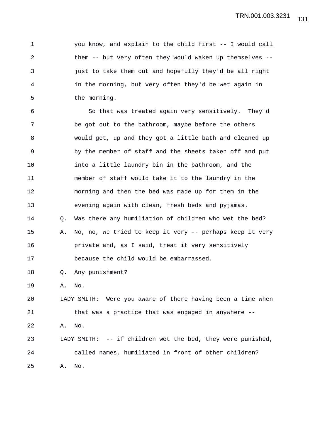1 you know, and explain to the child first -- I would call 2 them -- but very often they would waken up themselves -- 3 just to take them out and hopefully they'd be all right 4 in the morning, but very often they'd be wet again in 5 the morning.

6 So that was treated again very sensitively. They'd 7 be got out to the bathroom, maybe before the others 8 would get, up and they got a little bath and cleaned up 9 by the member of staff and the sheets taken off and put 10 into a little laundry bin in the bathroom, and the 11 member of staff would take it to the laundry in the 12 morning and then the bed was made up for them in the 13 evening again with clean, fresh beds and pyjamas. 14 Q. Was there any humiliation of children who wet the bed? 15 A. No, no, we tried to keep it very -- perhaps keep it very 16 **private and, as I said, treat it very sensitively** 17 because the child would be embarrassed. 18 Q. Any punishment? 19 A. No. 20 LADY SMITH: Were you aware of there having been a time when 21 that was a practice that was engaged in anywhere -- 22 A. No. 23 LADY SMITH: -- if children wet the bed, they were punished, 24 called names, humiliated in front of other children?

25 A. No.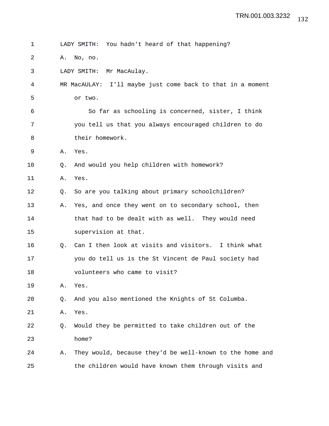1 LADY SMITH: You hadn't heard of that happening? 2 A. No, no. 3 LADY SMITH: Mr MacAulay. 4 MR MacAULAY: I'll maybe just come back to that in a moment 5 or two. 6 So far as schooling is concerned, sister, I think 7 you tell us that you always encouraged children to do 8 their homework. 9 A. Yes. 10 Q. And would you help children with homework? 11 A. Yes. 12 Q. So are you talking about primary schoolchildren? 13 A. Yes, and once they went on to secondary school, then 14 that had to be dealt with as well. They would need 15 supervision at that. 16 Q. Can I then look at visits and visitors. I think what 17 you do tell us is the St Vincent de Paul society had 18 volunteers who came to visit? 19 A. Yes. 20 Q. And you also mentioned the Knights of St Columba. 21 A. Yes. 22 Q. Would they be permitted to take children out of the 23 home? 24 A. They would, because they'd be well-known to the home and 25 the children would have known them through visits and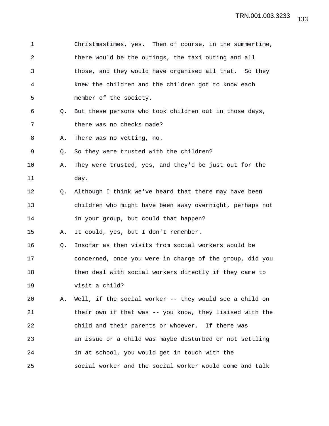| 1              |    | Christmastimes, yes. Then of course, in the summertime,  |
|----------------|----|----------------------------------------------------------|
| $\overline{2}$ |    | there would be the outings, the taxi outing and all      |
| 3              |    | those, and they would have organised all that. So they   |
| 4              |    | knew the children and the children got to know each      |
| 5              |    | member of the society.                                   |
| 6              | Q. | But these persons who took children out in those days,   |
| 7              |    | there was no checks made?                                |
| 8              | Α. | There was no vetting, no.                                |
| 9              | Q. | So they were trusted with the children?                  |
| 10             | Α. | They were trusted, yes, and they'd be just out for the   |
| 11             |    | day.                                                     |
| 12             | 0. | Although I think we've heard that there may have been    |
| 13             |    | children who might have been away overnight, perhaps not |
| 14             |    | in your group, but could that happen?                    |
| 15             | Α. | It could, yes, but I don't remember.                     |
| 16             | Q. | Insofar as then visits from social workers would be      |
| 17             |    | concerned, once you were in charge of the group, did you |
| 18             |    | then deal with social workers directly if they came to   |
| 19             |    | visit a child?                                           |
| 20             | Α. | Well, if the social worker -- they would see a child on  |
| 21             |    | their own if that was -- you know, they liaised with the |
| 22             |    | child and their parents or whoever. If there was         |
| 23             |    | an issue or a child was maybe disturbed or not settling  |
| 24             |    | in at school, you would get in touch with the            |
| 25             |    | social worker and the social worker would come and talk  |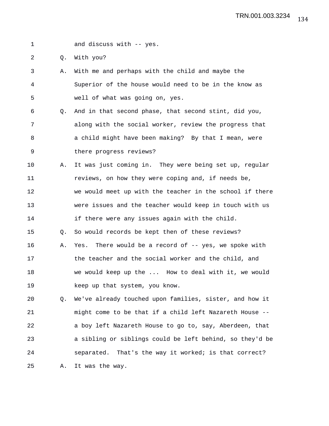1 and discuss with -- yes.

2 Q. With you?

- 3 A. With me and perhaps with the child and maybe the 4 Superior of the house would need to be in the know as 5 well of what was going on, yes.
- 6 Q. And in that second phase, that second stint, did you, 7 along with the social worker, review the progress that 8 a child might have been making? By that I mean, were 9 there progress reviews?
- 10 A. It was just coming in. They were being set up, regular 11 reviews, on how they were coping and, if needs be, 12 we would meet up with the teacher in the school if there 13 were issues and the teacher would keep in touch with us 14 if there were any issues again with the child. 15 Q. So would records be kept then of these reviews? 16 A. Yes. There would be a record of -- yes, we spoke with
- 17 the teacher and the social worker and the child, and 18 we would keep up the ... How to deal with it, we would 19 keep up that system, you know.

20 Q. We've already touched upon families, sister, and how it 21 might come to be that if a child left Nazareth House -- 22 a boy left Nazareth House to go to, say, Aberdeen, that 23 a sibling or siblings could be left behind, so they'd be 24 separated. That's the way it worked; is that correct? 25 A. It was the way.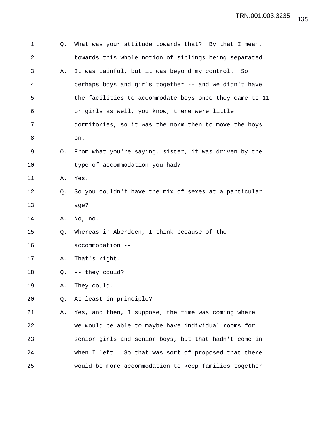| 1  | Q.          | What was your attitude towards that? By that I mean,    |
|----|-------------|---------------------------------------------------------|
| 2  |             | towards this whole notion of siblings being separated.  |
| 3  | Α.          | It was painful, but it was beyond my control.<br>So     |
| 4  |             | perhaps boys and girls together -- and we didn't have   |
| 5  |             | the facilities to accommodate boys once they came to 11 |
| 6  |             | or girls as well, you know, there were little           |
| 7  |             | dormitories, so it was the norm then to move the boys   |
| 8  |             | on.                                                     |
| 9  | $Q_{\star}$ | From what you're saying, sister, it was driven by the   |
| 10 |             | type of accommodation you had?                          |
| 11 | Α.          | Yes.                                                    |
| 12 | Q.          | So you couldn't have the mix of sexes at a particular   |
| 13 |             | age?                                                    |
| 14 | Α.          | No, no.                                                 |
| 15 | Q.          | Whereas in Aberdeen, I think because of the             |
| 16 |             | accommodation --                                        |
| 17 | Α.          | That's right.                                           |
| 18 | Q.          | -- they could?                                          |
| 19 | Α.          | They could.                                             |
| 20 | Q.          | At least in principle?                                  |
| 21 | Α.          | Yes, and then, I suppose, the time was coming where     |
| 22 |             | we would be able to maybe have individual rooms for     |
| 23 |             | senior girls and senior boys, but that hadn't come in   |
| 24 |             | when I left. So that was sort of proposed that there    |
| 25 |             | would be more accommodation to keep families together   |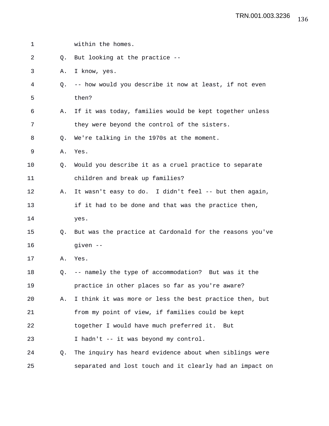| $\mathbf 1$ |    | within the homes.                                        |
|-------------|----|----------------------------------------------------------|
| 2           | O. | But looking at the practice --                           |
| 3           | Α. | I know, yes.                                             |
| 4           | O. | -- how would you describe it now at least, if not even   |
| 5           |    | then?                                                    |
| 6           | Α. | If it was today, families would be kept together unless  |
| 7           |    | they were beyond the control of the sisters.             |
| 8           | O. | We're talking in the 1970s at the moment.                |
| 9           | Α. | Yes.                                                     |
| 10          | Q. | Would you describe it as a cruel practice to separate    |
| 11          |    | children and break up families?                          |
| 12          | Α. | It wasn't easy to do. I didn't feel -- but then again,   |
| 13          |    | if it had to be done and that was the practice then,     |
| 14          |    | yes.                                                     |
| 15          | O. | But was the practice at Cardonald for the reasons you've |
| 16          |    | given --                                                 |
| 17          | Α. | Yes.                                                     |
| 18          | Q. | -- namely the type of accommodation? But was it the      |
| 19          |    | practice in other places so far as you're aware?         |
| 20          | Α. | I think it was more or less the best practice then, but  |
| 21          |    | from my point of view, if families could be kept         |
| 22          |    | together I would have much preferred it.<br>But          |
| 23          |    | I hadn't -- it was beyond my control.                    |
| 24          | Q. | The inquiry has heard evidence about when siblings were  |
| 25          |    | separated and lost touch and it clearly had an impact on |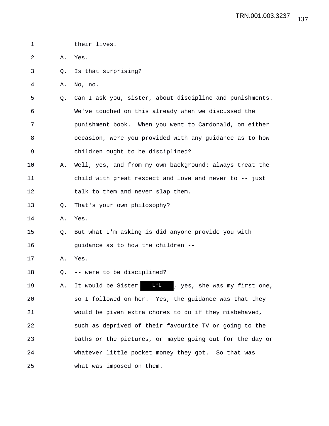| $\mathbf 1$ |    | their lives.                                                     |
|-------------|----|------------------------------------------------------------------|
| 2           | Α. | Yes.                                                             |
| 3           | Q. | Is that surprising?                                              |
| 4           | Α. | No, no.                                                          |
| 5           | Q. | Can I ask you, sister, about discipline and punishments.         |
| 6           |    | We've touched on this already when we discussed the              |
| 7           |    | punishment book. When you went to Cardonald, on either           |
| 8           |    | occasion, were you provided with any guidance as to how          |
| 9           |    | children ought to be disciplined?                                |
| 10          | Α. | Well, yes, and from my own background: always treat the          |
| 11          |    | child with great respect and love and never to -- just           |
| 12          |    | talk to them and never slap them.                                |
| 13          | Q. | That's your own philosophy?                                      |
| 14          | Α. | Yes.                                                             |
| 15          | O. | But what I'm asking is did anyone provide you with               |
| 16          |    | guidance as to how the children --                               |
| 17          | Α. | Yes.                                                             |
| 18          | Q. | -- were to be disciplined?                                       |
| 19          | Α. | <b>LFL</b><br>, yes, she was my first one,<br>It would be Sister |
| 20          |    | so I followed on her. Yes, the guidance was that they            |
| 21          |    | would be given extra chores to do if they misbehaved,            |
| 22          |    | such as deprived of their favourite TV or going to the           |
| 23          |    | baths or the pictures, or maybe going out for the day or         |
| 24          |    | whatever little pocket money they got. So that was               |
| 25          |    | what was imposed on them.                                        |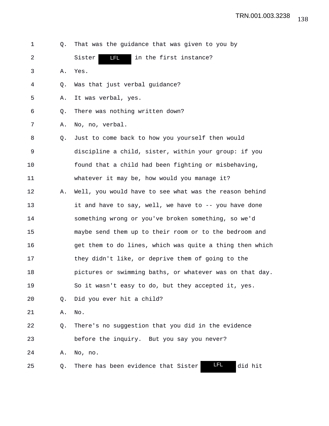| 1  | О. | That was the guidance that was given to you by               |
|----|----|--------------------------------------------------------------|
| 2  |    | <b>LFL</b><br>Sister<br>in the first instance?               |
| 3  | Α. | Yes.                                                         |
| 4  | Q. | Was that just verbal guidance?                               |
| 5  | Α. | It was verbal, yes.                                          |
| 6  | Q. | There was nothing written down?                              |
| 7  | Α. | No, no, verbal.                                              |
| 8  | Q. | Just to come back to how you yourself then would             |
| 9  |    | discipline a child, sister, within your group: if you        |
| 10 |    | found that a child had been fighting or misbehaving,         |
| 11 |    | whatever it may be, how would you manage it?                 |
| 12 | Α. | Well, you would have to see what was the reason behind       |
| 13 |    | it and have to say, well, we have to -- you have done        |
| 14 |    | something wrong or you've broken something, so we'd          |
| 15 |    | maybe send them up to their room or to the bedroom and       |
| 16 |    | get them to do lines, which was quite a thing then which     |
| 17 |    | they didn't like, or deprive them of going to the            |
| 18 |    | pictures or swimming baths, or whatever was on that day.     |
| 19 |    | So it wasn't easy to do, but they accepted it, yes.          |
| 20 | Q. | Did you ever hit a child?                                    |
| 21 | Α. | No.                                                          |
| 22 | Q. | There's no suggestion that you did in the evidence           |
| 23 |    | before the inquiry. But you say you never?                   |
| 24 | Α. | No, no.                                                      |
| 25 | Q. | <u>LFL</u><br>did hit<br>There has been evidence that Sister |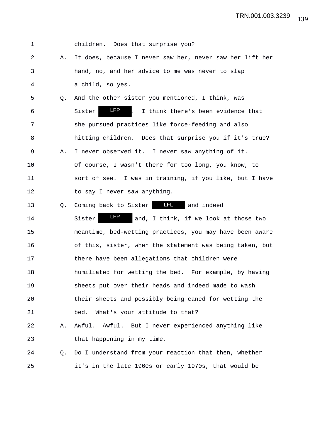| $\mathbf 1$ |    | children. Does that surprise you?                                |
|-------------|----|------------------------------------------------------------------|
| 2           | Α. | It does, because I never saw her, never saw her lift her         |
| 3           |    | hand, no, and her advice to me was never to slap                 |
| 4           |    | a child, so yes.                                                 |
| 5           | 0. | And the other sister you mentioned, I think, was                 |
| 6           |    | <b>LFP</b><br>I.<br>I think there's been evidence that<br>Sister |
| 7           |    | she pursued practices like force-feeding and also                |
| 8           |    | hitting children. Does that surprise you if it's true?           |
| 9           | Α. | I never observed it. I never saw anything of it.                 |
| 10          |    | Of course, I wasn't there for too long, you know, to             |
| 11          |    | sort of see. I was in training, if you like, but I have          |
| 12          |    | to say I never saw anything.                                     |
| 13          | O. | <b>LFL</b><br>Coming back to Sister<br>and indeed                |
| 14          |    | LFP<br>and, I think, if we look at those two<br>Sister           |
| 15          |    | meantime, bed-wetting practices, you may have been aware         |
| 16          |    | of this, sister, when the statement was being taken, but         |
| 17          |    | there have been allegations that children were                   |
| 18          |    | humiliated for wetting the bed. For example, by having           |
| 19          |    | sheets put over their heads and indeed made to wash              |
| 20          |    | their sheets and possibly being caned for wetting the            |
| 21          |    | What's your attitude to that?<br>bed.                            |
| 22          | Α. | Awful. But I never experienced anything like<br>Awful.           |
| 23          |    | that happening in my time.                                       |
| 24          | Q. | Do I understand from your reaction that then, whether            |
| 25          |    | it's in the late 1960s or early 1970s, that would be             |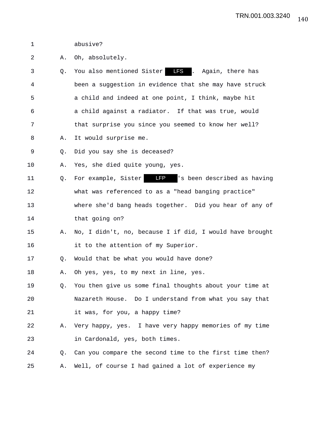1 abusive?

2 A. Oh, absolutely.

- 3 Q. You also mentioned Sister LFS . Again, there has 4 been a suggestion in evidence that she may have struck 5 a child and indeed at one point, I think, maybe hit 6 a child against a radiator. If that was true, would 7 that surprise you since you seemed to know her well? 8 A. It would surprise me.
- 9 Q. Did you say she is deceased?

10 A. Yes, she died quite young, yes.

11 Q. For example, Sister **IFP** 's been described as having 12 what was referenced to as a "head banging practice" 13 where she'd bang heads together. Did you hear of any of 14 that going on?

15 A. No, I didn't, no, because I if did, I would have brought 16 it to the attention of my Superior.

17 Q. Would that be what you would have done?

18 A. Oh yes, yes, to my next in line, yes.

- 19 Q. You then give us some final thoughts about your time at 20 Nazareth House. Do I understand from what you say that 21 it was, for you, a happy time?
- 22 A. Very happy, yes. I have very happy memories of my time 23 in Cardonald, yes, both times.
- 24 Q. Can you compare the second time to the first time then? 25 A. Well, of course I had gained a lot of experience my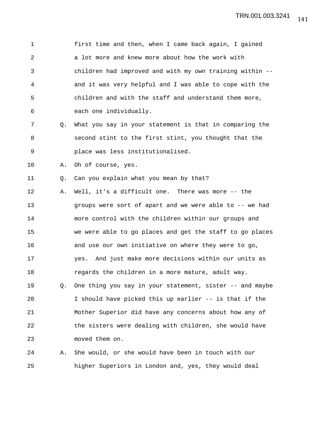1 first time and then, when I came back again, I gained 2 a lot more and knew more about how the work with 3 children had improved and with my own training within -- 4 and it was very helpful and I was able to cope with the 5 children and with the staff and understand them more, 6 each one individually.

- 7 Q. What you say in your statement is that in comparing the 8 second stint to the first stint, you thought that the 9 place was less institutionalised.
- 10 A. Oh of course, yes.
- 11 Q. Can you explain what you mean by that?

12 A. Well, it's a difficult one. There was more -- the 13 groups were sort of apart and we were able to -- we had 14 more control with the children within our groups and 15 we were able to go places and get the staff to go places 16 and use our own initiative on where they were to go, 17 yes. And just make more decisions within our units as 18 **regards** the children in a more mature, adult way. 19 Q. One thing you say in your statement, sister -- and maybe

20 I should have picked this up earlier -- is that if the 21 Mother Superior did have any concerns about how any of 22 the sisters were dealing with children, she would have 23 moved them on.

24 A. She would, or she would have been in touch with our 25 higher Superiors in London and, yes, they would deal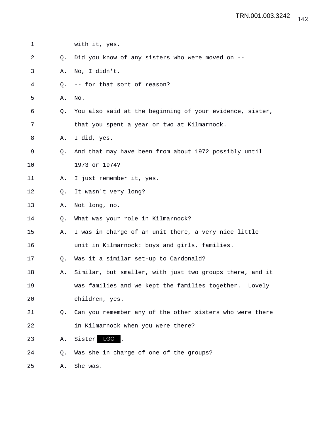| 1  |    | with it, yes.                                            |
|----|----|----------------------------------------------------------|
| 2  | O. | Did you know of any sisters who were moved on --         |
| 3  | Α. | No, I didn't.                                            |
| 4  | Q. | -- for that sort of reason?                              |
| 5  | Α. | No.                                                      |
| 6  | Q. | You also said at the beginning of your evidence, sister, |
| 7  |    | that you spent a year or two at Kilmarnock.              |
| 8  | Α. | I did, yes.                                              |
| 9  | 0. | And that may have been from about 1972 possibly until    |
| 10 |    | 1973 or 1974?                                            |
| 11 | Α. | I just remember it, yes.                                 |
| 12 | Q. | It wasn't very long?                                     |
| 13 | Α. | Not long, no.                                            |
| 14 | Q. | What was your role in Kilmarnock?                        |
| 15 | Α. | I was in charge of an unit there, a very nice little     |
| 16 |    | unit in Kilmarnock: boys and girls, families.            |
| 17 | Q. | Was it a similar set-up to Cardonald?                    |
| 18 | Α. | Similar, but smaller, with just two groups there, and it |
| 19 |    | was families and we kept the families together. Lovely   |
| 20 |    | children, yes.                                           |
| 21 | Q. | Can you remember any of the other sisters who were there |
| 22 |    | in Kilmarnock when you were there?                       |
| 23 | Α. | Sister <sup>160</sup>                                    |
| 24 | Q. | Was she in charge of one of the groups?                  |
| 25 | Α. | She was.                                                 |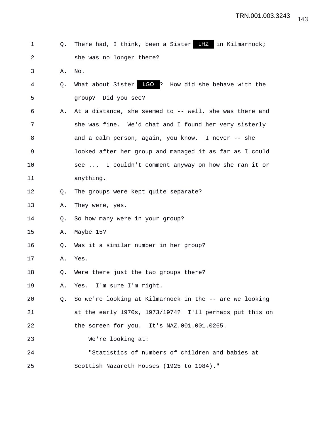| 1  | 0. | There had, I think, been a Sister $\overline{LT}$ in Kilmarnock; |
|----|----|------------------------------------------------------------------|
| 2  |    | she was no longer there?                                         |
| 3  | Α. | No.                                                              |
| 4  | Q. | What about Sister LGO ? How did she behave with the              |
| 5  |    | group? Did you see?                                              |
| 6  | Α. | At a distance, she seemed to -- well, she was there and          |
| 7  |    | she was fine. We'd chat and I found her very sisterly            |
| 8  |    | and a calm person, again, you know. I never -- she               |
| 9  |    | looked after her group and managed it as far as I could          |
| 10 |    | see  I couldn't comment anyway on how she ran it or              |
| 11 |    | anything.                                                        |
| 12 | Q. | The groups were kept quite separate?                             |
| 13 | Α. | They were, yes.                                                  |
| 14 | Q. | So how many were in your group?                                  |
| 15 | Α. | Maybe 15?                                                        |
| 16 | Q. | Was it a similar number in her group?                            |
| 17 | Α. | Yes.                                                             |
| 18 | Q. | Were there just the two groups there?                            |
| 19 | Α. | Yes. I'm sure I'm right.                                         |
| 20 | Q. | So we're looking at Kilmarnock in the -- are we looking          |
| 21 |    | at the early 1970s, 1973/1974? I'll perhaps put this on          |
| 22 |    | the screen for you. It's NAZ.001.001.0265.                       |
| 23 |    | We're looking at:                                                |
| 24 |    | "Statistics of numbers of children and babies at                 |
| 25 |    | Scottish Nazareth Houses (1925 to 1984)."                        |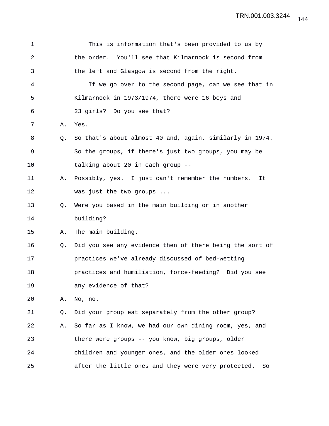| $\mathbf 1$ |    | This is information that's been provided to us by         |
|-------------|----|-----------------------------------------------------------|
| 2           |    | the order. You'll see that Kilmarnock is second from      |
| 3           |    | the left and Glasgow is second from the right.            |
| 4           |    | If we go over to the second page, can we see that in      |
| 5           |    | Kilmarnock in 1973/1974, there were 16 boys and           |
| 6           |    | 23 girls? Do you see that?                                |
| 7           | Α. | Yes.                                                      |
| 8           | O. | So that's about almost 40 and, again, similarly in 1974.  |
| 9           |    | So the groups, if there's just two groups, you may be     |
| 10          |    | talking about 20 in each group --                         |
| 11          | Α. | Possibly, yes. I just can't remember the numbers.<br>It   |
| 12          |    | was just the two groups                                   |
| 13          | Q. | Were you based in the main building or in another         |
| 14          |    | building?                                                 |
| 15          | Α. | The main building.                                        |
| 16          | Q. | Did you see any evidence then of there being the sort of  |
| 17          |    | practices we've already discussed of bed-wetting          |
| 18          |    | practices and humiliation, force-feeding? Did you see     |
| 19          |    | any evidence of that?                                     |
| 20          | Α. | No, no.                                                   |
| 21          | Q. | Did your group eat separately from the other group?       |
| 22          | Α. | So far as I know, we had our own dining room, yes, and    |
| 23          |    | there were groups -- you know, big groups, older          |
| 24          |    | children and younger ones, and the older ones looked      |
| 25          |    | after the little ones and they were very protected.<br>So |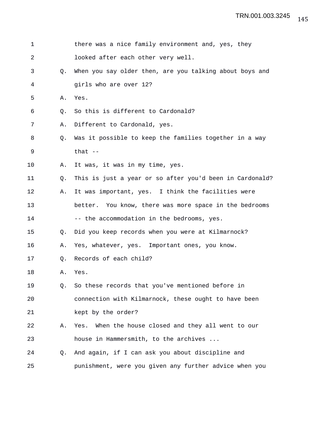| $\mathbf 1$ |                | there was a nice family environment and, yes, they       |
|-------------|----------------|----------------------------------------------------------|
| 2           |                | looked after each other very well.                       |
| 3           | $\circ$ .      | When you say older then, are you talking about boys and  |
| 4           |                | girls who are over 12?                                   |
| 5           | Α.             | Yes.                                                     |
| 6           | Q.             | So this is different to Cardonald?                       |
| 7           | Α.             | Different to Cardonald, yes.                             |
| 8           | Q <sub>z</sub> | Was it possible to keep the families together in a way   |
| 9           |                | that $-$                                                 |
| 10          | Α.             | It was, it was in my time, yes.                          |
| 11          | Q <sub>z</sub> | This is just a year or so after you'd been in Cardonald? |
| 12          | Α.             | It was important, yes. I think the facilities were       |
| 13          |                | better. You know, there was more space in the bedrooms   |
| 14          |                | -- the accommodation in the bedrooms, yes.               |
| 15          | Q.             | Did you keep records when you were at Kilmarnock?        |
| 16          | Α.             | Yes, whatever, yes. Important ones, you know.            |
| 17          | Q.             | Records of each child?                                   |
| 18          | Α.             | Yes.                                                     |
| 19          | Q.             | So these records that you've mentioned before in         |
| 20          |                | connection with Kilmarnock, these ought to have been     |
| 21          |                | kept by the order?                                       |
| 22          | Α.             | When the house closed and they all went to our<br>Yes.   |
| 23          |                | house in Hammersmith, to the archives                    |
| 24          | O.             | And again, if I can ask you about discipline and         |
| 25          |                | punishment, were you given any further advice when you   |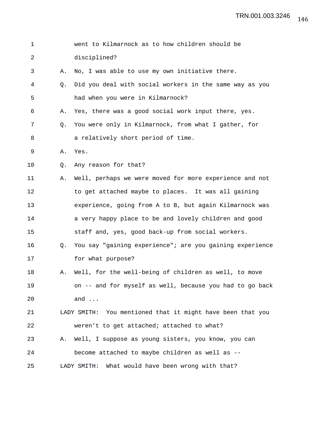| $\mathbf 1$ |    | went to Kilmarnock as to how children should be               |
|-------------|----|---------------------------------------------------------------|
| 2           |    | disciplined?                                                  |
| 3           | Α. | No, I was able to use my own initiative there.                |
| 4           | Q. | Did you deal with social workers in the same way as you       |
| 5           |    | had when you were in Kilmarnock?                              |
| 6           | Α. | Yes, there was a good social work input there, yes.           |
| 7           | O. | You were only in Kilmarnock, from what I gather, for          |
| 8           |    | a relatively short period of time.                            |
| 9           | Α. | Yes.                                                          |
| 10          | Q. | Any reason for that?                                          |
| 11          | Α. | Well, perhaps we were moved for more experience and not       |
| 12          |    | to get attached maybe to places. It was all gaining           |
| 13          |    | experience, going from A to B, but again Kilmarnock was       |
| 14          |    | a very happy place to be and lovely children and good         |
| 15          |    | staff and, yes, good back-up from social workers.             |
| 16          | Q. | You say "gaining experience"; are you gaining experience      |
| 17          |    | for what purpose?                                             |
| 18          | Α. | Well, for the well-being of children as well, to move         |
| 19          |    | on -- and for myself as well, because you had to go back      |
| 20          |    | and $\ldots$                                                  |
| 21          |    | You mentioned that it might have been that you<br>LADY SMITH: |
| 22          |    | weren't to get attached; attached to what?                    |
| 23          | Α. | Well, I suppose as young sisters, you know, you can           |
| 24          |    | become attached to maybe children as well as --               |
| 25          |    | LADY SMITH:<br>What would have been wrong with that?          |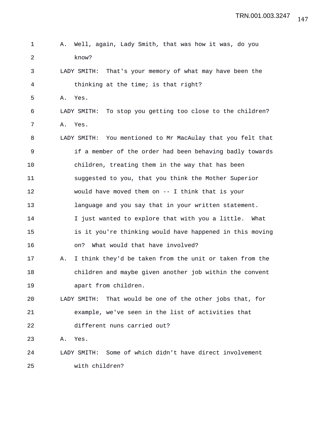| $\mathbf 1$ | Α. | Well, again, Lady Smith, that was how it was, do you          |
|-------------|----|---------------------------------------------------------------|
| 2           |    | know?                                                         |
| 3           |    | That's your memory of what may have been the<br>LADY SMITH:   |
| 4           |    | thinking at the time; is that right?                          |
| 5           | Α. | Yes.                                                          |
| 6           |    | To stop you getting too close to the children?<br>LADY SMITH: |
| 7           | Α. | Yes.                                                          |
| 8           |    | LADY SMITH: You mentioned to Mr MacAulay that you felt that   |
| 9           |    | if a member of the order had been behaving badly towards      |
| 10          |    | children, treating them in the way that has been              |
| 11          |    | suggested to you, that you think the Mother Superior          |
| 12          |    | would have moved them on $--$ I think that is your            |
| 13          |    | language and you say that in your written statement.          |
| 14          |    | I just wanted to explore that with you a little. What         |
| 15          |    | is it you're thinking would have happened in this moving      |
| 16          |    | What would that have involved?<br>on?                         |
| 17          | Α. | I think they'd be taken from the unit or taken from the       |
| 18          |    | children and maybe given another job within the convent       |
| 19          |    | apart from children.                                          |
| 20          |    | That would be one of the other jobs that, for<br>LADY SMITH:  |
| 21          |    | example, we've seen in the list of activities that            |
| 22          |    | different nuns carried out?                                   |
| 23          | Α. | Yes.                                                          |
| 24          |    | LADY SMITH: Some of which didn't have direct involvement      |
| 25          |    | with children?                                                |

147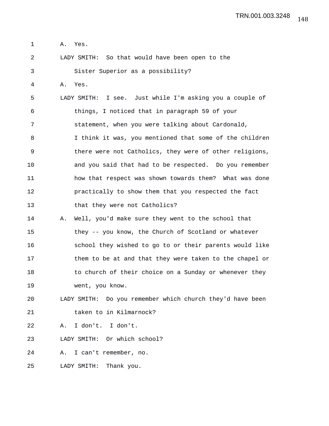1 A. Yes.

2 LADY SMITH: So that would have been open to the

3 Sister Superior as a possibility?

4 A. Yes.

5 LADY SMITH: I see. Just while I'm asking you a couple of 6 things, I noticed that in paragraph 59 of your 7 statement, when you were talking about Cardonald, 8 I think it was, you mentioned that some of the children 9 there were not Catholics, they were of other religions, 10 and you said that had to be respected. Do you remember 11 how that respect was shown towards them? What was done 12 practically to show them that you respected the fact 13 that they were not Catholics?

14 A. Well, you'd make sure they went to the school that 15 they -- you know, the Church of Scotland or whatever 16 school they wished to go to or their parents would like 17 them to be at and that they were taken to the chapel or 18 to church of their choice on a Sunday or whenever they 19 went, you know.

20 LADY SMITH: Do you remember which church they'd have been 21 taken to in Kilmarnock?

22 A. I don't. I don't.

23 LADY SMITH: Or which school?

24 A. I can't remember, no.

25 LADY SMITH: Thank you.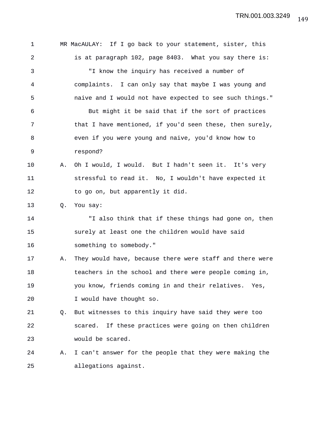1 MR MacAULAY: If I go back to your statement, sister, this 2 is at paragraph 102, page 8403. What you say there is: 3 "I know the inquiry has received a number of 4 complaints. I can only say that maybe I was young and 5 naive and I would not have expected to see such things." 6 But might it be said that if the sort of practices 7 that I have mentioned, if you'd seen these, then surely, 8 even if you were young and naive, you'd know how to 9 respond? 10 A. Oh I would, I would. But I hadn't seen it. It's very 11 stressful to read it. No, I wouldn't have expected it 12 to go on, but apparently it did. 13 O. You say: 14 "I also think that if these things had gone on, then 15 surely at least one the children would have said 16 something to somebody." 17 A. They would have, because there were staff and there were 18 teachers in the school and there were people coming in, 19 you know, friends coming in and their relatives. Yes, 20 I would have thought so. 21 Q. But witnesses to this inquiry have said they were too 22 scared. If these practices were going on then children 23 would be scared. 24 A. I can't answer for the people that they were making the 25 allegations against.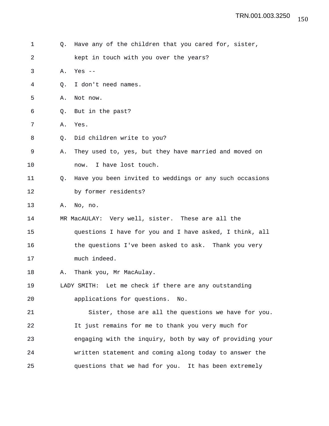| 1  | Q. | Have any of the children that you cared for, sister,     |
|----|----|----------------------------------------------------------|
| 2  |    | kept in touch with you over the years?                   |
| 3  | Α. | Yes $--$                                                 |
| 4  | O. | I don't need names.                                      |
| 5  | Α. | Not now.                                                 |
| 6  | O. | But in the past?                                         |
| 7  | Α. | Yes.                                                     |
| 8  | Q. | Did children write to you?                               |
| 9  | Α. | They used to, yes, but they have married and moved on    |
| 10 |    | I have lost touch.<br>now.                               |
| 11 | Q. | Have you been invited to weddings or any such occasions  |
| 12 |    | by former residents?                                     |
| 13 | Α. | No, no.                                                  |
| 14 |    | MR MacAULAY: Very well, sister. These are all the        |
| 15 |    | questions I have for you and I have asked, I think, all  |
| 16 |    | the questions I've been asked to ask. Thank you very     |
| 17 |    | much indeed.                                             |
| 18 | Α. | Thank you, Mr MacAulay.                                  |
| 19 |    | LADY SMITH: Let me check if there are any outstanding    |
| 20 |    | applications for questions.<br>No.                       |
| 21 |    | Sister, those are all the questions we have for you.     |
| 22 |    | It just remains for me to thank you very much for        |
| 23 |    | engaging with the inquiry, both by way of providing your |
| 24 |    | written statement and coming along today to answer the   |
| 25 |    | questions that we had for you. It has been extremely     |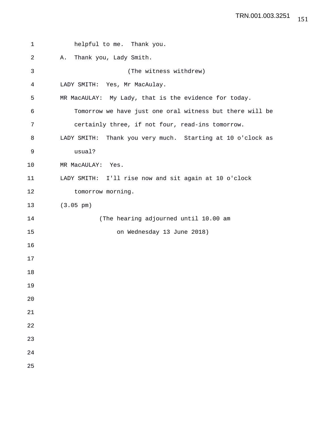| $\mathbf 1$ | helpful to me. Thank you.                                  |
|-------------|------------------------------------------------------------|
| 2           | Thank you, Lady Smith.<br>Α.                               |
| 3           | (The witness withdrew)                                     |
| 4           | LADY SMITH: Yes, Mr MacAulay.                              |
| 5           | MR MacAULAY: My Lady, that is the evidence for today.      |
| 6           | Tomorrow we have just one oral witness but there will be   |
| 7           | certainly three, if not four, read-ins tomorrow.           |
| 8           | LADY SMITH: Thank you very much. Starting at 10 o'clock as |
| 9           | usual?                                                     |
| 10          | MR MacAULAY: Yes.                                          |
| 11          | LADY SMITH: I'll rise now and sit again at 10 o'clock      |
| 12          | tomorrow morning.                                          |
| 13          | $(3.05 \text{ pm})$                                        |
| 14          | (The hearing adjourned until 10.00 am                      |
| 15          | on Wednesday 13 June 2018)                                 |
| 16          |                                                            |
| 17          |                                                            |
| 18          |                                                            |
| 19          |                                                            |
| 20          |                                                            |
| 21          |                                                            |
| 22          |                                                            |
| 23          |                                                            |
| 24          |                                                            |
| 25          |                                                            |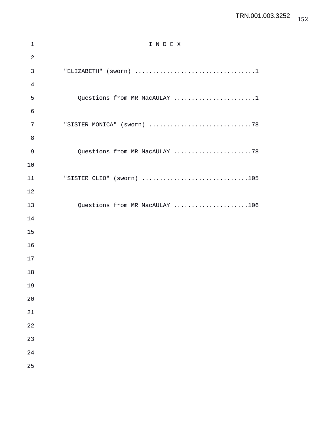## TRN.001.003.3252

| $\mathbf 1$ | INDEX                          |
|-------------|--------------------------------|
| $\sqrt{2}$  |                                |
| 3           |                                |
| 4           |                                |
| 5           | Questions from MR MacAULAY 1   |
| 6           |                                |
| 7           | "SISTER MONICA" (sworn) 78     |
| 8           |                                |
| 9           | Questions from MR MacAULAY 78  |
| 10          |                                |
| 11          | "SISTER CLIO" (sworn) 105      |
| 12          |                                |
| 13          | Questions from MR MacAULAY 106 |
| 14          |                                |
| 15          |                                |
| 16          |                                |
| 17          |                                |
| 18          |                                |
| 19          |                                |
| 20          |                                |
| 21          |                                |
| 22          |                                |
| 23          |                                |
| 24          |                                |
| 25          |                                |